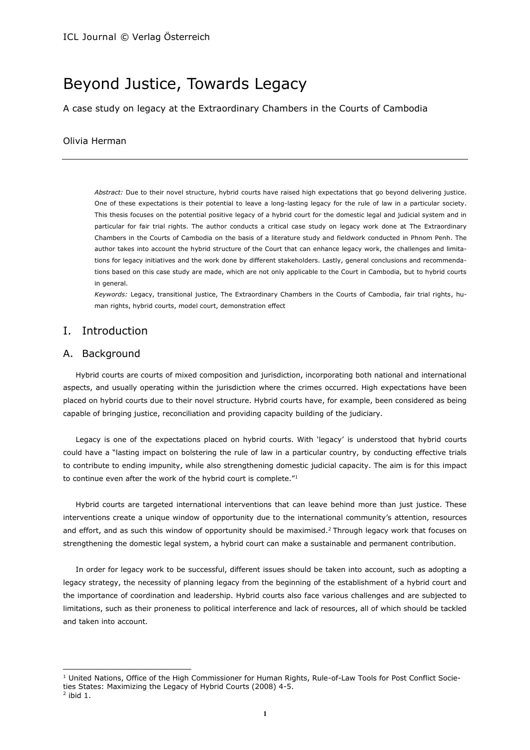# Beyond Justice, Towards Legacy

A case study on legacy at the Extraordinary Chambers in the Courts of Cambodia

## Olivia Herman

*Abstract:* Due to their novel structure, hybrid courts have raised high expectations that go beyond delivering justice. One of these expectations is their potential to leave a long-lasting legacy for the rule of law in a particular society. This thesis focuses on the potential positive legacy of a hybrid court for the domestic legal and judicial system and in particular for fair trial rights. The author conducts a critical case study on legacy work done at The Extraordinary Chambers in the Courts of Cambodia on the basis of a literature study and fieldwork conducted in Phnom Penh. The author takes into account the hybrid structure of the Court that can enhance legacy work, the challenges and limitations for legacy initiatives and the work done by different stakeholders. Lastly, general conclusions and recommendations based on this case study are made, which are not only applicable to the Court in Cambodia, but to hybrid courts in general.

*Keywords:* Legacy, transitional justice, The Extraordinary Chambers in the Courts of Cambodia, fair trial rights, human rights, hybrid courts, model court, demonstration effect

# I. Introduction

## A. Background

Hybrid courts are courts of mixed composition and jurisdiction, incorporating both national and international aspects, and usually operating within the jurisdiction where the crimes occurred. High expectations have been placed on hybrid courts due to their novel structure. Hybrid courts have, for example, been considered as being capable of bringing justice, reconciliation and providing capacity building of the judiciary.

Legacy is one of the expectations placed on hybrid courts. With 'legacy' is understood that hybrid courts could have a "lasting impact on bolstering the rule of law in a particular country, by conducting effective trials to contribute to ending impunity, while also strengthening domestic judicial capacity. The aim is for this impact to continue even after the work of the hybrid court is complete."<sup>1</sup>

Hybrid courts are targeted international interventions that can leave behind more than just justice. These interventions create a unique window of opportunity due to the international community's attention, resources and effort, and as such this window of opportunity should be maximised.<sup>2</sup> Through legacy work that focuses on strengthening the domestic legal system, a hybrid court can make a sustainable and permanent contribution.

In order for legacy work to be successful, different issues should be taken into account, such as adopting a legacy strategy, the necessity of planning legacy from the beginning of the establishment of a hybrid court and the importance of coordination and leadership. Hybrid courts also face various challenges and are subjected to limitations, such as their proneness to political interference and lack of resources, all of which should be tackled and taken into account.

l

<sup>1</sup> United Nations, Office of the High Commissioner for Human Rights, Rule-of-Law Tools for Post Conflict Societies States: Maximizing the Legacy of Hybrid Courts (2008) 4-5.

 $2$  ibid 1.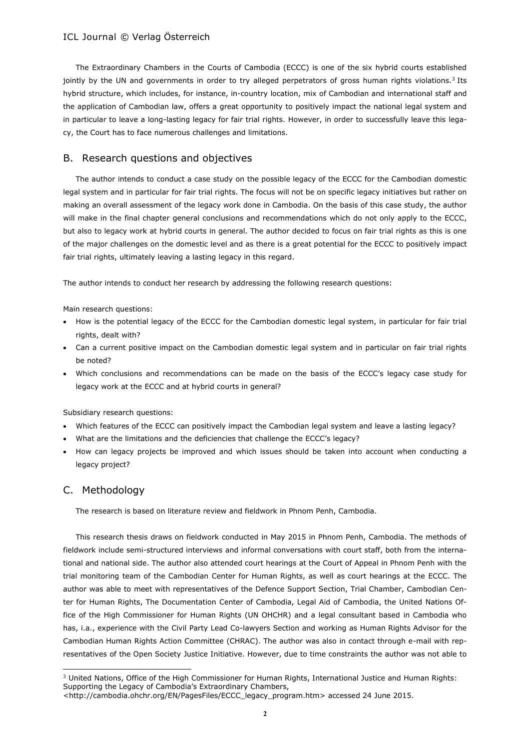The Extraordinary Chambers in the Courts of Cambodia (ECCC) is one of the six hybrid courts established jointly by the UN and governments in order to try alleged perpetrators of gross human rights violations.<sup>3</sup> Its hybrid structure, which includes, for instance, in-country location, mix of Cambodian and international staff and the application of Cambodian law, offers a great opportunity to positively impact the national legal system and in particular to leave a long-lasting legacy for fair trial rights. However, in order to successfully leave this legacy, the Court has to face numerous challenges and limitations.

## B. Research questions and objectives

The author intends to conduct a case study on the possible legacy of the ECCC for the Cambodian domestic legal system and in particular for fair trial rights. The focus will not be on specific legacy initiatives but rather on making an overall assessment of the legacy work done in Cambodia. On the basis of this case study, the author will make in the final chapter general conclusions and recommendations which do not only apply to the ECCC, but also to legacy work at hybrid courts in general. The author decided to focus on fair trial rights as this is one of the major challenges on the domestic level and as there is a great potential for the ECCC to positively impact fair trial rights, ultimately leaving a lasting legacy in this regard.

The author intends to conduct her research by addressing the following research questions:

Main research questions:

- How is the potential legacy of the ECCC for the Cambodian domestic legal system, in particular for fair trial rights, dealt with?
- Can a current positive impact on the Cambodian domestic legal system and in particular on fair trial rights be noted?
- Which conclusions and recommendations can be made on the basis of the ECCC's legacy case study for legacy work at the ECCC and at hybrid courts in general?

Subsidiary research questions:

- Which features of the ECCC can positively impact the Cambodian legal system and leave a lasting legacy?
- What are the limitations and the deficiencies that challenge the ECCC's legacy?
- How can legacy projects be improved and which issues should be taken into account when conducting a legacy project?

## C. Methodology

l

The research is based on literature review and fieldwork in Phnom Penh, Cambodia.

This research thesis draws on fieldwork conducted in May 2015 in Phnom Penh, Cambodia. The methods of fieldwork include semi-structured interviews and informal conversations with court staff, both from the international and national side. The author also attended court hearings at the Court of Appeal in Phnom Penh with the trial monitoring team of the Cambodian Center for Human Rights, as well as court hearings at the ECCC. The author was able to meet with representatives of the Defence Support Section, Trial Chamber, Cambodian Center for Human Rights, The Documentation Center of Cambodia, Legal Aid of Cambodia, the United Nations Office of the High Commissioner for Human Rights (UN OHCHR) and a legal consultant based in Cambodia who has, i.a., experience with the Civil Party Lead Co-lawyers Section and working as Human Rights Advisor for the Cambodian Human Rights Action Committee (CHRAC). The author was also in contact through e-mail with representatives of the Open Society Justice Initiative. However, due to time constraints the author was not able to

<sup>&</sup>lt;sup>3</sup> United Nations, Office of the High Commissioner for Human Rights, International Justice and Human Rights: Supporting the Legacy of Cambodia's Extraordinary Chambers,

[<sup>&</sup>lt;http://cambodia.ohchr.org/EN/PagesFiles/ECCC\\_legacy\\_program.htm>](http://cambodia.ohchr.org/EN/PagesFiles/ECCC_legacy_program.htm) accessed 24 June 2015.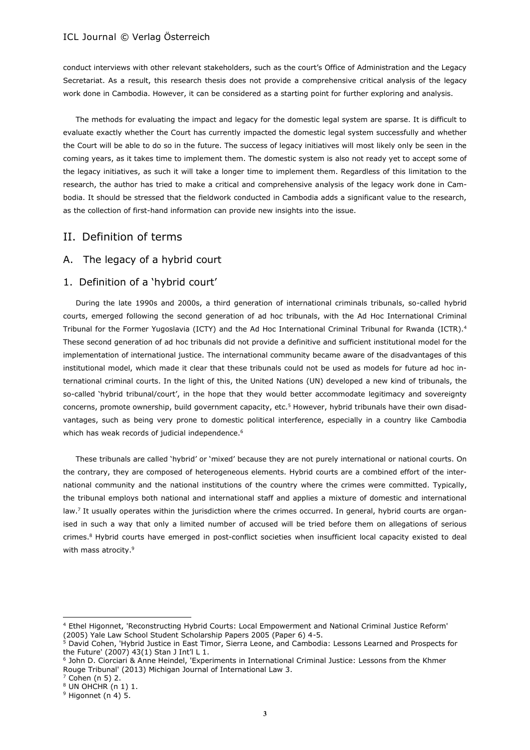conduct interviews with other relevant stakeholders, such as the court's Office of Administration and the Legacy Secretariat. As a result, this research thesis does not provide a comprehensive critical analysis of the legacy work done in Cambodia. However, it can be considered as a starting point for further exploring and analysis.

The methods for evaluating the impact and legacy for the domestic legal system are sparse. It is difficult to evaluate exactly whether the Court has currently impacted the domestic legal system successfully and whether the Court will be able to do so in the future. The success of legacy initiatives will most likely only be seen in the coming years, as it takes time to implement them. The domestic system is also not ready yet to accept some of the legacy initiatives, as such it will take a longer time to implement them. Regardless of this limitation to the research, the author has tried to make a critical and comprehensive analysis of the legacy work done in Cambodia. It should be stressed that the fieldwork conducted in Cambodia adds a significant value to the research, as the collection of first-hand information can provide new insights into the issue.

# II. Definition of terms

## A. The legacy of a hybrid court

## 1. Definition of a 'hybrid court'

During the late 1990s and 2000s, a third generation of international criminals tribunals, so-called hybrid courts, emerged following the second generation of ad hoc tribunals, with the Ad Hoc International Criminal Tribunal for the Former Yugoslavia (ICTY) and the Ad Hoc International Criminal Tribunal for Rwanda (ICTR).<sup>4</sup> These second generation of ad hoc tribunals did not provide a definitive and sufficient institutional model for the implementation of international justice. The international community became aware of the disadvantages of this institutional model, which made it clear that these tribunals could not be used as models for future ad hoc international criminal courts. In the light of this, the United Nations (UN) developed a new kind of tribunals, the so-called 'hybrid tribunal/court', in the hope that they would better accommodate legitimacy and sovereignty concerns, promote ownership, build government capacity, etc.<sup>5</sup> However, hybrid tribunals have their own disadvantages, such as being very prone to domestic political interference, especially in a country like Cambodia which has weak records of judicial independence.<sup>6</sup>

These tribunals are called 'hybrid' or 'mixed' because they are not purely international or national courts. On the contrary, they are composed of heterogeneous elements. Hybrid courts are a combined effort of the international community and the national institutions of the country where the crimes were committed. Typically, the tribunal employs both national and international staff and applies a mixture of domestic and international law.<sup>7</sup> It usually operates within the jurisdiction where the crimes occurred. In general, hybrid courts are organised in such a way that only a limited number of accused will be tried before them on allegations of serious crimes.<sup>8</sup> Hybrid courts have emerged in post-conflict societies when insufficient local capacity existed to deal with mass atrocity.<sup>9</sup>

<sup>4</sup> Ethel Higonnet, 'Reconstructing Hybrid Courts: Local Empowerment and National Criminal Justice Reform' (2005) Yale Law School Student Scholarship Papers 2005 (Paper 6) 4-5.

<sup>&</sup>lt;sup>5</sup> David Cohen, 'Hybrid Justice in East Timor, Sierra Leone, and Cambodia: Lessons Learned and Prospects for the Future' (2007) 43(1) Stan J Int'l L 1.

<sup>6</sup> John D. Ciorciari & Anne Heindel, 'Experiments in International Criminal Justice: Lessons from the Khmer Rouge Tribunal' (2013) Michigan Journal of International Law 3.

 $7$  Cohen (n 5) 2.

 $8$  UN OHCHR (n 1) 1.

 $9$  Higonnet (n 4) 5.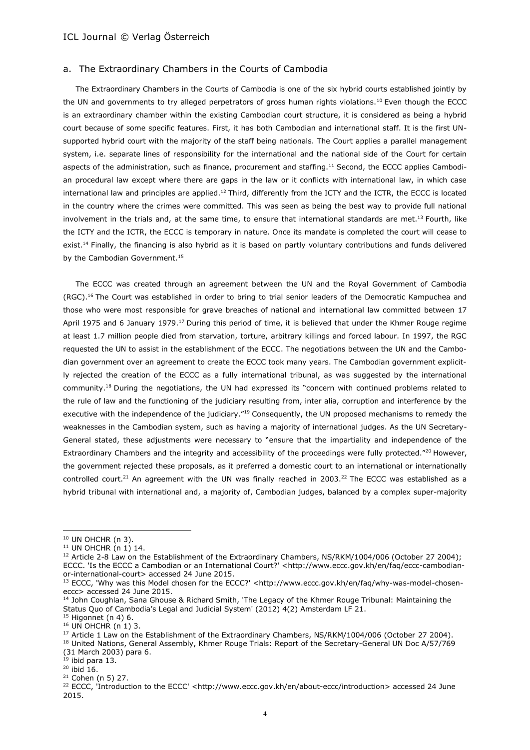### a. The Extraordinary Chambers in the Courts of Cambodia

The Extraordinary Chambers in the Courts of Cambodia is one of the six hybrid courts established jointly by the UN and governments to try alleged perpetrators of gross human rights violations.<sup>10</sup> Even though the ECCC is an extraordinary chamber within the existing Cambodian court structure, it is considered as being a hybrid court because of some specific features. First, it has both Cambodian and international staff. It is the first UNsupported hybrid court with the majority of the staff being nationals. The Court applies a parallel management system, i.e. separate lines of responsibility for the international and the national side of the Court for certain aspects of the administration, such as finance, procurement and staffing.<sup>11</sup> Second, the ECCC applies Cambodian procedural law except where there are gaps in the law or it conflicts with international law, in which case international law and principles are applied.<sup>12</sup> Third, differently from the ICTY and the ICTR, the ECCC is located in the country where the crimes were committed. This was seen as being the best way to provide full national involvement in the trials and, at the same time, to ensure that international standards are met.<sup>13</sup> Fourth, like the ICTY and the ICTR, the ECCC is temporary in nature. Once its mandate is completed the court will cease to exist.<sup>14</sup> Finally, the financing is also hybrid as it is based on partly voluntary contributions and funds delivered by the Cambodian Government.<sup>15</sup>

The ECCC was created through an agreement between the UN and the Royal Government of Cambodia (RGC).<sup>16</sup> The Court was established in order to bring to trial senior leaders of the Democratic Kampuchea and those who were most responsible for grave breaches of national and international law committed between 17 April 1975 and 6 January 1979.<sup>17</sup> During this period of time, it is believed that under the Khmer Rouge regime at least 1.7 million people died from starvation, torture, arbitrary killings and forced labour. In 1997, the RGC requested the UN to assist in the establishment of the ECCC. The negotiations between the UN and the Cambodian government over an agreement to create the ECCC took many years. The Cambodian government explicitly rejected the creation of the ECCC as a fully international tribunal, as was suggested by the international community.<sup>18</sup> During the negotiations, the UN had expressed its "concern with continued problems related to the rule of law and the functioning of the judiciary resulting from, inter alia, corruption and interference by the executive with the independence of the judiciary."<sup>19</sup> Consequently, the UN proposed mechanisms to remedy the weaknesses in the Cambodian system, such as having a majority of international judges. As the UN Secretary-General stated, these adjustments were necessary to "ensure that the impartiality and independence of the Extraordinary Chambers and the integrity and accessibility of the proceedings were fully protected."<sup>20</sup> However, the government rejected these proposals, as it preferred a domestic court to an international or internationally controlled court.<sup>21</sup> An agreement with the UN was finally reached in 2003.<sup>22</sup> The ECCC was established as a hybrid tribunal with international and, a majority of, Cambodian judges, balanced by a complex super-majority

l

<sup>18</sup> United Nations, General Assembly, Khmer Rouge Trials: Report of the Secretary-General UN Doc A/57/769 (31 March 2003) para 6.

 $19$  ibid para 13.

 $10$  UN OHCHR (n 3).

<sup>11</sup> UN OHCHR (n 1) 14.

<sup>&</sup>lt;sup>12</sup> Article 2-8 Law on the Establishment of the Extraordinary Chambers, NS/RKM/1004/006 (October 27 2004); ECCC. 'Is the ECCC a Cambodian or an International Court?' [<http://www.eccc.gov.kh/en/faq/eccc-cambodian](http://www.eccc.gov.kh/en/faq/eccc-cambodian-or-international-court)[or-international-court>](http://www.eccc.gov.kh/en/faq/eccc-cambodian-or-international-court) accessed 24 June 2015.

<sup>&</sup>lt;sup>13</sup> ECCC, 'Why was this Model chosen for the ECCC?' [<http://www.eccc.gov.kh/en/faq/why-was-model-chosen](http://www.eccc.gov.kh/en/faq/why-was-model-chosen-eccc)[eccc>](http://www.eccc.gov.kh/en/faq/why-was-model-chosen-eccc) accessed 24 June 2015.

<sup>&</sup>lt;sup>14</sup> John Coughlan, Sana Ghouse & Richard Smith, 'The Legacy of the Khmer Rouge Tribunal: Maintaining the Status Quo of Cambodia's Legal and Judicial System' (2012) 4(2) Amsterdam LF 21.

 $15$  Higonnet (n 4) 6.

<sup>&</sup>lt;sup>16</sup> UN OHCHR (n 1) 3.

<sup>&</sup>lt;sup>17</sup> Article 1 Law on the Establishment of the Extraordinary Chambers, NS/RKM/1004/006 (October 27 2004).

<sup>20</sup> ibid 16.

<sup>21</sup> Cohen (n 5) 27.

<sup>&</sup>lt;sup>22</sup> ECCC, 'Introduction to the ECCC' [<http://www.eccc.gov.kh/en/about-eccc/introduction>](http://www.eccc.gov.kh/en/about-eccc/introduction) accessed 24 June 2015.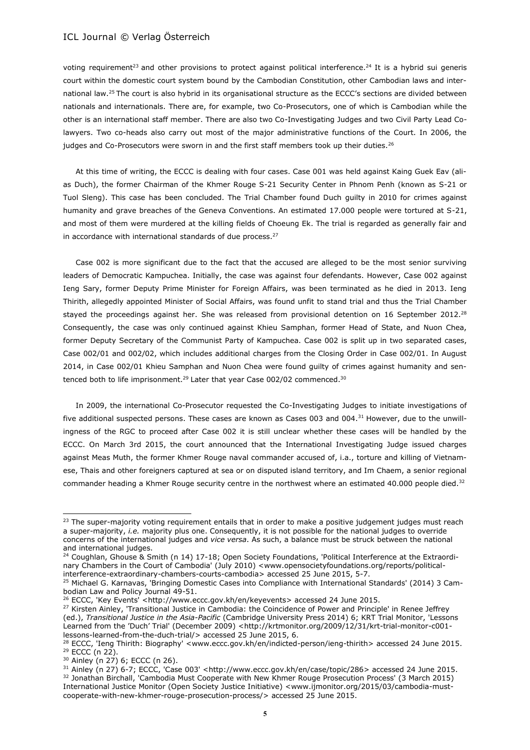voting requirement<sup>23</sup> and other provisions to protect against political interference.<sup>24</sup> It is a hybrid sui generis court within the domestic court system bound by the Cambodian Constitution, other Cambodian laws and international law.<sup>25</sup> The court is also hybrid in its organisational structure as the ECCC's sections are divided between nationals and internationals. There are, for example, two Co-Prosecutors, one of which is Cambodian while the other is an international staff member. There are also two Co-Investigating Judges and two Civil Party Lead Colawyers. Two co-heads also carry out most of the major administrative functions of the Court. In 2006, the judges and Co-Prosecutors were sworn in and the first staff members took up their duties.<sup>26</sup>

At this time of writing, the ECCC is dealing with four cases. Case 001 was held against Kaing Guek Eav (alias Duch), the former Chairman of the Khmer Rouge S-21 Security Center in Phnom Penh (known as S-21 or Tuol Sleng). This case has been concluded. The Trial Chamber found Duch guilty in 2010 for crimes against humanity and grave breaches of the Geneva Conventions. An estimated 17,000 people were tortured at S-21, and most of them were murdered at the killing fields of Choeung Ek. The trial is regarded as generally fair and in accordance with international standards of due process.<sup>27</sup>

Case 002 is more significant due to the fact that the accused are alleged to be the most senior surviving leaders of Democratic Kampuchea. Initially, the case was against four defendants. However, Case 002 against Ieng Sary, former Deputy Prime Minister for Foreign Affairs, was been terminated as he died in 2013. Ieng Thirith, allegedly appointed Minister of Social Affairs, was found unfit to stand trial and thus the Trial Chamber stayed the proceedings against her. She was released from provisional detention on 16 September 2012.<sup>28</sup> Consequently, the case was only continued against Khieu Samphan, former Head of State, and Nuon Chea, former Deputy Secretary of the Communist Party of Kampuchea. Case 002 is split up in two separated cases, Case 002/01 and 002/02, which includes additional charges from the Closing Order in Case 002/01. In August 2014, in Case 002/01 Khieu Samphan and Nuon Chea were found guilty of crimes against humanity and sentenced both to life imprisonment.<sup>29</sup> Later that year Case 002/02 commenced.<sup>30</sup>

In 2009, the international Co-Prosecutor requested the Co-Investigating Judges to initiate investigations of five additional suspected persons. These cases are known as Cases 003 and 004.<sup>31</sup> However, due to the unwillingness of the RGC to proceed after Case 002 it is still unclear whether these cases will be handled by the ECCC. On March 3rd 2015, the court announced that the International Investigating Judge issued charges against Meas Muth, the former Khmer Rouge naval commander accused of, i.a., torture and killing of Vietnamese, Thais and other foreigners captured at sea or on disputed island territory, and Im Chaem, a senior regional commander heading a Khmer Rouge security centre in the northwest where an estimated 40.000 people died.<sup>32</sup>

<sup>&</sup>lt;sup>23</sup> The super-majority voting requirement entails that in order to make a positive judgement judges must reach a super-majority, *i.e.* majority plus one. Consequently, it is not possible for the national judges to override concerns of the international judges and *vice versa*. As such, a balance must be struck between the national and international judges.

<sup>&</sup>lt;sup>24</sup> Coughlan, Ghouse & Smith (n 14) 17-18; Open Society Foundations, 'Political Interference at the Extraordinary Chambers in the Court of Cambodia' (July 2010) [<www.opensocietyfoundations.org/reports/political](http://www.opensocietyfoundations.org/reports/political-interference-extraordinary-chambers-courts-cambodia)[interference-extraordinary-chambers-courts-cambodia>](http://www.opensocietyfoundations.org/reports/political-interference-extraordinary-chambers-courts-cambodia) accessed 25 June 2015, 5-7.

<sup>25</sup> Michael G. Karnavas, 'Bringing Domestic Cases into Compliance with International Standards' (2014) 3 Cambodian Law and Policy Journal 49-51.

<sup>&</sup>lt;sup>26</sup> ECCC, 'Key Events' [<http://www.eccc.gov.kh/en/keyevents>](http://www.eccc.gov.kh/en/keyevents) accessed 24 June 2015.

<sup>&</sup>lt;sup>27</sup> Kirsten Ainley, 'Transitional Justice in Cambodia: the Coincidence of Power and Principle' in Renee Jeffrey (ed.), *Transitional Justice in the Asia-Pacific* (Cambridge University Press 2014) 6; KRT Trial Monitor, 'Lessons Learned from the 'Duch' Trial' (December 2009) <[http://krtmonitor.org/2009/12/31/krt-trial-monitor-c001](http://krtmonitor.org/2009/12/31/krt-trial-monitor-c001-lessons-learned-from-the-duch-trial/) [lessons-learned-from-the-duch-trial/>](http://krtmonitor.org/2009/12/31/krt-trial-monitor-c001-lessons-learned-from-the-duch-trial/) accessed 25 June 2015, 6.

<sup>&</sup>lt;sup>28</sup> ECCC, 'Ieng Thirith: Biography' [<www.eccc.gov.kh/en/indicted-person/ieng-thirith>](http://www.eccc.gov.kh/en/indicted-person/ieng-thirith) accessed 24 June 2015. <sup>29</sup> ECCC (n 22).

<sup>30</sup> Ainley (n 27) 6; ECCC (n 26).

<sup>31</sup> Ainley (n 27) 6-7; ECCC, 'Case 003' [<http://www.eccc.gov.kh/en/case/topic/286>](http://www.eccc.gov.kh/en/case/topic/286) accessed 24 June 2015. <sup>32</sup> Jonathan Birchall, 'Cambodia Must Cooperate with New Khmer Rouge Prosecution Process' (3 March 2015) International Justice Monitor (Open Society Justice Initiative) [<www.ijmonitor.org/2015/03/cambodia-must](http://www.ijmonitor.org/2015/03/cambodia-must-cooperate-with-new-khmer-rouge-prosecution-process/)[cooperate-with-new-khmer-rouge-prosecution-process/>](http://www.ijmonitor.org/2015/03/cambodia-must-cooperate-with-new-khmer-rouge-prosecution-process/) accessed 25 June 2015.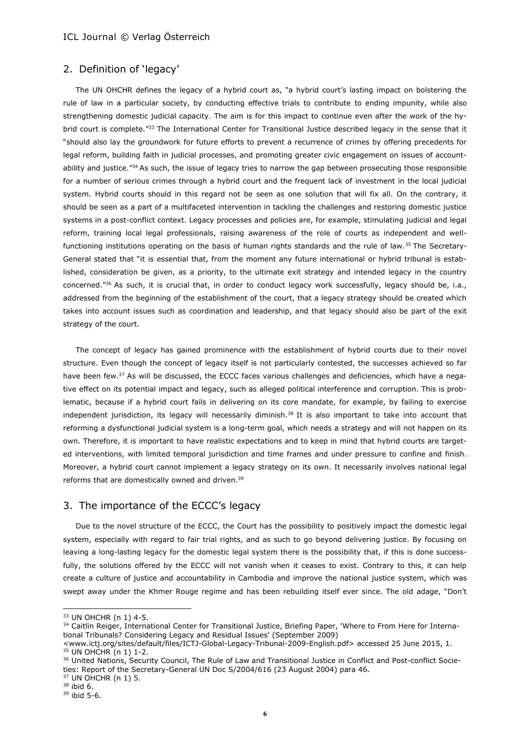## 2. Definition of 'legacy'

The UN OHCHR defines the legacy of a hybrid court as, "a hybrid court's lasting impact on bolstering the rule of law in a particular society, by conducting effective trials to contribute to ending impunity, while also strengthening domestic judicial capacity. The aim is for this impact to continue even after the work of the hybrid court is complete."33 The International Center for Transitional Justice described legacy in the sense that it "should also lay the groundwork for future efforts to prevent a recurrence of crimes by offering precedents for legal reform, building faith in judicial processes, and promoting greater civic engagement on issues of accountability and justice."<sup>34</sup> As such, the issue of legacy tries to narrow the gap between prosecuting those responsible for a number of serious crimes through a hybrid court and the frequent lack of investment in the local judicial system. Hybrid courts should in this regard not be seen as one solution that will fix all. On the contrary, it should be seen as a part of a multifaceted intervention in tackling the challenges and restoring domestic justice systems in a post-conflict context. Legacy processes and policies are, for example, stimulating judicial and legal reform, training local legal professionals, raising awareness of the role of courts as independent and wellfunctioning institutions operating on the basis of human rights standards and the rule of law.<sup>35</sup> The Secretary-General stated that "it is essential that, from the moment any future international or hybrid tribunal is established, consideration be given, as a priority, to the ultimate exit strategy and intended legacy in the country concerned."<sup>36</sup> As such, it is crucial that, in order to conduct legacy work successfully, legacy should be, i.a., addressed from the beginning of the establishment of the court, that a legacy strategy should be created which takes into account issues such as coordination and leadership, and that legacy should also be part of the exit strategy of the court.

The concept of legacy has gained prominence with the establishment of hybrid courts due to their novel structure. Even though the concept of legacy itself is not particularly contested, the successes achieved so far have been few.<sup>37</sup> As will be discussed, the ECCC faces various challenges and deficiencies, which have a negative effect on its potential impact and legacy, such as alleged political interference and corruption. This is problematic, because if a hybrid court fails in delivering on its core mandate, for example, by failing to exercise independent jurisdiction, its legacy will necessarily diminish. $38$  It is also important to take into account that reforming a dysfunctional judicial system is a long-term goal, which needs a strategy and will not happen on its own. Therefore, it is important to have realistic expectations and to keep in mind that hybrid courts are targeted interventions, with limited temporal jurisdiction and time frames and under pressure to confine and finish. Moreover, a hybrid court cannot implement a legacy strategy on its own. It necessarily involves national legal reforms that are domestically owned and driven.<sup>39</sup>

## 3. The importance of the ECCC's legacy

Due to the novel structure of the ECCC, the Court has the possibility to positively impact the domestic legal system, especially with regard to fair trial rights, and as such to go beyond delivering justice. By focusing on leaving a long-lasting legacy for the domestic legal system there is the possibility that, if this is done successfully, the solutions offered by the ECCC will not vanish when it ceases to exist. Contrary to this, it can help create a culture of justice and accountability in Cambodia and improve the national justice system, which was swept away under the Khmer Rouge regime and has been rebuilding itself ever since. The old adage, "Don't

 $37$  UN OHCHR (n 1) 5.

<sup>33</sup> UN OHCHR (n 1) 4-5.

<sup>34</sup> Caitlin Reiger, International Center for Transitional Justice, Briefing Paper, 'Where to From Here for International Tribunals? Considering Legacy and Residual Issues' (September 2009)

[<sup>&</sup>lt;www.ictj.org/sites/default/files/ICTJ-Global-Legacy-Tribunal-2009-English.pdf>](http://www.ictj.org/sites/default/files/ICTJ-Global-Legacy-Tribunal-2009-English.pdf) accessed 25 June 2015, 1. <sup>35</sup> UN OHCHR (n 1) 1-2.

<sup>&</sup>lt;sup>36</sup> United Nations, Security Council, The Rule of Law and Transitional Justice in Conflict and Post-conflict Societies: Report of the Secretary-General UN Doc S/2004/616 (23 August 2004) para 46.

<sup>38</sup> ibid 6.

<sup>39</sup> ibid 5-6.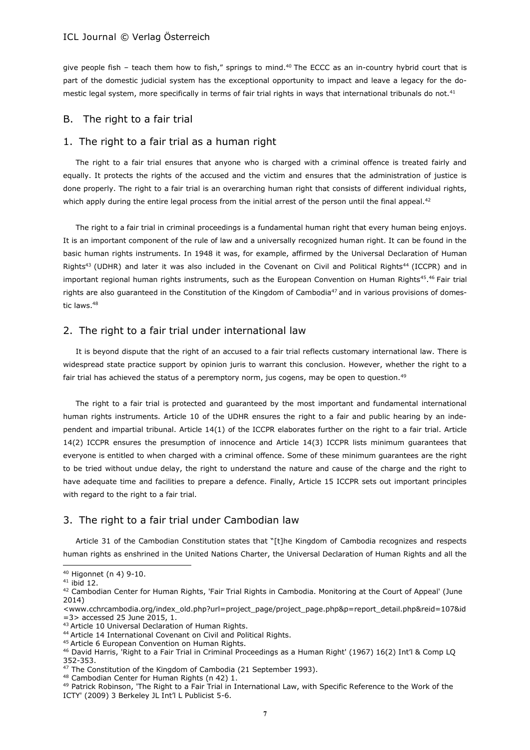give people fish - teach them how to fish," springs to mind.<sup>40</sup> The ECCC as an in-country hybrid court that is part of the domestic judicial system has the exceptional opportunity to impact and leave a legacy for the domestic legal system, more specifically in terms of fair trial rights in ways that international tribunals do not.<sup>41</sup>

### B. The right to a fair trial

## 1. The right to a fair trial as a human right

The right to a fair trial ensures that anyone who is charged with a criminal offence is treated fairly and equally. It protects the rights of the accused and the victim and ensures that the administration of justice is done properly. The right to a fair trial is an overarching human right that consists of different individual rights, which apply during the entire legal process from the initial arrest of the person until the final appeal.<sup>42</sup>

The right to a fair trial in criminal proceedings is a fundamental human right that every human being enjoys. It is an important component of the rule of law and a universally recognized human right. It can be found in the basic human rights instruments. In 1948 it was, for example, affirmed by the Universal Declaration of Human Rights<sup>43</sup> (UDHR) and later it was also included in the Covenant on Civil and Political Rights<sup>44</sup> (ICCPR) and in important regional human rights instruments, such as the European Convention on Human Rights<sup>45</sup>.<sup>46</sup> Fair trial rights are also guaranteed in the Constitution of the Kingdom of Cambodia<sup>47</sup> and in various provisions of domestic laws.<sup>48</sup>

### 2. The right to a fair trial under international law

It is beyond dispute that the right of an accused to a fair trial reflects customary international law. There is widespread state practice support by opinion juris to warrant this conclusion. However, whether the right to a fair trial has achieved the status of a peremptory norm, jus cogens, may be open to question.<sup>49</sup>

The right to a fair trial is protected and guaranteed by the most important and fundamental international human rights instruments. Article 10 of the UDHR ensures the right to a fair and public hearing by an independent and impartial tribunal. Article 14(1) of the ICCPR elaborates further on the right to a fair trial. Article 14(2) ICCPR ensures the presumption of innocence and Article 14(3) ICCPR lists minimum guarantees that everyone is entitled to when charged with a criminal offence. Some of these minimum guarantees are the right to be tried without undue delay, the right to understand the nature and cause of the charge and the right to have adequate time and facilities to prepare a defence. Finally, Article 15 ICCPR sets out important principles with regard to the right to a fair trial.

## 3. The right to a fair trial under Cambodian law

Article 31 of the Cambodian Constitution states that "[t]he Kingdom of Cambodia recognizes and respects human rights as enshrined in the United Nations Charter, the Universal Declaration of Human Rights and all the

<sup>40</sup> Higonnet (n 4) 9-10.

 $41$  ibid 12.

<sup>42</sup> Cambodian Center for Human Rights, 'Fair Trial Rights in Cambodia. Monitoring at the Court of Appeal' (June 2014)

[<sup>&</sup>lt;www.cchrcambodia.org/index\\_old.php?url=project\\_page/project\\_page.php&p=report\\_detail.php&reid=107&id](http://www.cchrcambodia.org/index_old.php?url=project_page/project_page.php&p=report_detail.php&reid=107&id=3) [=3>](http://www.cchrcambodia.org/index_old.php?url=project_page/project_page.php&p=report_detail.php&reid=107&id=3) accessed 25 June 2015, 1.

<sup>43</sup> Article 10 Universal Declaration of Human Rights.

<sup>44</sup> Article 14 International Covenant on Civil and Political Rights.

<sup>45</sup> Article 6 European Convention on Human Rights.

<sup>46</sup> David Harris, 'Right to a Fair Trial in Criminal Proceedings as a Human Right' (1967) 16(2) Int'l & Comp LQ 352-353.

<sup>47</sup> The Constitution of the Kingdom of Cambodia (21 September 1993).

<sup>48</sup> Cambodian Center for Human Rights (n 42) 1.

<sup>49</sup> Patrick Robinson, 'The Right to a Fair Trial in International Law, with Specific Reference to the Work of the ICTY' (2009) 3 Berkeley JL Int'l L Publicist 5-6.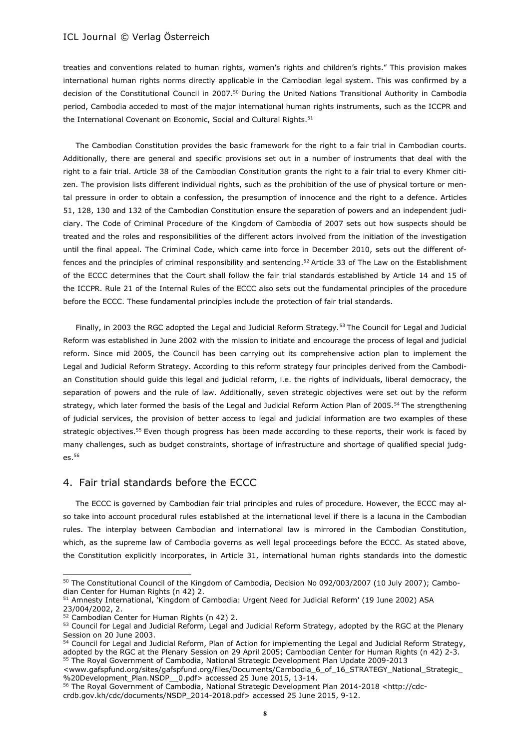treaties and conventions related to human rights, women's rights and children's rights." This provision makes international human rights norms directly applicable in the Cambodian legal system. This was confirmed by a decision of the Constitutional Council in 2007.<sup>50</sup> During the United Nations Transitional Authority in Cambodia period, Cambodia acceded to most of the major international human rights instruments, such as the ICCPR and the International Covenant on Economic, Social and Cultural Rights.<sup>51</sup>

The Cambodian Constitution provides the basic framework for the right to a fair trial in Cambodian courts. Additionally, there are general and specific provisions set out in a number of instruments that deal with the right to a fair trial. Article 38 of the Cambodian Constitution grants the right to a fair trial to every Khmer citizen. The provision lists different individual rights, such as the prohibition of the use of physical torture or mental pressure in order to obtain a confession, the presumption of innocence and the right to a defence. Articles 51, 128, 130 and 132 of the Cambodian Constitution ensure the separation of powers and an independent judiciary. The Code of Criminal Procedure of the Kingdom of Cambodia of 2007 sets out how suspects should be treated and the roles and responsibilities of the different actors involved from the initiation of the investigation until the final appeal. The Criminal Code, which came into force in December 2010, sets out the different offences and the principles of criminal responsibility and sentencing.<sup>52</sup> Article 33 of The Law on the Establishment of the ECCC determines that the Court shall follow the fair trial standards established by Article 14 and 15 of the ICCPR. Rule 21 of the Internal Rules of the ECCC also sets out the fundamental principles of the procedure before the ECCC. These fundamental principles include the protection of fair trial standards.

Finally, in 2003 the RGC adopted the Legal and Judicial Reform Strategy.<sup>53</sup> The Council for Legal and Judicial Reform was established in June 2002 with the mission to initiate and encourage the process of legal and judicial reform. Since mid 2005, the Council has been carrying out its comprehensive action plan to implement the Legal and Judicial Reform Strategy. According to this reform strategy four principles derived from the Cambodian Constitution should guide this legal and judicial reform, i.e. the rights of individuals, liberal democracy, the separation of powers and the rule of law. Additionally, seven strategic objectives were set out by the reform strategy, which later formed the basis of the Legal and Judicial Reform Action Plan of 2005.<sup>54</sup> The strengthening of judicial services, the provision of better access to legal and judicial information are two examples of these strategic objectives.<sup>55</sup> Even though progress has been made according to these reports, their work is faced by many challenges, such as budget constraints, shortage of infrastructure and shortage of qualified special judges.<sup>56</sup>

# 4. Fair trial standards before the ECCC

The ECCC is governed by Cambodian fair trial principles and rules of procedure. However, the ECCC may also take into account procedural rules established at the international level if there is a lacuna in the Cambodian rules. The interplay between Cambodian and international law is mirrored in the Cambodian Constitution, which, as the supreme law of Cambodia governs as well legal proceedings before the ECCC. As stated above, the Constitution explicitly incorporates, in Article 31, international human rights standards into the domestic

<sup>&</sup>lt;sup>50</sup> The Constitutional Council of the Kingdom of Cambodia, Decision No 092/003/2007 (10 July 2007); Cambodian Center for Human Rights (n 42) 2.

<sup>51</sup> Amnesty International, 'Kingdom of Cambodia: Urgent Need for Judicial Reform' (19 June 2002) ASA 23/004/2002, 2.

<sup>&</sup>lt;sup>52</sup> Cambodian Center for Human Rights (n 42) 2.

<sup>53</sup> Council for Legal and Judicial Reform, Legal and Judicial Reform Strategy, adopted by the RGC at the Plenary Session on 20 June 2003.

<sup>54</sup> Council for Legal and Judicial Reform, Plan of Action for implementing the Legal and Judicial Reform Strategy, adopted by the RGC at the Plenary Session on 29 April 2005; Cambodian Center for Human Rights (n 42) 2-3. <sup>55</sup> The Royal Government of Cambodia, National Strategic Development Plan Update 2009-2013

[<sup>&</sup>lt;www.gafspfund.org/sites/gafspfund.org/files/Documents/Cambodia\\_6\\_of\\_16\\_STRATEGY\\_National\\_Strategic\\_](http://www.gafspfund.org/sites/gafspfund.org/files/Documents/Cambodia_6_of_16_STRATEGY_National_Strategic_%20Development_Plan.NSDP__0.pdf) %20Development\_Plan.NSDP\_0.pdf> accessed 25 June 2015, 13-14.

<sup>56</sup> The Royal Government of Cambodia, National Strategic Development Plan 2014-2018 [<http://cdc](http://cdc-crdb.gov.kh/cdc/documents/NSDP_2014-2018.pdf)[crdb.gov.kh/cdc/documents/NSDP\\_2014-2018.pdf>](http://cdc-crdb.gov.kh/cdc/documents/NSDP_2014-2018.pdf) accessed 25 June 2015, 9-12.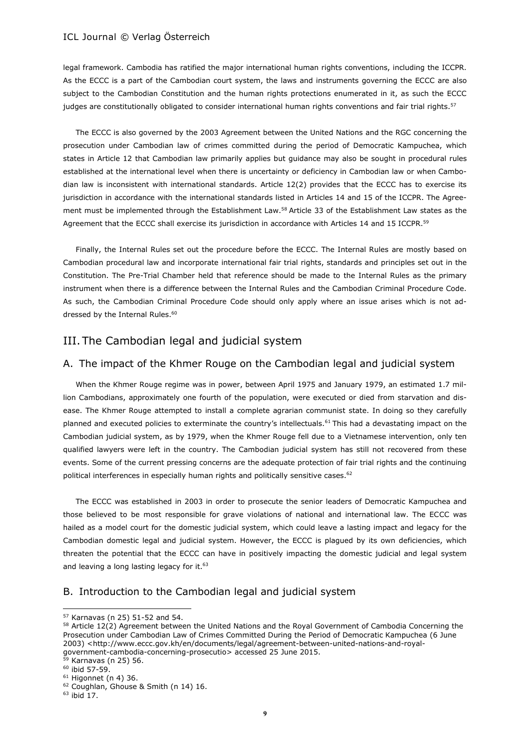legal framework. Cambodia has ratified the major international human rights conventions, including the ICCPR. As the ECCC is a part of the Cambodian court system, the laws and instruments governing the ECCC are also subject to the Cambodian Constitution and the human rights protections enumerated in it, as such the ECCC judges are constitutionally obligated to consider international human rights conventions and fair trial rights.<sup>57</sup>

The ECCC is also governed by the 2003 Agreement between the United Nations and the RGC concerning the prosecution under Cambodian law of crimes committed during the period of Democratic Kampuchea, which states in Article 12 that Cambodian law primarily applies but guidance may also be sought in procedural rules established at the international level when there is uncertainty or deficiency in Cambodian law or when Cambodian law is inconsistent with international standards. Article 12(2) provides that the ECCC has to exercise its jurisdiction in accordance with the international standards listed in Articles 14 and 15 of the ICCPR. The Agreement must be implemented through the Establishment Law.<sup>58</sup> Article 33 of the Establishment Law states as the Agreement that the ECCC shall exercise its jurisdiction in accordance with Articles 14 and 15 ICCPR.<sup>59</sup>

Finally, the Internal Rules set out the procedure before the ECCC. The Internal Rules are mostly based on Cambodian procedural law and incorporate international fair trial rights, standards and principles set out in the Constitution. The Pre-Trial Chamber held that reference should be made to the Internal Rules as the primary instrument when there is a difference between the Internal Rules and the Cambodian Criminal Procedure Code. As such, the Cambodian Criminal Procedure Code should only apply where an issue arises which is not addressed by the Internal Rules.<sup>60</sup>

# III. The Cambodian legal and judicial system

### A. The impact of the Khmer Rouge on the Cambodian legal and judicial system

When the Khmer Rouge regime was in power, between April 1975 and January 1979, an estimated 1.7 million Cambodians, approximately one fourth of the population, were executed or died from starvation and disease. The Khmer Rouge attempted to install a complete agrarian communist state. In doing so they carefully planned and executed policies to exterminate the country's intellectuals.<sup>61</sup> This had a devastating impact on the Cambodian judicial system, as by 1979, when the Khmer Rouge fell due to a Vietnamese intervention, only ten qualified lawyers were left in the country. The Cambodian judicial system has still not recovered from these events. Some of the current pressing concerns are the adequate protection of fair trial rights and the continuing political interferences in especially human rights and politically sensitive cases.<sup>62</sup>

The ECCC was established in 2003 in order to prosecute the senior leaders of Democratic Kampuchea and those believed to be most responsible for grave violations of national and international law. The ECCC was hailed as a model court for the domestic judicial system, which could leave a lasting impact and legacy for the Cambodian domestic legal and judicial system. However, the ECCC is plagued by its own deficiencies, which threaten the potential that the ECCC can have in positively impacting the domestic judicial and legal system and leaving a long lasting legacy for it.<sup>63</sup>

## B. Introduction to the Cambodian legal and judicial system

<sup>57</sup> Karnavas (n 25) 51-52 and 54.

<sup>58</sup> Article 12(2) Agreement between the United Nations and the Royal Government of Cambodia Concerning the Prosecution under Cambodian Law of Crimes Committed During the Period of Democratic Kampuchea (6 June 2003) [<http://www.eccc.gov.kh/en/documents/legal/agreement-between-united-nations-and-royal](http://www.eccc.gov.kh/en/documents/legal/agreement-between-united-nations-and-royal-government-cambodia-concerning-prosecutio)[government-cambodia-concerning-prosecutio>](http://www.eccc.gov.kh/en/documents/legal/agreement-between-united-nations-and-royal-government-cambodia-concerning-prosecutio) accessed 25 June 2015.

Karnavas (n 25) 56.

<sup>60</sup> ibid 57-59.

 $61$  Higonnet (n 4) 36.

<sup>62</sup> Coughlan, Ghouse & Smith (n 14) 16.

 $63$  ibid  $17$ .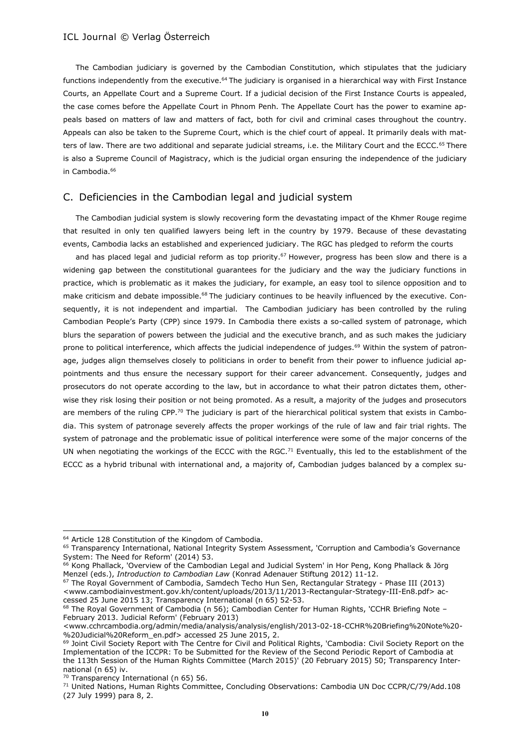The Cambodian judiciary is governed by the Cambodian Constitution, which stipulates that the judiciary functions independently from the executive.<sup>64</sup> The judiciary is organised in a hierarchical way with First Instance Courts, an Appellate Court and a Supreme Court. If a judicial decision of the First Instance Courts is appealed, the case comes before the Appellate Court in Phnom Penh. The Appellate Court has the power to examine appeals based on matters of law and matters of fact, both for civil and criminal cases throughout the country. Appeals can also be taken to the Supreme Court, which is the chief court of appeal. It primarily deals with matters of law. There are two additional and separate judicial streams, i.e. the Military Court and the ECCC.<sup>65</sup> There is also a Supreme Council of Magistracy, which is the judicial organ ensuring the independence of the judiciary in Cambodia.<sup>66</sup>

### C. Deficiencies in the Cambodian legal and judicial system

The Cambodian judicial system is slowly recovering form the devastating impact of the Khmer Rouge regime that resulted in only ten qualified lawyers being left in the country by 1979. Because of these devastating events, Cambodia lacks an established and experienced judiciary. The RGC has pledged to reform the courts

and has placed legal and judicial reform as top priority.<sup>67</sup> However, progress has been slow and there is a widening gap between the constitutional guarantees for the judiciary and the way the judiciary functions in practice, which is problematic as it makes the judiciary, for example, an easy tool to silence opposition and to make criticism and debate impossible.<sup>68</sup> The judiciary continues to be heavily influenced by the executive. Consequently, it is not independent and impartial. The Cambodian judiciary has been controlled by the ruling Cambodian People's Party (CPP) since 1979. In Cambodia there exists a so-called system of patronage, which blurs the separation of powers between the judicial and the executive branch, and as such makes the judiciary prone to political interference, which affects the judicial independence of judges.<sup>69</sup> Within the system of patronage, judges align themselves closely to politicians in order to benefit from their power to influence judicial appointments and thus ensure the necessary support for their career advancement. Consequently, judges and prosecutors do not operate according to the law, but in accordance to what their patron dictates them, otherwise they risk losing their position or not being promoted. As a result, a majority of the judges and prosecutors are members of the ruling CPP.<sup>70</sup> The judiciary is part of the hierarchical political system that exists in Cambodia. This system of patronage severely affects the proper workings of the rule of law and fair trial rights. The system of patronage and the problematic issue of political interference were some of the major concerns of the UN when negotiating the workings of the ECCC with the RGC.<sup>71</sup> Eventually, this led to the establishment of the ECCC as a hybrid tribunal with international and, a majority of, Cambodian judges balanced by a complex su-

<sup>67</sup> The Royal Government of Cambodia, Samdech Techo Hun Sen, Rectangular Strategy - Phase III (2013) [<www.cambodiainvestment.gov.kh/content/uploads/2013/11/2013-Rectangular-Strategy-III-En8.pdf>](http://www.cambodiainvestment.gov.kh/content/uploads/2013/11/2013-Rectangular-Strategy-III-En8.pdf) accessed 25 June 2015 13; Transparency International (n 65) 52-53.

68 The Royal Government of Cambodia (n 56); Cambodian Center for Human Rights, 'CCHR Briefing Note -February 2013. Judicial Reform' (February 2013)

l

<sup>&</sup>lt;sup>64</sup> Article 128 Constitution of the Kingdom of Cambodia.

<sup>&</sup>lt;sup>65</sup> Transparency International, National Integrity System Assessment, 'Corruption and Cambodia's Governance System: The Need for Reform' (2014) 53.

<sup>&</sup>lt;sup>66</sup> Kong Phallack, 'Overview of the Cambodian Legal and Judicial System' in Hor Peng, Kong Phallack & Jörg Menzel (eds.), *Introduction to Cambodian Law* (Konrad Adenauer Stiftung 2012) 11-12.

[<sup>&</sup>lt;www.cchrcambodia.org/admin/media/analysis/analysis/english/2013-02-18-CCHR%20Briefing%20Note%20-](http://www.cchrcambodia.org/admin/media/analysis/analysis/english/2013-02-18-CCHR%20Briefing%20Note%20-%20Judicial%20Reform_en.pdf) [%20Judicial%20Reform\\_en.pdf>](http://www.cchrcambodia.org/admin/media/analysis/analysis/english/2013-02-18-CCHR%20Briefing%20Note%20-%20Judicial%20Reform_en.pdf) accessed 25 June 2015, 2.

<sup>69</sup> Joint Civil Society Report with The Centre for Civil and Political Rights, 'Cambodia: Civil Society Report on the Implementation of the ICCPR: To be Submitted for the Review of the Second Periodic Report of Cambodia at the 113th Session of the Human Rights Committee (March 2015)' (20 February 2015) 50; Transparency International (n 65) iv.

 $70$  Transparency International (n 65) 56.

<sup>&</sup>lt;sup>71</sup> United Nations, Human Rights Committee, Concluding Observations: Cambodia UN Doc CCPR/C/79/Add.108 (27 July 1999) para 8, 2.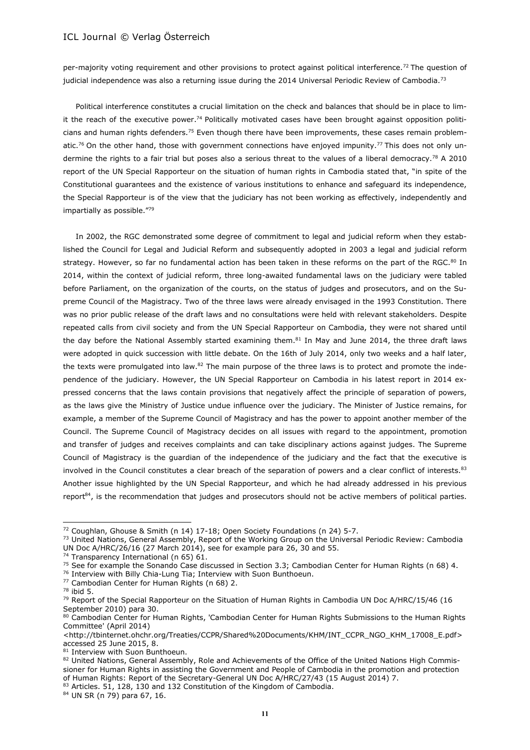per-majority voting requirement and other provisions to protect against political interference.<sup>72</sup> The question of judicial independence was also a returning issue during the 2014 Universal Periodic Review of Cambodia.<sup>73</sup>

Political interference constitutes a crucial limitation on the check and balances that should be in place to limit the reach of the executive power.<sup>74</sup> Politically motivated cases have been brought against opposition politicians and human rights defenders.<sup>75</sup> Even though there have been improvements, these cases remain problematic.<sup>76</sup> On the other hand, those with government connections have enjoyed impunity.<sup>77</sup> This does not only undermine the rights to a fair trial but poses also a serious threat to the values of a liberal democracy.<sup>78</sup> A 2010 report of the UN Special Rapporteur on the situation of human rights in Cambodia stated that, "in spite of the Constitutional guarantees and the existence of various institutions to enhance and safeguard its independence, the Special Rapporteur is of the view that the judiciary has not been working as effectively, independently and impartially as possible."<sup>79</sup>

In 2002, the RGC demonstrated some degree of commitment to legal and judicial reform when they established the Council for Legal and Judicial Reform and subsequently adopted in 2003 a legal and judicial reform strategy. However, so far no fundamental action has been taken in these reforms on the part of the RGC.<sup>80</sup> In 2014, within the context of judicial reform, three long-awaited fundamental laws on the judiciary were tabled before Parliament, on the organization of the courts, on the status of judges and prosecutors, and on the Supreme Council of the Magistracy. Two of the three laws were already envisaged in the 1993 Constitution. There was no prior public release of the draft laws and no consultations were held with relevant stakeholders. Despite repeated calls from civil society and from the UN Special Rapporteur on Cambodia, they were not shared until the day before the National Assembly started examining them.<sup>81</sup> In May and June 2014, the three draft laws were adopted in quick succession with little debate. On the 16th of July 2014, only two weeks and a half later, the texts were promulgated into law.<sup>82</sup> The main purpose of the three laws is to protect and promote the independence of the judiciary. However, the UN Special Rapporteur on Cambodia in his latest report in 2014 expressed concerns that the laws contain provisions that negatively affect the principle of separation of powers, as the laws give the Ministry of Justice undue influence over the judiciary. The Minister of Justice remains, for example, a member of the Supreme Council of Magistracy and has the power to appoint another member of the Council. The Supreme Council of Magistracy decides on all issues with regard to the appointment, promotion and transfer of judges and receives complaints and can take disciplinary actions against judges. The Supreme Council of Magistracy is the guardian of the independence of the judiciary and the fact that the executive is involved in the Council constitutes a clear breach of the separation of powers and a clear conflict of interests.<sup>83</sup> Another issue highlighted by the UN Special Rapporteur, and which he had already addressed in his previous report<sup>84</sup>, is the recommendation that judges and prosecutors should not be active members of political parties.

<sup>76</sup> Interview with Billy Chia-Lung Tia; Interview with Suon Bunthoeun.

<sup>72</sup> Coughlan, Ghouse & Smith (n 14) 17-18; Open Society Foundations (n 24) 5-7.

<sup>&</sup>lt;sup>73</sup> United Nations, General Assembly, Report of the Working Group on the Universal Periodic Review: Cambodia UN Doc A/HRC/26/16 (27 March 2014), see for example para 26, 30 and 55.

<sup>&</sup>lt;sup>74</sup> Transparency International (n 65) 61.

<sup>75</sup> See for example the Sonando Case discussed in Section 3.3; Cambodian Center for Human Rights (n 68) 4.

<sup>77</sup> Cambodian Center for Human Rights (n 68) 2.

<sup>78</sup> ibid 5.

 $79$  Report of the Special Rapporteur on the Situation of Human Rights in Cambodia UN Doc A/HRC/15/46 (16 September 2010) para 30.

<sup>80</sup> Cambodian Center for Human Rights, 'Cambodian Center for Human Rights Submissions to the Human Rights Committee' (April 2014)

[<sup>&</sup>lt;http://tbinternet.ohchr.org/Treaties/CCPR/Shared%20Documents/KHM/INT\\_CCPR\\_NGO\\_KHM\\_17008\\_E.pdf>](http://tbinternet.ohchr.org/Treaties/CCPR/Shared%20Documents/KHM/INT_CCPR_NGO_KHM_17008_E.pdf) accessed 25 June 2015, 8.

<sup>81</sup> Interview with Suon Bunthoeun.

<sup>82</sup> United Nations, General Assembly, Role and Achievements of the Office of the United Nations High Commissioner for Human Rights in assisting the Government and People of Cambodia in the promotion and protection of Human Rights: Report of the Secretary-General UN Doc A/HRC/27/43 (15 August 2014) 7.

<sup>83</sup> Articles. 51, 128, 130 and 132 Constitution of the Kingdom of Cambodia.

<sup>84</sup> UN SR (n 79) para 67, 16.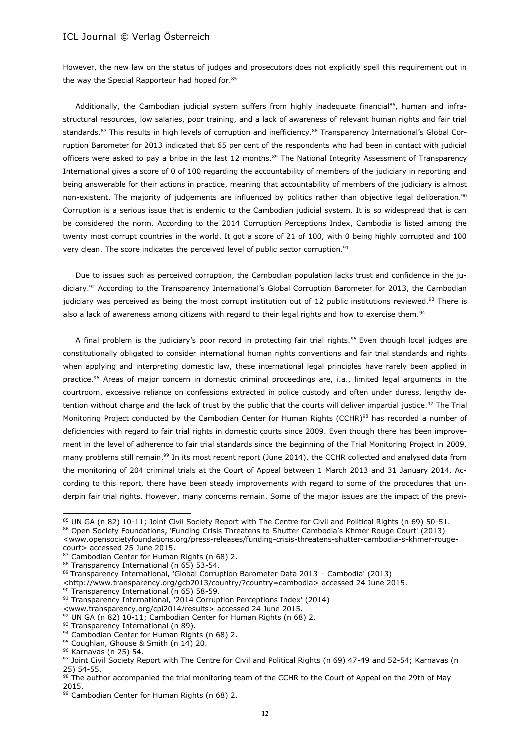However, the new law on the status of judges and prosecutors does not explicitly spell this requirement out in the way the Special Rapporteur had hoped for.<sup>85</sup>

Additionally, the Cambodian judicial system suffers from highly inadequate financial<sup>86</sup>, human and infrastructural resources, low salaries, poor training, and a lack of awareness of relevant human rights and fair trial standards.<sup>87</sup> This results in high levels of corruption and inefficiency.<sup>88</sup> Transparency International's Global Corruption Barometer for 2013 indicated that 65 per cent of the respondents who had been in contact with judicial officers were asked to pay a bribe in the last 12 months.<sup>89</sup> The National Integrity Assessment of Transparency International gives a score of 0 of 100 regarding the accountability of members of the judiciary in reporting and being answerable for their actions in practice, meaning that accountability of members of the judiciary is almost non-existent. The majority of judgements are influenced by politics rather than objective legal deliberation.<sup>90</sup> Corruption is a serious issue that is endemic to the Cambodian judicial system. It is so widespread that is can be considered the norm. According to the 2014 Corruption Perceptions Index, Cambodia is listed among the twenty most corrupt countries in the world. It got a score of 21 of 100, with 0 being highly corrupted and 100 very clean. The score indicates the perceived level of public sector corruption.<sup>91</sup>

Due to issues such as perceived corruption, the Cambodian population lacks trust and confidence in the judiciary.<sup>92</sup> According to the Transparency International's Global Corruption Barometer for 2013, the Cambodian judiciary was perceived as being the most corrupt institution out of 12 public institutions reviewed.<sup>93</sup> There is also a lack of awareness among citizens with regard to their legal rights and how to exercise them.<sup>94</sup>

A final problem is the judiciary's poor record in protecting fair trial rights.<sup>95</sup> Even though local judges are constitutionally obligated to consider international human rights conventions and fair trial standards and rights when applying and interpreting domestic law, these international legal principles have rarely been applied in practice.<sup>96</sup> Areas of major concern in domestic criminal proceedings are, i.a., limited legal arguments in the courtroom, excessive reliance on confessions extracted in police custody and often under duress, lengthy detention without charge and the lack of trust by the public that the courts will deliver impartial justice.<sup>97</sup> The Trial Monitoring Project conducted by the Cambodian Center for Human Rights (CCHR)<sup>98</sup> has recorded a number of deficiencies with regard to fair trial rights in domestic courts since 2009. Even though there has been improvement in the level of adherence to fair trial standards since the beginning of the Trial Monitoring Project in 2009, many problems still remain.<sup>99</sup> In its most recent report (June 2014), the CCHR collected and analysed data from the monitoring of 204 criminal trials at the Court of Appeal between 1 March 2013 and 31 January 2014. According to this report, there have been steady improvements with regard to some of the procedures that underpin fair trial rights. However, many concerns remain. Some of the major issues are the impact of the previ-

<sup>85</sup> UN GA (n 82) 10-11; Joint Civil Society Report with The Centre for Civil and Political Rights (n 69) 50-51.

<sup>86</sup> Open Society Foundations, 'Funding Crisis Threatens to Shutter Cambodia's Khmer Rouge Court' (2013) [<www.opensocietyfoundations.org/press-releases/funding-crisis-threatens-shutter-cambodia-s-khmer-rouge](http://www.opensocietyfoundations.org/press-releases/funding-crisis-threatens-shutter-cambodia-s-khmer-rouge-court)[court>](http://www.opensocietyfoundations.org/press-releases/funding-crisis-threatens-shutter-cambodia-s-khmer-rouge-court) accessed 25 June 2015.

<sup>87</sup> Cambodian Center for Human Rights (n 68) 2.

<sup>88</sup> Transparency International (n 65) 53-54.

<sup>89</sup> Transparency International, 'Global Corruption Barometer Data 2013 – Cambodia' (2013)

[<sup>&</sup>lt;http://www.transparency.org/gcb2013/country/?country=cambodia>](http://www.transparency.org/gcb2013/country/?country=cambodia) accessed 24 June 2015.

<sup>90</sup> Transparency International (n 65) 58-59.

<sup>&</sup>lt;sup>91</sup> Transparency International, '2014 Corruption Perceptions Index' (2014)

[<sup>&</sup>lt;www.transparency.org/cpi2014/results>](http://www.transparency.org/cpi2014/results) accessed 24 June 2015.

<sup>92</sup> UN GA (n 82) 10-11; Cambodian Center for Human Rights (n 68) 2.

<sup>93</sup> Transparency International (n 89).

<sup>94</sup> Cambodian Center for Human Rights (n 68) 2.

<sup>95</sup> Coughlan, Ghouse & Smith (n 14) 20.

<sup>96</sup> Karnavas (n 25) 54.

<sup>97</sup> Joint Civil Society Report with The Centre for Civil and Political Rights (n 69) 47-49 and 52-54; Karnavas (n 25) 54-55.

<sup>98</sup> The author accompanied the trial monitoring team of the CCHR to the Court of Appeal on the 29th of May 2015.

<sup>99</sup> Cambodian Center for Human Rights (n 68) 2.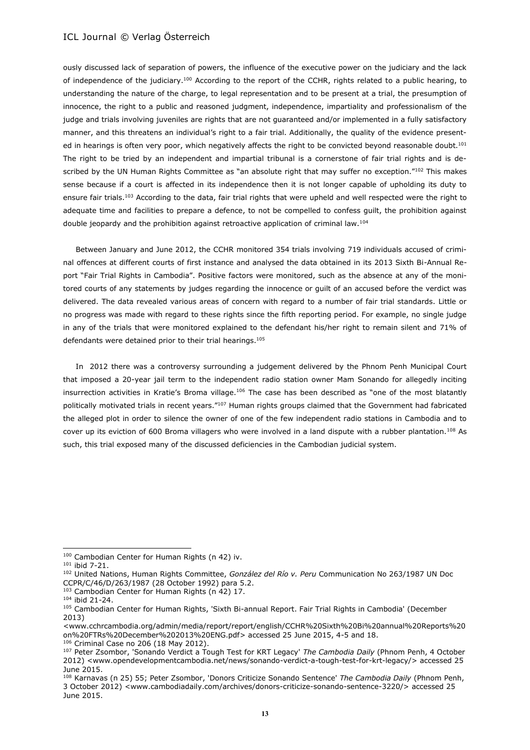ously discussed lack of separation of powers, the influence of the executive power on the judiciary and the lack of independence of the judiciary.<sup>100</sup> According to the report of the CCHR, rights related to a public hearing, to understanding the nature of the charge, to legal representation and to be present at a trial, the presumption of innocence, the right to a public and reasoned judgment, independence, impartiality and professionalism of the judge and trials involving juveniles are rights that are not guaranteed and/or implemented in a fully satisfactory manner, and this threatens an individual's right to a fair trial. Additionally, the quality of the evidence presented in hearings is often very poor, which negatively affects the right to be convicted beyond reasonable doubt.<sup>101</sup> The right to be tried by an independent and impartial tribunal is a cornerstone of fair trial rights and is described by the UN Human Rights Committee as "an absolute right that may suffer no exception."102 This makes sense because if a court is affected in its independence then it is not longer capable of upholding its duty to ensure fair trials.<sup>103</sup> According to the data, fair trial rights that were upheld and well respected were the right to adequate time and facilities to prepare a defence, to not be compelled to confess guilt, the prohibition against double jeopardy and the prohibition against retroactive application of criminal law.<sup>104</sup>

Between January and June 2012, the CCHR monitored 354 trials involving 719 individuals accused of criminal offences at different courts of first instance and analysed the data obtained in its 2013 Sixth Bi-Annual Report "Fair Trial Rights in Cambodia". Positive factors were monitored, such as the absence at any of the monitored courts of any statements by judges regarding the innocence or guilt of an accused before the verdict was delivered. The data revealed various areas of concern with regard to a number of fair trial standards. Little or no progress was made with regard to these rights since the fifth reporting period. For example, no single judge in any of the trials that were monitored explained to the defendant his/her right to remain silent and 71% of defendants were detained prior to their trial hearings.<sup>105</sup>

In 2012 there was a controversy surrounding a judgement delivered by the Phnom Penh Municipal Court that imposed a 20-year jail term to the independent radio station owner Mam Sonando for allegedly inciting insurrection activities in Kratie's Broma village.<sup>106</sup> The case has been described as "one of the most blatantly politically motivated trials in recent years."<sup>107</sup> Human rights groups claimed that the Government had fabricated the alleged plot in order to silence the owner of one of the few independent radio stations in Cambodia and to cover up its eviction of 600 Broma villagers who were involved in a land dispute with a rubber plantation.<sup>108</sup> As such, this trial exposed many of the discussed deficiencies in the Cambodian judicial system.

<sup>100</sup> Cambodian Center for Human Rights (n 42) iv.

<sup>101</sup> ibid 7-21.

<sup>102</sup> United Nations, Human Rights Committee, *González del Río v. Peru* Communication No 263/1987 UN Doc CCPR/C/46/D/263/1987 (28 October 1992) para 5.2.

<sup>103</sup> Cambodian Center for Human Rights (n 42) 17.

<sup>104</sup> ibid 21-24.

<sup>&</sup>lt;sup>105</sup> Cambodian Center for Human Rights, 'Sixth Bi-annual Report. Fair Trial Rights in Cambodia' (December 2013)

[<sup>&</sup>lt;www.cchrcambodia.org/admin/media/report/report/english/CCHR%20Sixth%20Bi%20annual%20Reports%20](http://www.cchrcambodia.org/admin/media/report/report/english/CCHR%20Sixth%20Bi%20annual%20Reports%20on%20FTRs%20December%202013%20ENG.pdf) [on%20FTRs%20December%202013%20ENG.pdf>](http://www.cchrcambodia.org/admin/media/report/report/english/CCHR%20Sixth%20Bi%20annual%20Reports%20on%20FTRs%20December%202013%20ENG.pdf) accessed 25 June 2015, 4-5 and 18. <sup>106</sup> Criminal Case no 206 (18 May 2012).

<sup>107</sup> Peter Zsombor, 'Sonando Verdict a Tough Test for KRT Legacy' *The Cambodia Daily* (Phnom Penh, 4 October 2012) [<www.opendevelopmentcambodia.net/news/sonando-verdict-a-tough-test-for-krt-legacy/>](http://www.opendevelopmentcambodia.net/news/sonando-verdict-a-tough-test-for-krt-legacy/) accessed 25 June 2015.

<sup>108</sup> Karnavas (n 25) 55; Peter Zsombor, 'Donors Criticize Sonando Sentence' *The Cambodia Daily* (Phnom Penh, 3 October 2012) [<www.cambodiadaily.com/archives/donors-criticize-sonando-sentence-3220/>](http://www.cambodiadaily.com/archives/donors-criticize-sonando-sentence-3220/) accessed 25 June 2015.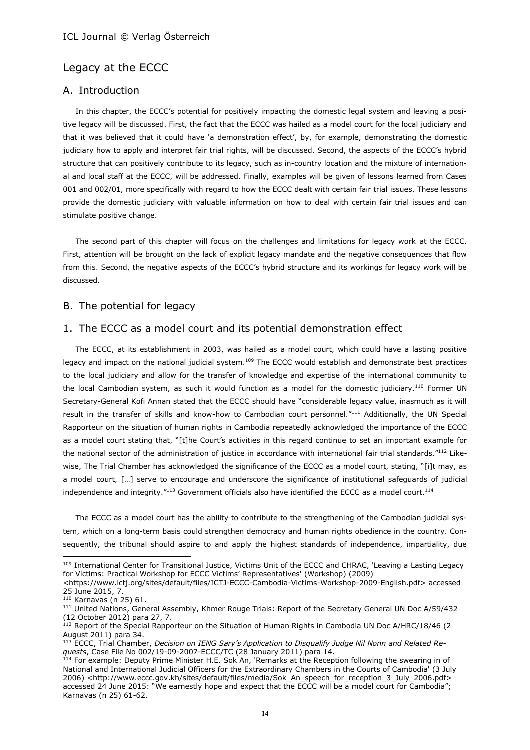# Legacy at the ECCC

## A. Introduction

In this chapter, the ECCC's potential for positively impacting the domestic legal system and leaving a positive legacy will be discussed. First, the fact that the ECCC was hailed as a model court for the local judiciary and that it was believed that it could have 'a demonstration effect', by, for example, demonstrating the domestic judiciary how to apply and interpret fair trial rights, will be discussed. Second, the aspects of the ECCC's hybrid structure that can positively contribute to its legacy, such as in-country location and the mixture of international and local staff at the ECCC, will be addressed. Finally, examples will be given of lessons learned from Cases 001 and 002/01, more specifically with regard to how the ECCC dealt with certain fair trial issues. These lessons provide the domestic judiciary with valuable information on how to deal with certain fair trial issues and can stimulate positive change.

The second part of this chapter will focus on the challenges and limitations for legacy work at the ECCC. First, attention will be brought on the lack of explicit legacy mandate and the negative consequences that flow from this. Second, the negative aspects of the ECCC's hybrid structure and its workings for legacy work will be discussed.

## B. The potential for legacy

## 1. The ECCC as a model court and its potential demonstration effect

The ECCC, at its establishment in 2003, was hailed as a model court, which could have a lasting positive legacy and impact on the national judicial system.<sup>109</sup> The ECCC would establish and demonstrate best practices to the local judiciary and allow for the transfer of knowledge and expertise of the international community to the local Cambodian system, as such it would function as a model for the domestic judiciary.<sup>110</sup> Former UN Secretary-General Kofi Annan stated that the ECCC should have "considerable legacy value, inasmuch as it will result in the transfer of skills and know-how to Cambodian court personnel."<sup>111</sup> Additionally, the UN Special Rapporteur on the situation of human rights in Cambodia repeatedly acknowledged the importance of the ECCC as a model court stating that, "[t]he Court's activities in this regard continue to set an important example for the national sector of the administration of justice in accordance with international fair trial standards."<sup>112</sup> Likewise, The Trial Chamber has acknowledged the significance of the ECCC as a model court, stating, "[i]t may, as a model court, […] serve to encourage and underscore the significance of institutional safeguards of judicial independence and integrity."<sup>113</sup> Government officials also have identified the ECCC as a model court.<sup>114</sup>

The ECCC as a model court has the ability to contribute to the strengthening of the Cambodian judicial system, which on a long-term basis could strengthen democracy and human rights obedience in the country. Consequently, the tribunal should aspire to and apply the highest standards of independence, impartiality, due

<sup>&</sup>lt;sup>109</sup> International Center for Transitional Justice, Victims Unit of the ECCC and CHRAC, 'Leaving a Lasting Legacy for Victims: Practical Workshop for ECCC Victims' Representatives' (Workshop) (2009)

[<sup>&</sup>lt;https://www.ictj.org/sites/default/files/ICTJ-ECCC-Cambodia-Victims-Workshop-2009-English.pdf>](https://www.ictj.org/sites/default/files/ICTJ-ECCC-Cambodia-Victims-Workshop-2009-English.pdf) accessed 25 June 2015, 7.

<sup>110</sup> Karnavas (n 25) 61.

<sup>111</sup> United Nations, General Assembly, Khmer Rouge Trials: Report of the Secretary General UN Doc A/59/432 (12 October 2012) para 27, 7.

 $112$  Report of the Special Rapporteur on the Situation of Human Rights in Cambodia UN Doc A/HRC/18/46 (2) August 2011) para 34.

<sup>113</sup> ECCC, Trial Chamber, *Decision on IENG Sary's Application to Disqualify Judge Nil Nonn and Related Requests*, Case File No 002/19-09-2007-ECCC/TC (28 January 2011) para 14.

<sup>&</sup>lt;sup>114</sup> For example: Deputy Prime Minister H.E. Sok An, 'Remarks at the Reception following the swearing in of National and International Judicial Officers for the Extraordinary Chambers in the Courts of Cambodia' (3 July 2006) [<http://www.eccc.gov.kh/sites/default/files/media/Sok\\_An\\_speech\\_for\\_reception\\_3\\_July\\_2006.pdf>](http://www.eccc.gov.kh/sites/default/files/media/Sok_An_speech_for_reception_3_July_2006.pdf) accessed 24 June 2015: "We earnestly hope and expect that the ECCC will be a model court for Cambodia"; Karnavas (n 25) 61-62.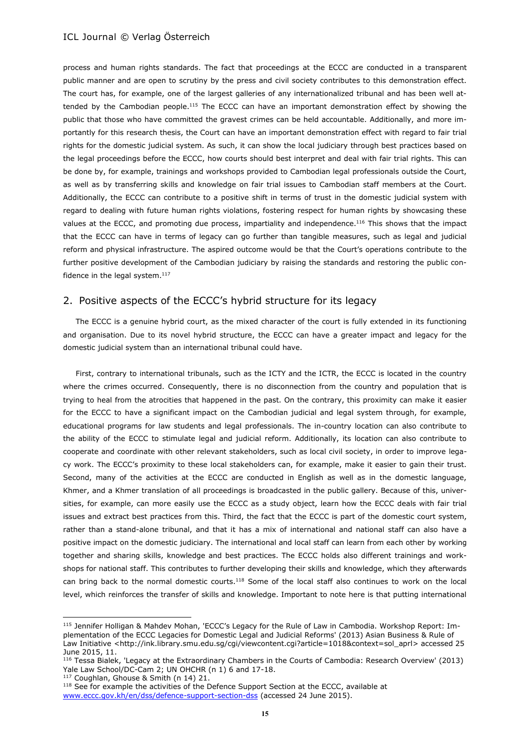process and human rights standards. The fact that proceedings at the ECCC are conducted in a transparent public manner and are open to scrutiny by the press and civil society contributes to this demonstration effect. The court has, for example, one of the largest galleries of any internationalized tribunal and has been well attended by the Cambodian people.<sup>115</sup> The ECCC can have an important demonstration effect by showing the public that those who have committed the gravest crimes can be held accountable. Additionally, and more importantly for this research thesis, the Court can have an important demonstration effect with regard to fair trial rights for the domestic judicial system. As such, it can show the local judiciary through best practices based on the legal proceedings before the ECCC, how courts should best interpret and deal with fair trial rights. This can be done by, for example, trainings and workshops provided to Cambodian legal professionals outside the Court, as well as by transferring skills and knowledge on fair trial issues to Cambodian staff members at the Court. Additionally, the ECCC can contribute to a positive shift in terms of trust in the domestic judicial system with regard to dealing with future human rights violations, fostering respect for human rights by showcasing these values at the ECCC, and promoting due process, impartiality and independence.<sup>116</sup> This shows that the impact that the ECCC can have in terms of legacy can go further than tangible measures, such as legal and judicial reform and physical infrastructure. The aspired outcome would be that the Court's operations contribute to the further positive development of the Cambodian judiciary by raising the standards and restoring the public confidence in the legal system. $^{117}$ 

# 2. Positive aspects of the ECCC's hybrid structure for its legacy

The ECCC is a genuine hybrid court, as the mixed character of the court is fully extended in its functioning and organisation. Due to its novel hybrid structure, the ECCC can have a greater impact and legacy for the domestic judicial system than an international tribunal could have.

First, contrary to international tribunals, such as the ICTY and the ICTR, the ECCC is located in the country where the crimes occurred. Consequently, there is no disconnection from the country and population that is trying to heal from the atrocities that happened in the past. On the contrary, this proximity can make it easier for the ECCC to have a significant impact on the Cambodian judicial and legal system through, for example, educational programs for law students and legal professionals. The in-country location can also contribute to the ability of the ECCC to stimulate legal and judicial reform. Additionally, its location can also contribute to cooperate and coordinate with other relevant stakeholders, such as local civil society, in order to improve legacy work. The ECCC's proximity to these local stakeholders can, for example, make it easier to gain their trust. Second, many of the activities at the ECCC are conducted in English as well as in the domestic language, Khmer, and a Khmer translation of all proceedings is broadcasted in the public gallery. Because of this, universities, for example, can more easily use the ECCC as a study object, learn how the ECCC deals with fair trial issues and extract best practices from this. Third, the fact that the ECCC is part of the domestic court system, rather than a stand-alone tribunal, and that it has a mix of international and national staff can also have a positive impact on the domestic judiciary. The international and local staff can learn from each other by working together and sharing skills, knowledge and best practices. The ECCC holds also different trainings and workshops for national staff. This contributes to further developing their skills and knowledge, which they afterwards can bring back to the normal domestic courts.<sup>118</sup> Some of the local staff also continues to work on the local level, which reinforces the transfer of skills and knowledge. Important to note here is that putting international

<sup>115</sup> Jennifer Holligan & Mahdev Mohan, 'ECCC's Legacy for the Rule of Law in Cambodia. Workshop Report: Implementation of the ECCC Legacies for Domestic Legal and Judicial Reforms' (2013) Asian Business & Rule of Law Initiative [<http://ink.library.smu.edu.sg/cgi/viewcontent.cgi?article=1018&context=sol\\_aprl>](http://ink.library.smu.edu.sg/cgi/viewcontent.cgi?article=1018&context=sol_aprl) accessed 25 June 2015, 11.

<sup>116</sup> Tessa Bialek, 'Legacy at the Extraordinary Chambers in the Courts of Cambodia: Research Overview' (2013) Yale Law School/DC-Cam 2; UN OHCHR (n 1) 6 and 17-18.

<sup>117</sup> Coughlan, Ghouse & Smith (n 14) 21.

<sup>&</sup>lt;sup>118</sup> See for example the activities of the Defence Support Section at the ECCC, available at [www.eccc.gov.kh/en/dss/defence-support-section-dss](http://www.eccc.gov.kh/en/dss/defence-support-section-dss) (accessed 24 June 2015).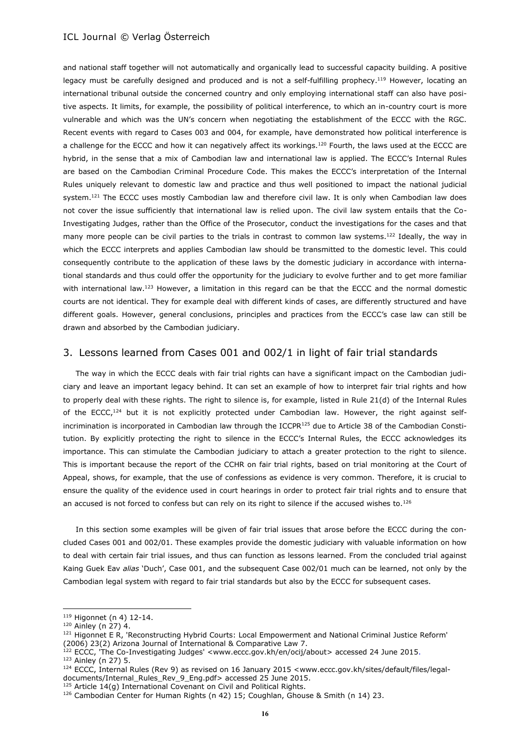and national staff together will not automatically and organically lead to successful capacity building. A positive legacy must be carefully designed and produced and is not a self-fulfilling prophecy.<sup>119</sup> However, locating an international tribunal outside the concerned country and only employing international staff can also have positive aspects. It limits, for example, the possibility of political interference, to which an in-country court is more vulnerable and which was the UN's concern when negotiating the establishment of the ECCC with the RGC. Recent events with regard to Cases 003 and 004, for example, have demonstrated how political interference is a challenge for the ECCC and how it can negatively affect its workings.<sup>120</sup> Fourth, the laws used at the ECCC are hybrid, in the sense that a mix of Cambodian law and international law is applied. The ECCC's Internal Rules are based on the Cambodian Criminal Procedure Code. This makes the ECCC's interpretation of the Internal Rules uniquely relevant to domestic law and practice and thus well positioned to impact the national judicial system.<sup>121</sup> The ECCC uses mostly Cambodian law and therefore civil law. It is only when Cambodian law does not cover the issue sufficiently that international law is relied upon. The civil law system entails that the Co-Investigating Judges, rather than the Office of the Prosecutor, conduct the investigations for the cases and that many more people can be civil parties to the trials in contrast to common law systems.<sup>122</sup> Ideally, the way in which the ECCC interprets and applies Cambodian law should be transmitted to the domestic level. This could consequently contribute to the application of these laws by the domestic judiciary in accordance with international standards and thus could offer the opportunity for the judiciary to evolve further and to get more familiar with international law.<sup>123</sup> However, a limitation in this regard can be that the ECCC and the normal domestic courts are not identical. They for example deal with different kinds of cases, are differently structured and have different goals. However, general conclusions, principles and practices from the ECCC's case law can still be drawn and absorbed by the Cambodian judiciary.

### 3. Lessons learned from Cases 001 and 002/1 in light of fair trial standards

The way in which the ECCC deals with fair trial rights can have a significant impact on the Cambodian judiciary and leave an important legacy behind. It can set an example of how to interpret fair trial rights and how to properly deal with these rights. The right to silence is, for example, listed in Rule 21(d) of the Internal Rules of the ECCC,<sup>124</sup> but it is not explicitly protected under Cambodian law. However, the right against selfincrimination is incorporated in Cambodian law through the ICCPR<sup>125</sup> due to Article 38 of the Cambodian Constitution. By explicitly protecting the right to silence in the ECCC's Internal Rules, the ECCC acknowledges its importance. This can stimulate the Cambodian judiciary to attach a greater protection to the right to silence. This is important because the report of the CCHR on fair trial rights, based on trial monitoring at the Court of Appeal, shows, for example, that the use of confessions as evidence is very common. Therefore, it is crucial to ensure the quality of the evidence used in court hearings in order to protect fair trial rights and to ensure that an accused is not forced to confess but can rely on its right to silence if the accused wishes to.<sup>126</sup>

In this section some examples will be given of fair trial issues that arose before the ECCC during the concluded Cases 001 and 002/01. These examples provide the domestic judiciary with valuable information on how to deal with certain fair trial issues, and thus can function as lessons learned. From the concluded trial against Kaing Guek Eav *alias* 'Duch', Case 001, and the subsequent Case 002/01 much can be learned, not only by the Cambodian legal system with regard to fair trial standards but also by the ECCC for subsequent cases.

<sup>119</sup> Higonnet (n 4) 12-14.

<sup>120</sup> Ainley (n 27) 4.

<sup>&</sup>lt;sup>121</sup> Higonnet E R, 'Reconstructing Hybrid Courts: Local Empowerment and National Criminal Justice Reform' (2006) 23(2) Arizona Journal of International & Comparative Law 7.

<sup>&</sup>lt;sup>122</sup> ECCC, 'The Co-Investigating Judges' [<www.eccc.gov.kh/en/ocij/about>](http://www.eccc.gov.kh/en/ocij/about) accessed 24 June 2015. <sup>123</sup> Ainley (n 27) 5.

<sup>124</sup> ECCC, Internal Rules (Rev 9) as revised on 16 January 2015 [<www.eccc.gov.kh/sites/default/files/legal](http://www.eccc.gov.kh/sites/default/files/legal-documents/Internal_Rules_Rev_9_Eng.pdf)[documents/Internal\\_Rules\\_Rev\\_9\\_Eng.pdf>](http://www.eccc.gov.kh/sites/default/files/legal-documents/Internal_Rules_Rev_9_Eng.pdf) accessed 25 June 2015.

<sup>&</sup>lt;sup>125</sup> Article 14(q) International Covenant on Civil and Political Rights.

<sup>126</sup> Cambodian Center for Human Rights (n 42) 15; Coughlan, Ghouse & Smith (n 14) 23.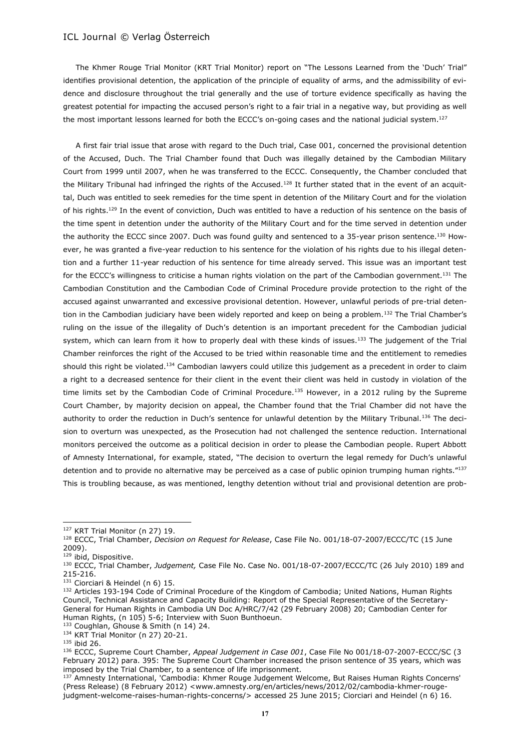The Khmer Rouge Trial Monitor (KRT Trial Monitor) report on "The Lessons Learned from the 'Duch' Trial" identifies provisional detention, the application of the principle of equality of arms, and the admissibility of evidence and disclosure throughout the trial generally and the use of torture evidence specifically as having the greatest potential for impacting the accused person's right to a fair trial in a negative way, but providing as well the most important lessons learned for both the ECCC's on-going cases and the national judicial system.<sup>127</sup>

A first fair trial issue that arose with regard to the Duch trial, Case 001, concerned the provisional detention of the Accused, Duch. The Trial Chamber found that Duch was illegally detained by the Cambodian Military Court from 1999 until 2007, when he was transferred to the ECCC. Consequently, the Chamber concluded that the Military Tribunal had infringed the rights of the Accused.<sup>128</sup> It further stated that in the event of an acquittal, Duch was entitled to seek remedies for the time spent in detention of the Military Court and for the violation of his rights.<sup>129</sup> In the event of conviction, Duch was entitled to have a reduction of his sentence on the basis of the time spent in detention under the authority of the Military Court and for the time served in detention under the authority the ECCC since 2007. Duch was found guilty and sentenced to a 35-year prison sentence.<sup>130</sup> However, he was granted a five-year reduction to his sentence for the violation of his rights due to his illegal detention and a further 11-year reduction of his sentence for time already served. This issue was an important test for the ECCC's willingness to criticise a human rights violation on the part of the Cambodian government.<sup>131</sup> The Cambodian Constitution and the Cambodian Code of Criminal Procedure provide protection to the right of the accused against unwarranted and excessive provisional detention. However, unlawful periods of pre-trial detention in the Cambodian judiciary have been widely reported and keep on being a problem.<sup>132</sup> The Trial Chamber's ruling on the issue of the illegality of Duch's detention is an important precedent for the Cambodian judicial system, which can learn from it how to properly deal with these kinds of issues.<sup>133</sup> The judgement of the Trial Chamber reinforces the right of the Accused to be tried within reasonable time and the entitlement to remedies should this right be violated.<sup>134</sup> Cambodian lawyers could utilize this judgement as a precedent in order to claim a right to a decreased sentence for their client in the event their client was held in custody in violation of the time limits set by the Cambodian Code of Criminal Procedure.<sup>135</sup> However, in a 2012 ruling by the Supreme Court Chamber, by majority decision on appeal, the Chamber found that the Trial Chamber did not have the authority to order the reduction in Duch's sentence for unlawful detention by the Military Tribunal.<sup>136</sup> The decision to overturn was unexpected, as the Prosecution had not challenged the sentence reduction. International monitors perceived the outcome as a political decision in order to please the Cambodian people. Rupert Abbott of Amnesty International, for example, stated, "The decision to overturn the legal remedy for Duch's unlawful detention and to provide no alternative may be perceived as a case of public opinion trumping human rights."137 This is troubling because, as was mentioned, lengthy detention without trial and provisional detention are prob-

<sup>127</sup> KRT Trial Monitor (n 27) 19.

<sup>128</sup> ECCC, Trial Chamber, *Decision on Request for Release*, Case File No. 001/18-07-2007/ECCC/TC (15 June 2009).

<sup>&</sup>lt;sup>129</sup> ibid, Dispositive.

<sup>130</sup> ECCC, Trial Chamber, *Judgement,* Case File No. Case No. 001/18-07-2007/ECCC/TC (26 July 2010) 189 and 215-216.

<sup>131</sup> Ciorciari & Heindel (n 6) 15.

<sup>132</sup> Articles 193-194 Code of Criminal Procedure of the Kingdom of Cambodia; United Nations, Human Rights Council, Technical Assistance and Capacity Building: Report of the Special Representative of the Secretary-General for Human Rights in Cambodia UN Doc A/HRC/7/42 (29 February 2008) 20; Cambodian Center for Human Rights, (n 105) 5-6; Interview with Suon Bunthoeun.

<sup>133</sup> Coughlan, Ghouse & Smith (n 14) 24.

<sup>134</sup> KRT Trial Monitor (n 27) 20-21.

<sup>135</sup> ibid 26.

<sup>136</sup> ECCC, Supreme Court Chamber, *Appeal Judgement in Case 001*, Case File No 001/18-07-2007-ECCC/SC (3 February 2012) para. 395: The Supreme Court Chamber increased the prison sentence of 35 years, which was imposed by the Trial Chamber, to a sentence of life imprisonment.

<sup>&</sup>lt;sup>137</sup> Amnesty International, 'Cambodia: Khmer Rouge Judgement Welcome, But Raises Human Rights Concerns' (Press Release) (8 February 2012) [<www.amnesty.org/en/articles/news/2012/02/cambodia-khmer-rouge](http://www.amnesty.org/en/articles/news/2012/02/cambodia-khmer-rouge-judgment-welcome-raises-human-rights-concerns/)[judgment-welcome-raises-human-rights-concerns/>](http://www.amnesty.org/en/articles/news/2012/02/cambodia-khmer-rouge-judgment-welcome-raises-human-rights-concerns/) accessed 25 June 2015; Ciorciari and Heindel (n 6) 16.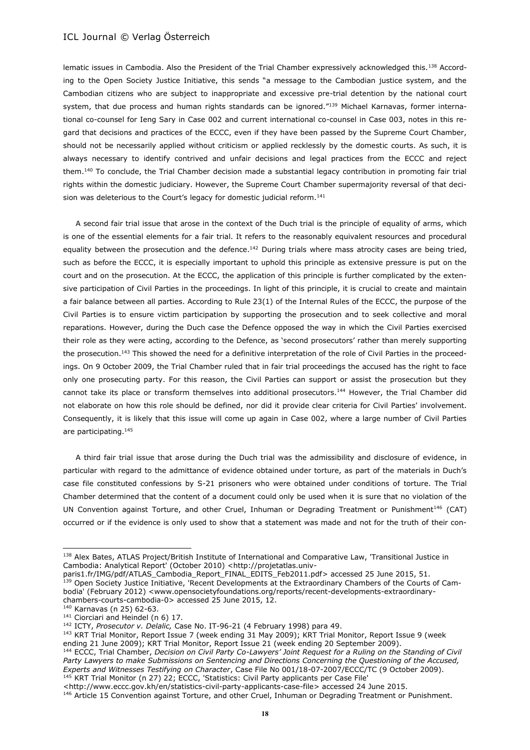lematic issues in Cambodia. Also the President of the Trial Chamber expressively acknowledged this.<sup>138</sup> According to the Open Society Justice Initiative, this sends "a message to the Cambodian justice system, and the Cambodian citizens who are subject to inappropriate and excessive pre-trial detention by the national court system, that due process and human rights standards can be ignored."139 Michael Karnavas, former international co-counsel for Ieng Sary in Case 002 and current international co-counsel in Case 003, notes in this regard that decisions and practices of the ECCC, even if they have been passed by the Supreme Court Chamber, should not be necessarily applied without criticism or applied recklessly by the domestic courts. As such, it is always necessary to identify contrived and unfair decisions and legal practices from the ECCC and reject them.<sup>140</sup> To conclude, the Trial Chamber decision made a substantial legacy contribution in promoting fair trial rights within the domestic judiciary. However, the Supreme Court Chamber supermajority reversal of that decision was deleterious to the Court's legacy for domestic judicial reform.<sup>141</sup>

A second fair trial issue that arose in the context of the Duch trial is the principle of equality of arms, which is one of the essential elements for a fair trial. It refers to the reasonably equivalent resources and procedural equality between the prosecution and the defence.<sup>142</sup> During trials where mass atrocity cases are being tried, such as before the ECCC, it is especially important to uphold this principle as extensive pressure is put on the court and on the prosecution. At the ECCC, the application of this principle is further complicated by the extensive participation of Civil Parties in the proceedings. In light of this principle, it is crucial to create and maintain a fair balance between all parties. According to Rule 23(1) of the Internal Rules of the ECCC, the purpose of the Civil Parties is to ensure victim participation by supporting the prosecution and to seek collective and moral reparations. However, during the Duch case the Defence opposed the way in which the Civil Parties exercised their role as they were acting, according to the Defence, as 'second prosecutors' rather than merely supporting the prosecution.<sup>143</sup> This showed the need for a definitive interpretation of the role of Civil Parties in the proceedings. On 9 October 2009, the Trial Chamber ruled that in fair trial proceedings the accused has the right to face only one prosecuting party. For this reason, the Civil Parties can support or assist the prosecution but they cannot take its place or transform themselves into additional prosecutors.<sup>144</sup> However, the Trial Chamber did not elaborate on how this role should be defined, nor did it provide clear criteria for Civil Parties' involvement. Consequently, it is likely that this issue will come up again in Case 002, where a large number of Civil Parties are participating.<sup>145</sup>

A third fair trial issue that arose during the Duch trial was the admissibility and disclosure of evidence, in particular with regard to the admittance of evidence obtained under torture, as part of the materials in Duch's case file constituted confessions by S-21 prisoners who were obtained under conditions of torture. The Trial Chamber determined that the content of a document could only be used when it is sure that no violation of the UN Convention against Torture, and other Cruel, Inhuman or Degrading Treatment or Punishment<sup>146</sup> (CAT) occurred or if the evidence is only used to show that a statement was made and not for the truth of their con-

 $\overline{a}$ 

<sup>143</sup> KRT Trial Monitor, Report Issue 7 (week ending 31 May 2009); KRT Trial Monitor, Report Issue 9 (week ending 21 June 2009); KRT Trial Monitor, Report Issue 21 (week ending 20 September 2009).

<sup>144</sup> ECCC, Trial Chamber, *Decision on Civil Party Co-Lawyers' Joint Request for a Ruling on the Standing of Civil Party Lawyers to make Submissions on Sentencing and Directions Concerning the Questioning of the Accused, Experts and Witnesses Testifying on Character*, Case File No 001/18-07-2007/ECCC/TC (9 October 2009). <sup>145</sup> KRT Trial Monitor (n 27) 22; ECCC, 'Statistics: Civil Party applicants per Case File'

<sup>138</sup> Alex Bates, ATLAS Project/British Institute of International and Comparative Law, 'Transitional Justice in Cambodia: Analytical Report' (October 2010) [<http://projetatlas.univ-](http://projetatlas.univ-paris1.fr/IMG/pdf/ATLAS_Cambodia_Report_FINAL_EDITS_Feb2011.pdf)

[paris1.fr/IMG/pdf/ATLAS\\_Cambodia\\_Report\\_FINAL\\_EDITS\\_Feb2011.pdf>](http://projetatlas.univ-paris1.fr/IMG/pdf/ATLAS_Cambodia_Report_FINAL_EDITS_Feb2011.pdf) accessed 25 June 2015, 51. 139 Open Society Justice Initiative, 'Recent Developments at the Extraordinary Chambers of the Courts of Cambodia' (February 2012) [<www.opensocietyfoundations.org/reports/recent-developments-extraordinary](http://www.opensocietyfoundations.org/reports/recent-developments-extraordinary-chambers-courts-cambodia-0)[chambers-courts-cambodia-0>](http://www.opensocietyfoundations.org/reports/recent-developments-extraordinary-chambers-courts-cambodia-0) accessed 25 June 2015, 12.

<sup>140</sup> Karnavas (n 25) 62-63.

<sup>&</sup>lt;sup>141</sup> Ciorciari and Heindel (n 6) 17.

<sup>142</sup> ICTY, *Prosecutor v. Delalic,* Case No. IT-96-21 (4 February 1998) para 49.

[<sup>&</sup>lt;http://www.eccc.gov.kh/en/statistics-civil-party-applicants-case-file>](http://www.eccc.gov.kh/en/statistics-civil-party-applicants-case-file) accessed 24 June 2015.

<sup>&</sup>lt;sup>146</sup> Article 15 Convention against Torture, and other Cruel, Inhuman or Degrading Treatment or Punishment.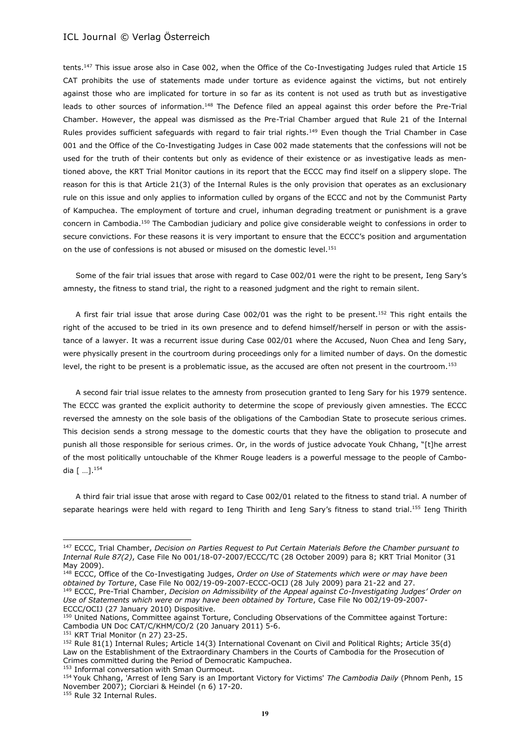tents.<sup>147</sup> This issue arose also in Case 002, when the Office of the Co-Investigating Judges ruled that Article 15 CAT prohibits the use of statements made under torture as evidence against the victims, but not entirely against those who are implicated for torture in so far as its content is not used as truth but as investigative leads to other sources of information.<sup>148</sup> The Defence filed an appeal against this order before the Pre-Trial Chamber. However, the appeal was dismissed as the Pre-Trial Chamber argued that Rule 21 of the Internal Rules provides sufficient safeguards with regard to fair trial rights.<sup>149</sup> Even though the Trial Chamber in Case 001 and the Office of the Co-Investigating Judges in Case 002 made statements that the confessions will not be used for the truth of their contents but only as evidence of their existence or as investigative leads as mentioned above, the KRT Trial Monitor cautions in its report that the ECCC may find itself on a slippery slope. The reason for this is that Article 21(3) of the Internal Rules is the only provision that operates as an exclusionary rule on this issue and only applies to information culled by organs of the ECCC and not by the Communist Party of Kampuchea. The employment of torture and cruel, inhuman degrading treatment or punishment is a grave concern in Cambodia.<sup>150</sup> The Cambodian judiciary and police give considerable weight to confessions in order to secure convictions. For these reasons it is very important to ensure that the ECCC's position and argumentation on the use of confessions is not abused or misused on the domestic level.<sup>151</sup>

Some of the fair trial issues that arose with regard to Case 002/01 were the right to be present, Ieng Sary's amnesty, the fitness to stand trial, the right to a reasoned judgment and the right to remain silent.

A first fair trial issue that arose during Case 002/01 was the right to be present.<sup>152</sup> This right entails the right of the accused to be tried in its own presence and to defend himself/herself in person or with the assistance of a lawyer. It was a recurrent issue during Case 002/01 where the Accused, Nuon Chea and Ieng Sary, were physically present in the courtroom during proceedings only for a limited number of days. On the domestic level, the right to be present is a problematic issue, as the accused are often not present in the courtroom.<sup>153</sup>

A second fair trial issue relates to the amnesty from prosecution granted to Ieng Sary for his 1979 sentence. The ECCC was granted the explicit authority to determine the scope of previously given amnesties. The ECCC reversed the amnesty on the sole basis of the obligations of the Cambodian State to prosecute serious crimes. This decision sends a strong message to the domestic courts that they have the obligation to prosecute and punish all those responsible for serious crimes. Or, in the words of justice advocate Youk Chhang, "[t]he arrest of the most politically untouchable of the Khmer Rouge leaders is a powerful message to the people of Cambodia [ …].<sup>154</sup>

A third fair trial issue that arose with regard to Case 002/01 related to the fitness to stand trial. A number of separate hearings were held with regard to Ieng Thirith and Ieng Sary's fitness to stand trial.<sup>155</sup> Ieng Thirith

l

<sup>147</sup> ECCC, Trial Chamber, *Decision on Parties Request to Put Certain Materials Before the Chamber pursuant to Internal Rule 87(2)*, Case File No 001/18-07-2007/ECCC/TC (28 October 2009) para 8; KRT Trial Monitor (31 May 2009).

<sup>148</sup> ECCC, Office of the Co-Investigating Judges, *Order on Use of Statements which were or may have been obtained by Torture*, Case File No 002/19-09-2007-ECCC-OCIJ (28 July 2009) para 21-22 and 27.

<sup>149</sup> ECCC, Pre-Trial Chamber, *Decision on Admissibility of the Appeal against Co-Investigating Judges' Order on Use of Statements which were or may have been obtained by Torture*, Case File No 002/19-09-2007- ECCC/OCIJ (27 January 2010) Dispositive.

<sup>150</sup> United Nations, Committee against Torture, Concluding Observations of the Committee against Torture: Cambodia UN Doc CAT/C/KHM/CO/2 (20 January 2011) 5-6.

<sup>151</sup> KRT Trial Monitor (n 27) 23-25.

<sup>152</sup> Rule 81(1) Internal Rules; Article 14(3) International Covenant on Civil and Political Rights; Article 35(d) Law on the Establishment of the Extraordinary Chambers in the Courts of Cambodia for the Prosecution of Crimes committed during the Period of Democratic Kampuchea.

<sup>153</sup> Informal conversation with Sman Ourmoeut.

<sup>154</sup> Youk Chhang, 'Arrest of Ieng Sary is an Important Victory for Victims' *The Cambodia Daily* (Phnom Penh, 15 November 2007); Ciorciari & Heindel (n 6) 17-20.

<sup>&</sup>lt;sup>155</sup> Rule 32 Internal Rules.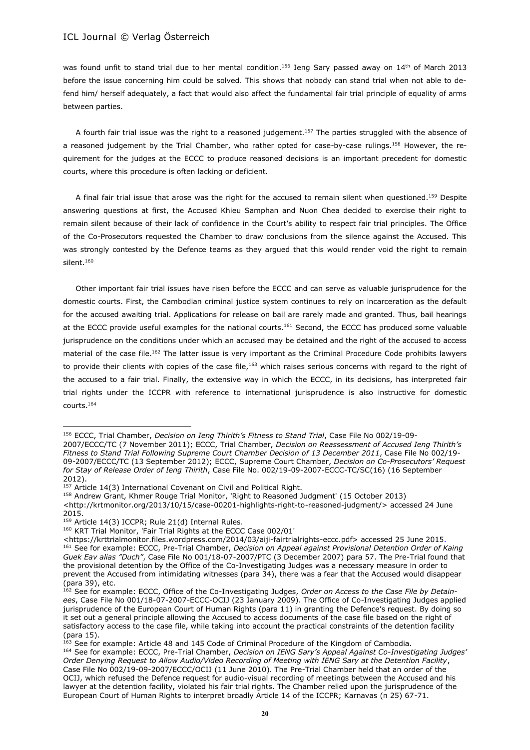was found unfit to stand trial due to her mental condition.<sup>156</sup> Ieng Sary passed away on 14<sup>th</sup> of March 2013 before the issue concerning him could be solved. This shows that nobody can stand trial when not able to defend him/ herself adequately, a fact that would also affect the fundamental fair trial principle of equality of arms between parties.

A fourth fair trial issue was the right to a reasoned judgement.<sup>157</sup> The parties struggled with the absence of a reasoned judgement by the Trial Chamber, who rather opted for case-by-case rulings.<sup>158</sup> However, the requirement for the judges at the ECCC to produce reasoned decisions is an important precedent for domestic courts, where this procedure is often lacking or deficient.

A final fair trial issue that arose was the right for the accused to remain silent when questioned.<sup>159</sup> Despite answering questions at first, the Accused Khieu Samphan and Nuon Chea decided to exercise their right to remain silent because of their lack of confidence in the Court's ability to respect fair trial principles. The Office of the Co-Prosecutors requested the Chamber to draw conclusions from the silence against the Accused. This was strongly contested by the Defence teams as they argued that this would render void the right to remain silent.<sup>160</sup>

Other important fair trial issues have risen before the ECCC and can serve as valuable jurisprudence for the domestic courts. First, the Cambodian criminal justice system continues to rely on incarceration as the default for the accused awaiting trial. Applications for release on bail are rarely made and granted. Thus, bail hearings at the ECCC provide useful examples for the national courts.<sup>161</sup> Second, the ECCC has produced some valuable jurisprudence on the conditions under which an accused may be detained and the right of the accused to access material of the case file.<sup>162</sup> The latter issue is very important as the Criminal Procedure Code prohibits lawyers to provide their clients with copies of the case file,<sup>163</sup> which raises serious concerns with regard to the right of the accused to a fair trial. Finally, the extensive way in which the ECCC, in its decisions, has interpreted fair trial rights under the ICCPR with reference to international jurisprudence is also instructive for domestic courts.<sup>164</sup>

 $\overline{a}$ <sup>156</sup> ECCC, Trial Chamber, *Decision on Ieng Thirith's Fitness to Stand Trial*, Case File No 002/19-09-

<sup>2007/</sup>ECCC/TC (7 November 2011); ECCC, Trial Chamber, *Decision on Reassessment of Accused Ieng Thirith's Fitness to Stand Trial Following Supreme Court Chamber Decision of 13 December 2011*, Case File No 002/19- 09-2007/ECCC/TC (13 September 2012); ECCC, Supreme Court Chamber, *Decision on Co-Prosecutors' Request for Stay of Release Order of Ieng Thirith*, Case File No. 002/19-09-2007-ECCC-TC/SC(16) (16 September 2012).

<sup>&</sup>lt;sup>157</sup> Article 14(3) International Covenant on Civil and Political Right.

<sup>158</sup> Andrew Grant, Khmer Rouge Trial Monitor, 'Right to Reasoned Judgment' (15 October 2013)

[<sup>&</sup>lt;http://krtmonitor.org/2013/10/15/case-00201-highlights-right-to-reasoned-judgment/>](http://krtmonitor.org/2013/10/15/case-00201-highlights-right-to-reasoned-judgment/) accessed 24 June 2015.

<sup>159</sup> Article 14(3) ICCPR; Rule 21(d) Internal Rules.

<sup>160</sup> KRT Trial Monitor, 'Fair Trial Rights at the ECCC Case 002/01'

[<sup>&</sup>lt;https://krttrialmonitor.files.wordpress.com/2014/03/aiji-fairtrialrights-eccc.pdf>](https://krttrialmonitor.files.wordpress.com/2014/03/aiji-fairtrialrights-eccc.pdf) accessed 25 June 2015. <sup>161</sup> See for example: ECCC, Pre-Trial Chamber, *Decision on Appeal against Provisional Detention Order of Kaing Guek Eav alias "Duch"*, Case File No 001/18-07-2007/PTC (3 December 2007) para 57. The Pre-Trial found that the provisional detention by the Office of the Co-Investigating Judges was a necessary measure in order to prevent the Accused from intimidating witnesses (para 34), there was a fear that the Accused would disappear (para 39), etc.

<sup>162</sup> See for example: ECCC, Office of the Co-Investigating Judges, *Order on Access to the Case File by Detainees*, Case File No 001/18-07-2007-ECCC-OCIJ (23 January 2009). The Office of Co-Investigating Judges applied jurisprudence of the European Court of Human Rights (para 11) in granting the Defence's request. By doing so it set out a general principle allowing the Accused to access documents of the case file based on the right of satisfactory access to the case file, while taking into account the practical constraints of the detention facility (para 15).

<sup>&</sup>lt;sup>163</sup> See for example: Article 48 and 145 Code of Criminal Procedure of the Kingdom of Cambodia.

<sup>164</sup> See for example: ECCC, Pre-Trial Chamber, *Decision on IENG Sary's Appeal Against Co-Investigating Judges' Order Denying Request to Allow Audio/Video Recording of Meeting with IENG Sary at the Detention Facility*, Case File No 002/19-09-2007/ECCC/OCIJ (11 June 2010). The Pre-Trial Chamber held that an order of the OCIJ, which refused the Defence request for audio-visual recording of meetings between the Accused and his lawyer at the detention facility, violated his fair trial rights. The Chamber relied upon the jurisprudence of the European Court of Human Rights to interpret broadly Article 14 of the ICCPR; Karnavas (n 25) 67-71.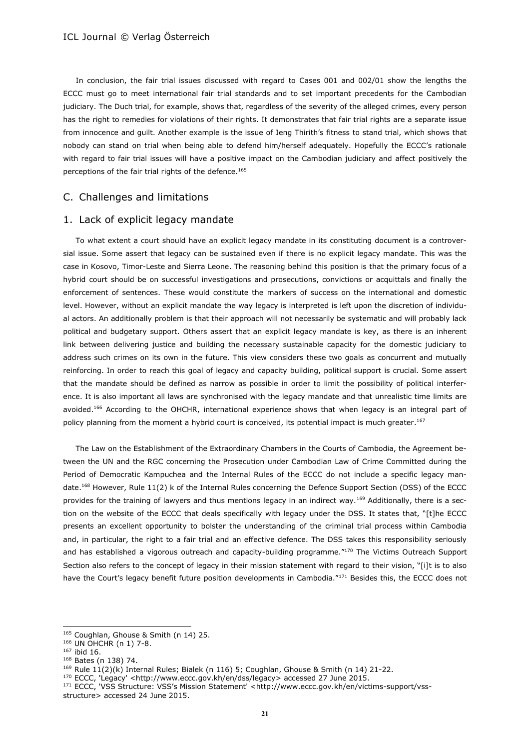In conclusion, the fair trial issues discussed with regard to Cases 001 and 002/01 show the lengths the ECCC must go to meet international fair trial standards and to set important precedents for the Cambodian judiciary. The Duch trial, for example, shows that, regardless of the severity of the alleged crimes, every person has the right to remedies for violations of their rights. It demonstrates that fair trial rights are a separate issue from innocence and guilt. Another example is the issue of Ieng Thirith's fitness to stand trial, which shows that nobody can stand on trial when being able to defend him/herself adequately. Hopefully the ECCC's rationale with regard to fair trial issues will have a positive impact on the Cambodian judiciary and affect positively the perceptions of the fair trial rights of the defence.<sup>165</sup>

## C. Challenges and limitations

### 1. Lack of explicit legacy mandate

To what extent a court should have an explicit legacy mandate in its constituting document is a controversial issue. Some assert that legacy can be sustained even if there is no explicit legacy mandate. This was the case in Kosovo, Timor-Leste and Sierra Leone. The reasoning behind this position is that the primary focus of a hybrid court should be on successful investigations and prosecutions, convictions or acquittals and finally the enforcement of sentences. These would constitute the markers of success on the international and domestic level. However, without an explicit mandate the way legacy is interpreted is left upon the discretion of individual actors. An additionally problem is that their approach will not necessarily be systematic and will probably lack political and budgetary support. Others assert that an explicit legacy mandate is key, as there is an inherent link between delivering justice and building the necessary sustainable capacity for the domestic judiciary to address such crimes on its own in the future. This view considers these two goals as concurrent and mutually reinforcing. In order to reach this goal of legacy and capacity building, political support is crucial. Some assert that the mandate should be defined as narrow as possible in order to limit the possibility of political interference. It is also important all laws are synchronised with the legacy mandate and that unrealistic time limits are avoided.<sup>166</sup> According to the OHCHR, international experience shows that when legacy is an integral part of policy planning from the moment a hybrid court is conceived, its potential impact is much greater.<sup>167</sup>

The Law on the Establishment of the Extraordinary Chambers in the Courts of Cambodia, the Agreement between the UN and the RGC concerning the Prosecution under Cambodian Law of Crime Committed during the Period of Democratic Kampuchea and the Internal Rules of the ECCC do not include a specific legacy mandate.<sup>168</sup> However, Rule 11(2) k of the Internal Rules concerning the Defence Support Section (DSS) of the ECCC provides for the training of lawyers and thus mentions legacy in an indirect way.<sup>169</sup> Additionally, there is a section on the website of the ECCC that deals specifically with legacy under the DSS. It states that, "[t]he ECCC presents an excellent opportunity to bolster the understanding of the criminal trial process within Cambodia and, in particular, the right to a fair trial and an effective defence. The DSS takes this responsibility seriously and has established a vigorous outreach and capacity-building programme."<sup>170</sup> The Victims Outreach Support Section also refers to the concept of legacy in their mission statement with regard to their vision, "[i]t is to also have the Court's legacy benefit future position developments in Cambodia."<sup>171</sup> Besides this, the ECCC does not

<sup>165</sup> Coughlan, Ghouse & Smith (n 14) 25.

<sup>166</sup> UN OHCHR (n 1) 7-8.

<sup>167</sup> ibid 16.

<sup>168</sup> Bates (n 138) 74.

<sup>169</sup> Rule 11(2)(k) Internal Rules; Bialek (n 116) 5; Coughlan, Ghouse & Smith (n 14) 21-22.

<sup>170</sup> ECCC, 'Legacy' [<http://www.eccc.gov.kh/en/dss/legacy>](http://www.eccc.gov.kh/en/dss/legacy) accessed 27 June 2015.

<sup>171</sup> ECCC, 'VSS Structure: VSS's Mission Statement' <[http://www.eccc.gov.kh/en/victims-support/vss](http://www.eccc.gov.kh/en/victims-support/vss-structure)[structure>](http://www.eccc.gov.kh/en/victims-support/vss-structure) accessed 24 June 2015.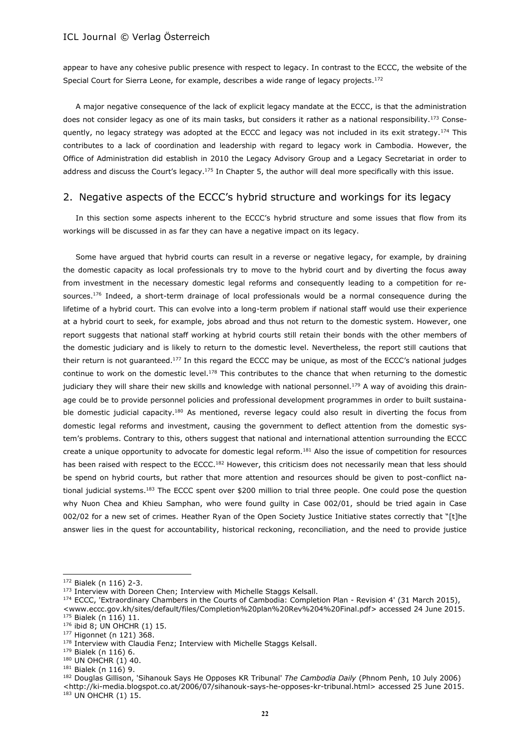appear to have any cohesive public presence with respect to legacy. In contrast to the ECCC, the website of the Special Court for Sierra Leone, for example, describes a wide range of legacy projects.<sup>172</sup>

A major negative consequence of the lack of explicit legacy mandate at the ECCC, is that the administration does not consider legacy as one of its main tasks, but considers it rather as a national responsibility.<sup>173</sup> Consequently, no legacy strategy was adopted at the ECCC and legacy was not included in its exit strategy.<sup>174</sup> This contributes to a lack of coordination and leadership with regard to legacy work in Cambodia. However, the Office of Administration did establish in 2010 the Legacy Advisory Group and a Legacy Secretariat in order to address and discuss the Court's legacy.<sup>175</sup> In Chapter 5, the author will deal more specifically with this issue.

## 2. Negative aspects of the ECCC's hybrid structure and workings for its legacy

In this section some aspects inherent to the ECCC's hybrid structure and some issues that flow from its workings will be discussed in as far they can have a negative impact on its legacy.

Some have argued that hybrid courts can result in a reverse or negative legacy, for example, by draining the domestic capacity as local professionals try to move to the hybrid court and by diverting the focus away from investment in the necessary domestic legal reforms and consequently leading to a competition for resources.<sup>176</sup> Indeed, a short-term drainage of local professionals would be a normal consequence during the lifetime of a hybrid court. This can evolve into a long-term problem if national staff would use their experience at a hybrid court to seek, for example, jobs abroad and thus not return to the domestic system. However, one report suggests that national staff working at hybrid courts still retain their bonds with the other members of the domestic judiciary and is likely to return to the domestic level. Nevertheless, the report still cautions that their return is not quaranteed.<sup>177</sup> In this regard the ECCC may be unique, as most of the ECCC's national judges continue to work on the domestic level.<sup>178</sup> This contributes to the chance that when returning to the domestic judiciary they will share their new skills and knowledge with national personnel.<sup>179</sup> A way of avoiding this drainage could be to provide personnel policies and professional development programmes in order to built sustainable domestic judicial capacity.<sup>180</sup> As mentioned, reverse legacy could also result in diverting the focus from domestic legal reforms and investment, causing the government to deflect attention from the domestic system's problems. Contrary to this, others suggest that national and international attention surrounding the ECCC create a unique opportunity to advocate for domestic legal reform.<sup>181</sup> Also the issue of competition for resources has been raised with respect to the ECCC.<sup>182</sup> However, this criticism does not necessarily mean that less should be spend on hybrid courts, but rather that more attention and resources should be given to post-conflict national judicial systems.<sup>183</sup> The ECCC spent over \$200 million to trial three people. One could pose the question why Nuon Chea and Khieu Samphan, who were found guilty in Case 002/01, should be tried again in Case 002/02 for a new set of crimes. Heather Ryan of the Open Society Justice Initiative states correctly that "[t]he answer lies in the quest for accountability, historical reckoning, reconciliation, and the need to provide justice

 $\overline{a}$ 

- 176 ibid 8; UN OHCHR (1) 15.
- <sup>177</sup> Higonnet (n 121) 368.

<sup>182</sup> Douglas Gillison, 'Sihanouk Says He Opposes KR Tribunal' *The Cambodia Daily* (Phnom Penh, 10 July 2006) [<http://ki-media.blogspot.co.at/2006/07/sihanouk-says-he-opposes-kr-tribunal.html>](http://ki-media.blogspot.co.at/2006/07/sihanouk-says-he-opposes-kr-tribunal.html) accessed 25 June 2015.

183 UN OHCHR (1) 15.

<sup>172</sup> Bialek (n 116) 2-3.

<sup>&</sup>lt;sup>173</sup> Interview with Doreen Chen; Interview with Michelle Staggs Kelsall.

<sup>174</sup> ECCC, 'Extraordinary Chambers in the Courts of Cambodia: Completion Plan - Revision 4' (31 March 2015).

[<sup>&</sup>lt;www.eccc.gov.kh/sites/default/files/Completion%20plan%20Rev%204%20Final.pdf>](http://www.eccc.gov.kh/sites/default/files/Completion%20plan%20Rev%204%20Final.pdf) accessed 24 June 2015. <sup>175</sup> Bialek (n 116) 11.

<sup>178</sup> Interview with Claudia Fenz; Interview with Michelle Staggs Kelsall.

<sup>179</sup> Bialek (n 116) 6.

 $180$  UN OHCHR (1) 40.

<sup>181</sup> Bialek (n 116) 9.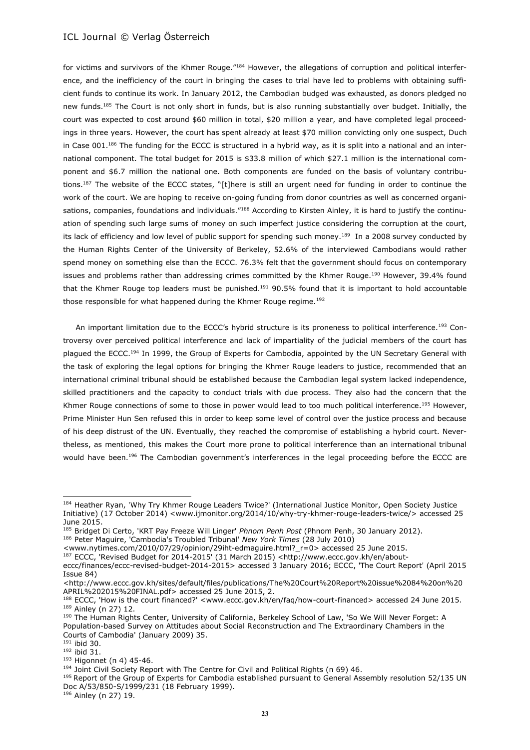for victims and survivors of the Khmer Rouge."<sup>184</sup> However, the allegations of corruption and political interference, and the inefficiency of the court in bringing the cases to trial have led to problems with obtaining sufficient funds to continue its work. In January 2012, the Cambodian budged was exhausted, as donors pledged no new funds.<sup>185</sup> The Court is not only short in funds, but is also running substantially over budget. Initially, the court was expected to cost around \$60 million in total, \$20 million a year, and have completed legal proceedings in three years. However, the court has spent already at least \$70 million convicting only one suspect, Duch in Case 001.<sup>186</sup> The funding for the ECCC is structured in a hybrid way, as it is split into a national and an international component. The total budget for 2015 is \$33.8 million of which \$27.1 million is the international component and \$6.7 million the national one. Both components are funded on the basis of voluntary contributions.<sup>187</sup> The website of the ECCC states, "[t]here is still an urgent need for funding in order to continue the work of the court. We are hoping to receive on-going funding from donor countries as well as concerned organisations, companies, foundations and individuals."<sup>188</sup> According to Kirsten Ainley, it is hard to justify the continuation of spending such large sums of money on such imperfect justice considering the corruption at the court, its lack of efficiency and low level of public support for spending such money.<sup>189</sup> In a 2008 survey conducted by the Human Rights Center of the University of Berkeley, 52.6% of the interviewed Cambodians would rather spend money on something else than the ECCC. 76.3% felt that the government should focus on contemporary issues and problems rather than addressing crimes committed by the Khmer Rouge.<sup>190</sup> However, 39.4% found that the Khmer Rouge top leaders must be punished.<sup>191</sup> 90.5% found that it is important to hold accountable those responsible for what happened during the Khmer Rouge regime.<sup>192</sup>

An important limitation due to the ECCC's hybrid structure is its proneness to political interference.<sup>193</sup> Controversy over perceived political interference and lack of impartiality of the judicial members of the court has plagued the ECCC.<sup>194</sup> In 1999, the Group of Experts for Cambodia, appointed by the UN Secretary General with the task of exploring the legal options for bringing the Khmer Rouge leaders to justice, recommended that an international criminal tribunal should be established because the Cambodian legal system lacked independence, skilled practitioners and the capacity to conduct trials with due process. They also had the concern that the Khmer Rouge connections of some to those in power would lead to too much political interference.<sup>195</sup> However, Prime Minister Hun Sen refused this in order to keep some level of control over the justice process and because of his deep distrust of the UN. Eventually, they reached the compromise of establishing a hybrid court. Nevertheless, as mentioned, this makes the Court more prone to political interference than an international tribunal would have been.<sup>196</sup> The Cambodian government's interferences in the legal proceeding before the ECCC are

[<http://www.eccc.gov.kh/sites/default/files/publications/The%20Court%20Report%20issue%2084%20on%20](http://www.eccc.gov.kh/sites/default/files/publications/The%20Court%20Report%20issue%2084%20on%20APRIL%202015%20FINAL.pdf) [APRIL%202015%20FINAL.pdf>](http://www.eccc.gov.kh/sites/default/files/publications/The%20Court%20Report%20issue%2084%20on%20APRIL%202015%20FINAL.pdf) accessed 25 June 2015, 2.

<sup>191</sup> ibid 30.

 $\overline{a}$ 

<sup>193</sup> Higonnet (n 4) 45-46.

<sup>184</sup> Heather Ryan, 'Why Try Khmer Rouge Leaders Twice?' (International Justice Monitor, Open Society Justice Initiative) (17 October 2014) [<www.ijmonitor.org/2014/10/why-try-khmer-rouge-leaders-twice/>](http://www.ijmonitor.org/2014/10/why-try-khmer-rouge-leaders-twice/) accessed 25 June 2015.

<sup>185</sup> Bridget Di Certo, 'KRT Pay Freeze Will Linger' *Phnom Penh Post* (Phnom Penh, 30 January 2012). <sup>186</sup> Peter Maguire, 'Cambodia's Troubled Tribunal' *New York Times* (28 July 2010)

[<sup>&</sup>lt;www.nytimes.com/2010/07/29/opinion/29iht-edmaguire.html?\\_r=0>](http://www.nytimes.com/2010/07/29/opinion/29iht-edmaguire.html?_r=0) accessed 25 June 2015.

<sup>187</sup> ECCC, 'Revised Budget for 2014-2015' (31 March 2015) <http://www.eccc.gov.kh/en/about-

eccc/finances/eccc-revised-budget-2014-2015> accessed 3 January 2016; ECCC, 'The Court Report' (April 2015 Issue 84)

<sup>188</sup> ECCC, 'How is the court financed?' [<www.eccc.gov.kh/en/faq/how-court-financed>](http://www.eccc.gov.kh/en/faq/how-court-financed) accessed 24 June 2015. <sup>189</sup> Ainley (n 27) 12.

<sup>190</sup> The Human Rights Center, University of California, Berkeley School of Law, 'So We Will Never Forget: A Population-based Survey on Attitudes about Social Reconstruction and The Extraordinary Chambers in the Courts of Cambodia' (January 2009) 35.

<sup>192</sup> ibid 31.

<sup>194</sup> Joint Civil Society Report with The Centre for Civil and Political Rights (n 69) 46.

<sup>&</sup>lt;sup>195</sup> Report of the Group of Experts for Cambodia established pursuant to General Assembly resolution 52/135 UN Doc A/53/850-S/1999/231 (18 February 1999).

<sup>196</sup> Ainley (n 27) 19.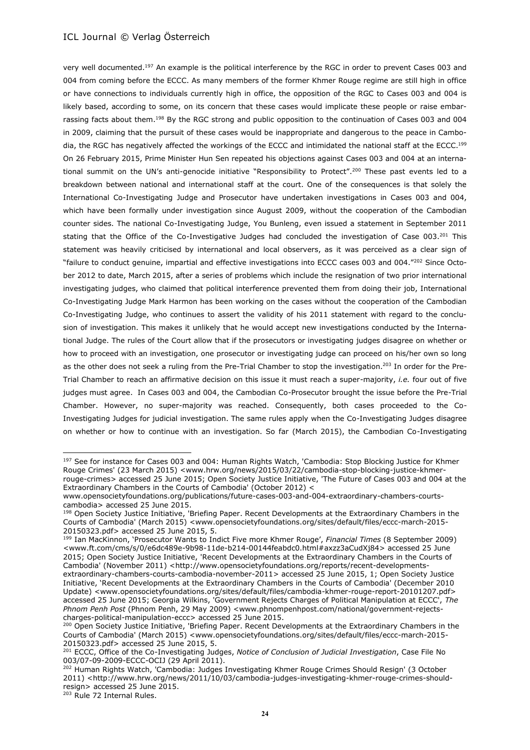very well documented.<sup>197</sup> An example is the political interference by the RGC in order to prevent Cases 003 and 004 from coming before the ECCC. As many members of the former Khmer Rouge regime are still high in office or have connections to individuals currently high in office, the opposition of the RGC to Cases 003 and 004 is likely based, according to some, on its concern that these cases would implicate these people or raise embarrassing facts about them.<sup>198</sup> By the RGC strong and public opposition to the continuation of Cases 003 and 004 in 2009, claiming that the pursuit of these cases would be inappropriate and dangerous to the peace in Cambodia, the RGC has negatively affected the workings of the ECCC and intimidated the national staff at the ECCC.<sup>199</sup> On 26 February 2015, Prime Minister Hun Sen repeated his objections against Cases 003 and 004 at an international summit on the UN's anti-genocide initiative "Responsibility to Protect".<sup>200</sup> These past events led to a breakdown between national and international staff at the court. One of the consequences is that solely the International Co-Investigating Judge and Prosecutor have undertaken investigations in Cases 003 and 004, which have been formally under investigation since August 2009, without the cooperation of the Cambodian counter sides. The national Co-Investigating Judge, You Bunleng, even issued a statement in September 2011 stating that the Office of the Co-Investigative Judges had concluded the investigation of Case 003.<sup>201</sup> This statement was heavily criticised by international and local observers, as it was perceived as a clear sign of "failure to conduct genuine, impartial and effective investigations into ECCC cases 003 and 004."<sup>202</sup> Since October 2012 to date, March 2015, after a series of problems which include the resignation of two prior international investigating judges, who claimed that political interference prevented them from doing their job, International Co-Investigating Judge Mark Harmon has been working on the cases without the cooperation of the Cambodian Co-Investigating Judge, who continues to assert the validity of his 2011 statement with regard to the conclusion of investigation. This makes it unlikely that he would accept new investigations conducted by the International Judge. The rules of the Court allow that if the prosecutors or investigating judges disagree on whether or how to proceed with an investigation, one prosecutor or investigating judge can proceed on his/her own so long as the other does not seek a ruling from the Pre-Trial Chamber to stop the investigation.<sup>203</sup> In order for the Pre-Trial Chamber to reach an affirmative decision on this issue it must reach a super-majority, *i.e.* four out of five judges must agree. In Cases 003 and 004, the Cambodian Co-Prosecutor brought the issue before the Pre-Trial Chamber. However, no super-majority was reached. Consequently, both cases proceeded to the Co-Investigating Judges for judicial investigation. The same rules apply when the Co-Investigating Judges disagree on whether or how to continue with an investigation. So far (March 2015), the Cambodian Co-Investigating

<sup>203</sup> Rule 72 Internal Rules.

<sup>&</sup>lt;sup>197</sup> See for instance for Cases 003 and 004: Human Rights Watch, 'Cambodia: Stop Blocking Justice for Khmer Rouge Crimes' (23 March 2015) [<www.hrw.org/news/2015/03/22/cambodia-stop-blocking-justice-khmer](http://www.hrw.org/news/2015/03/22/cambodia-stop-blocking-justice-khmer-rouge-crimes)[rouge-crimes>](http://www.hrw.org/news/2015/03/22/cambodia-stop-blocking-justice-khmer-rouge-crimes) accessed 25 June 2015; Open Society Justice Initiative, 'The Future of Cases 003 and 004 at the Extraordinary Chambers in the Courts of Cambodia' (October 2012) <

[www.opensocietyfoundations.org/publications/future-cases-003-and-004-extraordinary-chambers-courts](http://www.opensocietyfoundations.org/publications/future-cases-003-and-004-extraordinary-chambers-courts-cambodia)[cambodia>](http://www.opensocietyfoundations.org/publications/future-cases-003-and-004-extraordinary-chambers-courts-cambodia) accessed 25 June 2015.

<sup>198</sup> Open Society Justice Initiative, 'Briefing Paper. Recent Developments at the Extraordinary Chambers in the Courts of Cambodia' (March 2015) [<www.opensocietyfoundations.org/sites/default/files/eccc-march-2015-](http://www.opensocietyfoundations.org/sites/default/files/eccc-march-2015-20150323.pdf) [20150323.pdf>](http://www.opensocietyfoundations.org/sites/default/files/eccc-march-2015-20150323.pdf) accessed 25 June 2015, 5.

<sup>199</sup> Ian MacKinnon, 'Prosecutor Wants to Indict Five more Khmer Rouge', *Financial Times* (8 September 2009) [<www.ft.com/cms/s/0/e6dc489e-9b98-11de-b214-00144feabdc0.html#axzz3aCudXj84>](http://www.ft.com/cms/s/0/e6dc489e-9b98-11de-b214-00144feabdc0.html#axzz3aCudXj84) accessed 25 June 2015; Open Society Justice Initiative, 'Recent Developments at the Extraordinary Chambers in the Courts of Cambodia' (November 2011) [<http://www.opensocietyfoundations.org/reports/recent-developments](http://www.opensocietyfoundations.org/reports/recent-developments-extraordinary-chambers-courts-cambodia-november-2011)[extraordinary-chambers-courts-cambodia-november-2011>](http://www.opensocietyfoundations.org/reports/recent-developments-extraordinary-chambers-courts-cambodia-november-2011) accessed 25 June 2015, 1; Open Society Justice Initiative, 'Recent Developments at the Extraordinary Chambers in the Courts of Cambodia' (December 2010 Update) [<www.opensocietyfoundations.org/sites/default/files/cambodia-khmer-rouge-report-20101207.pdf>](http://www.opensocietyfoundations.org/sites/default/files/cambodia-khmer-rouge-report-20101207.pdf) accessed 25 June 2015; Georgia Wilkins, 'Government Rejects Charges of Political Manipulation at ECCC', *The Phnom Penh Post* (Phnom Penh, 29 May 2009) [<www.phnompenhpost.com/national/government-rejects](http://www.phnompenhpost.com/national/government-rejects-charges-political-manipulation-eccc)[charges-political-manipulation-eccc>](http://www.phnompenhpost.com/national/government-rejects-charges-political-manipulation-eccc) accessed 25 June 2015.

<sup>&</sup>lt;sup>200</sup> Open Society Justice Initiative, 'Briefing Paper. Recent Developments at the Extraordinary Chambers in the Courts of Cambodia' (March 2015) [<www.opensocietyfoundations.org/sites/default/files/eccc-march-2015-](http://www.opensocietyfoundations.org/sites/default/files/eccc-march-2015-20150323.pdf) [20150323.pdf>](http://www.opensocietyfoundations.org/sites/default/files/eccc-march-2015-20150323.pdf) accessed 25 June 2015, 5.

<sup>201</sup> ECCC, Office of the Co-Investigating Judges, *Notice of Conclusion of Judicial Investigation*, Case File No 003/07-09-2009-ECCC-OCIJ (29 April 2011).

<sup>202</sup> Human Rights Watch, 'Cambodia: Judges Investigating Khmer Rouge Crimes Should Resign' (3 October 2011) [<http://www.hrw.org/news/2011/10/03/cambodia-judges-investigating-khmer-rouge-crimes-should](http://www.hrw.org/news/2011/10/03/cambodia-judges-investigating-khmer-rouge-crimes-should-resign)[resign>](http://www.hrw.org/news/2011/10/03/cambodia-judges-investigating-khmer-rouge-crimes-should-resign) accessed 25 June 2015.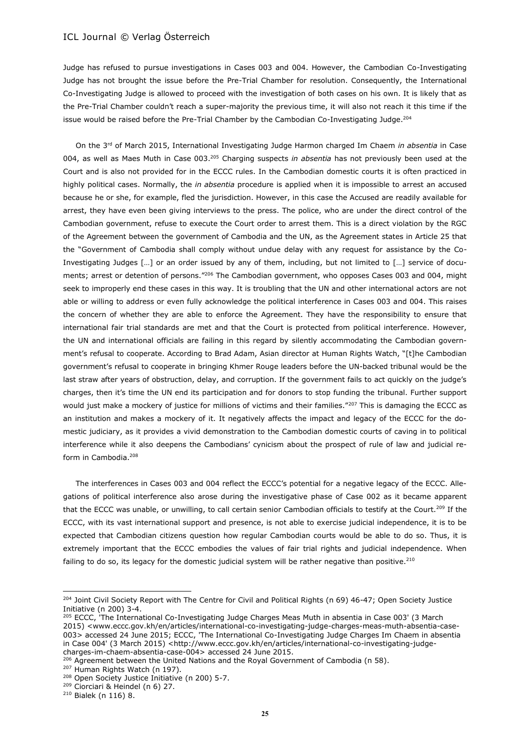Judge has refused to pursue investigations in Cases 003 and 004. However, the Cambodian Co-Investigating Judge has not brought the issue before the Pre-Trial Chamber for resolution. Consequently, the International Co-Investigating Judge is allowed to proceed with the investigation of both cases on his own. It is likely that as the Pre-Trial Chamber couldn't reach a super-majority the previous time, it will also not reach it this time if the issue would be raised before the Pre-Trial Chamber by the Cambodian Co-Investigating Judge.<sup>204</sup>

On the 3rd of March 2015, International Investigating Judge Harmon charged Im Chaem *in absentia* in Case 004, as well as Maes Muth in Case 003.<sup>205</sup> Charging suspects *in absentia* has not previously been used at the Court and is also not provided for in the ECCC rules. In the Cambodian domestic courts it is often practiced in highly political cases. Normally, the *in absentia* procedure is applied when it is impossible to arrest an accused because he or she, for example, fled the jurisdiction. However, in this case the Accused are readily available for arrest, they have even been giving interviews to the press. The police, who are under the direct control of the Cambodian government, refuse to execute the Court order to arrest them. This is a direct violation by the RGC of the Agreement between the government of Cambodia and the UN, as the Agreement states in Article 25 that the "Government of Cambodia shall comply without undue delay with any request for assistance by the Co-Investigating Judges […] or an order issued by any of them, including, but not limited to […] service of documents; arrest or detention of persons."<sup>206</sup> The Cambodian government, who opposes Cases 003 and 004, might seek to improperly end these cases in this way. It is troubling that the UN and other international actors are not able or willing to address or even fully acknowledge the political interference in Cases 003 and 004. This raises the concern of whether they are able to enforce the Agreement. They have the responsibility to ensure that international fair trial standards are met and that the Court is protected from political interference. However, the UN and international officials are failing in this regard by silently accommodating the Cambodian government's refusal to cooperate. According to Brad Adam, Asian director at Human Rights Watch, "[t]he Cambodian government's refusal to cooperate in bringing Khmer Rouge leaders before the UN-backed tribunal would be the last straw after years of obstruction, delay, and corruption. If the government fails to act quickly on the judge's charges, then it's time the UN end its participation and for donors to stop funding the tribunal. Further support would just make a mockery of justice for millions of victims and their families."207 This is damaging the ECCC as an institution and makes a mockery of it. It negatively affects the impact and legacy of the ECCC for the domestic judiciary, as it provides a vivid demonstration to the Cambodian domestic courts of caving in to political interference while it also deepens the Cambodians' cynicism about the prospect of rule of law and judicial reform in Cambodia.<sup>208</sup>

The interferences in Cases 003 and 004 reflect the ECCC's potential for a negative legacy of the ECCC. Allegations of political interference also arose during the investigative phase of Case 002 as it became apparent that the ECCC was unable, or unwilling, to call certain senior Cambodian officials to testify at the Court.<sup>209</sup> If the ECCC, with its vast international support and presence, is not able to exercise judicial independence, it is to be expected that Cambodian citizens question how regular Cambodian courts would be able to do so. Thus, it is extremely important that the ECCC embodies the values of fair trial rights and judicial independence. When failing to do so, its legacy for the domestic judicial system will be rather negative than positive.<sup>210</sup>

<sup>207</sup> Human Rights Watch (n 197).

<sup>&</sup>lt;sup>204</sup> Joint Civil Society Report with The Centre for Civil and Political Rights (n 69) 46-47; Open Society Justice Initiative (n 200) 3-4.

<sup>&</sup>lt;sup>205</sup> ECCC, 'The International Co-Investigating Judge Charges Meas Muth in absentia in Case 003' (3 March 2015) [<www.eccc.gov.kh/en/articles/international-co-investigating-judge-charges-meas-muth-absentia-case-](http://www.eccc.gov.kh/en/articles/international-co-investigating-judge-charges-meas-muth-absentia-case-003)[003>](http://www.eccc.gov.kh/en/articles/international-co-investigating-judge-charges-meas-muth-absentia-case-003) accessed 24 June 2015; ECCC, 'The International Co-Investigating Judge Charges Im Chaem in absentia in Case 004' (3 March 2015) [<http://www.eccc.gov.kh/en/articles/international-co-investigating-judge](http://www.eccc.gov.kh/en/articles/international-co-investigating-judge-charges-im-chaem-absentia-case-004)[charges-im-chaem-absentia-case-004>](http://www.eccc.gov.kh/en/articles/international-co-investigating-judge-charges-im-chaem-absentia-case-004) accessed 24 June 2015.

<sup>&</sup>lt;sup>206</sup> Agreement between the United Nations and the Royal Government of Cambodia (n 58).

<sup>&</sup>lt;sup>208</sup> Open Society Justice Initiative (n 200) 5-7.

<sup>209</sup> Ciorciari & Heindel (n 6) 27.

<sup>210</sup> Bialek (n 116) 8.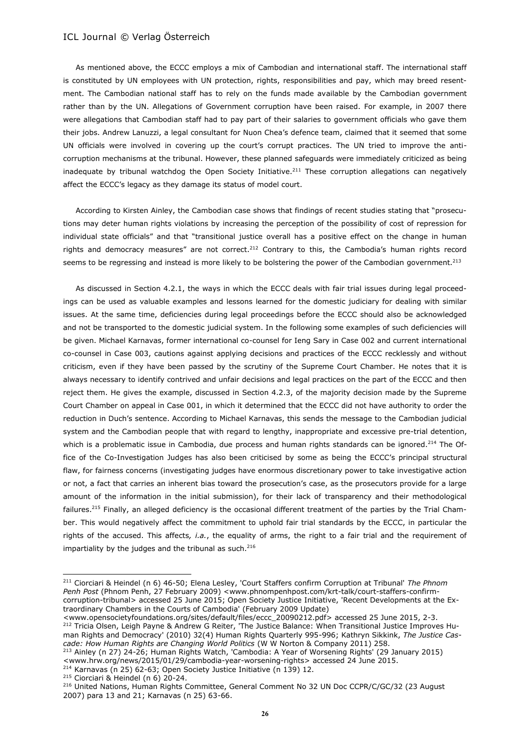As mentioned above, the ECCC employs a mix of Cambodian and international staff. The international staff is constituted by UN employees with UN protection, rights, responsibilities and pay, which may breed resentment. The Cambodian national staff has to rely on the funds made available by the Cambodian government rather than by the UN. Allegations of Government corruption have been raised. For example, in 2007 there were allegations that Cambodian staff had to pay part of their salaries to government officials who gave them their jobs. Andrew Lanuzzi, a legal consultant for Nuon Chea's defence team, claimed that it seemed that some UN officials were involved in covering up the court's corrupt practices. The UN tried to improve the anticorruption mechanisms at the tribunal. However, these planned safeguards were immediately criticized as being inadequate by tribunal watchdog the Open Society Initiative.<sup>211</sup> These corruption allegations can negatively affect the ECCC's legacy as they damage its status of model court.

According to Kirsten Ainley, the Cambodian case shows that findings of recent studies stating that "prosecutions may deter human rights violations by increasing the perception of the possibility of cost of repression for individual state officials" and that "transitional justice overall has a positive effect on the change in human rights and democracy measures" are not correct.<sup>212</sup> Contrary to this, the Cambodia's human rights record seems to be regressing and instead is more likely to be bolstering the power of the Cambodian government.<sup>213</sup>

As discussed in Section 4.2.1, the ways in which the ECCC deals with fair trial issues during legal proceedings can be used as valuable examples and lessons learned for the domestic judiciary for dealing with similar issues. At the same time, deficiencies during legal proceedings before the ECCC should also be acknowledged and not be transported to the domestic judicial system. In the following some examples of such deficiencies will be given. Michael Karnavas, former international co-counsel for Ieng Sary in Case 002 and current international co-counsel in Case 003, cautions against applying decisions and practices of the ECCC recklessly and without criticism, even if they have been passed by the scrutiny of the Supreme Court Chamber. He notes that it is always necessary to identify contrived and unfair decisions and legal practices on the part of the ECCC and then reject them. He gives the example, discussed in Section 4.2.3, of the majority decision made by the Supreme Court Chamber on appeal in Case 001, in which it determined that the ECCC did not have authority to order the reduction in Duch's sentence. According to Michael Karnavas, this sends the message to the Cambodian judicial system and the Cambodian people that with regard to lengthy, inappropriate and excessive pre-trial detention, which is a problematic issue in Cambodia, due process and human rights standards can be ignored.<sup>214</sup> The Office of the Co-Investigation Judges has also been criticised by some as being the ECCC's principal structural flaw, for fairness concerns (investigating judges have enormous discretionary power to take investigative action or not, a fact that carries an inherent bias toward the prosecution's case, as the prosecutors provide for a large amount of the information in the initial submission), for their lack of transparency and their methodological failures.<sup>215</sup> Finally, an alleged deficiency is the occasional different treatment of the parties by the Trial Chamber. This would negatively affect the commitment to uphold fair trial standards by the ECCC, in particular the rights of the accused. This affects*, i.a.*, the equality of arms, the right to a fair trial and the requirement of impartiality by the judges and the tribunal as such. $216$ 

<sup>213</sup> Ainley (n 27) 24-26; Human Rights Watch, 'Cambodia: A Year of Worsening Rights' (29 January 2015)

- [<www.hrw.org/news/2015/01/29/cambodia-year-worsening-rights>](http://www.hrw.org/news/2015/01/29/cambodia-year-worsening-rights) accessed 24 June 2015. <sup>214</sup> Karnavas (n 25) 62-63; Open Society Justice Initiative (n 139) 12.
- $215$  Ciorciari & Heindel (n 6) 20-24.

<sup>211</sup> Ciorciari & Heindel (n 6) 46-50; Elena Lesley, 'Court Staffers confirm Corruption at Tribunal' *The Phnom Penh Post* (Phnom Penh, 27 February 2009) [<www.phnompenhpost.com/krt-talk/court-staffers-confirm](http://www.phnompenhpost.com/krt-talk/court-staffers-confirm-corruption-tribunal)[corruption-tribunal>](http://www.phnompenhpost.com/krt-talk/court-staffers-confirm-corruption-tribunal) accessed 25 June 2015; Open Society Justice Initiative, 'Recent Developments at the Extraordinary Chambers in the Courts of Cambodia' (February 2009 Update)

[<sup>&</sup>lt;www.opensocietyfoundations.org/sites/default/files/eccc\\_20090212.pdf>](http://www.opensocietyfoundations.org/sites/default/files/eccc_20090212.pdf) accessed 25 June 2015, 2-3. <sup>212</sup> Tricia Olsen, Leigh Payne & Andrew G Reiter, 'The Justice Balance: When Transitional Justice Improves Human Rights and Democracy' (2010) 32(4) Human Rights Quarterly 995-996; Kathryn Sikkink, *The Justice Cascade: How Human Rights are Changing World Politics* (W W Norton & Company 2011) 258.

<sup>&</sup>lt;sup>216</sup> United Nations, Human Rights Committee, General Comment No 32 UN Doc CCPR/C/GC/32 (23 August 2007) para 13 and 21; Karnavas (n 25) 63-66.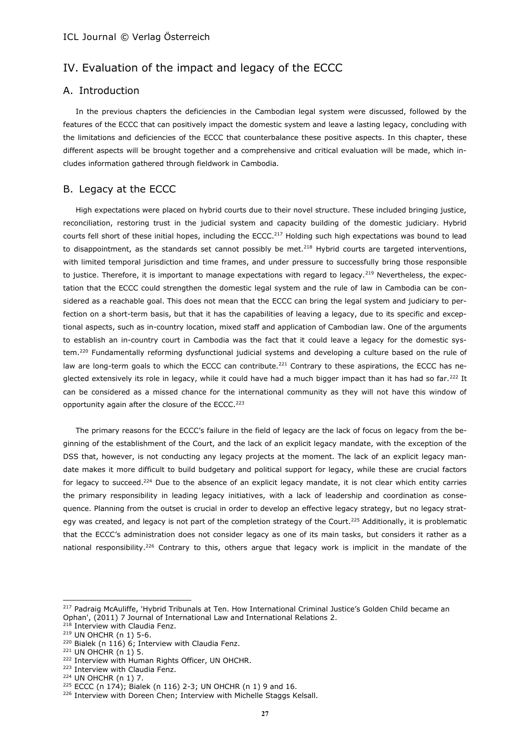# IV. Evaluation of the impact and legacy of the ECCC

# A. Introduction

In the previous chapters the deficiencies in the Cambodian legal system were discussed, followed by the features of the ECCC that can positively impact the domestic system and leave a lasting legacy, concluding with the limitations and deficiencies of the ECCC that counterbalance these positive aspects. In this chapter, these different aspects will be brought together and a comprehensive and critical evaluation will be made, which includes information gathered through fieldwork in Cambodia.

# B. Legacy at the ECCC

High expectations were placed on hybrid courts due to their novel structure. These included bringing justice, reconciliation, restoring trust in the judicial system and capacity building of the domestic judiciary. Hybrid courts fell short of these initial hopes, including the ECCC.<sup>217</sup> Holding such high expectations was bound to lead to disappointment, as the standards set cannot possibly be met. $^{218}$  Hybrid courts are targeted interventions, with limited temporal jurisdiction and time frames, and under pressure to successfully bring those responsible to justice. Therefore, it is important to manage expectations with regard to legacy.<sup>219</sup> Nevertheless, the expectation that the ECCC could strengthen the domestic legal system and the rule of law in Cambodia can be considered as a reachable goal. This does not mean that the ECCC can bring the legal system and judiciary to perfection on a short-term basis, but that it has the capabilities of leaving a legacy, due to its specific and exceptional aspects, such as in-country location, mixed staff and application of Cambodian law. One of the arguments to establish an in-country court in Cambodia was the fact that it could leave a legacy for the domestic system.<sup>220</sup> Fundamentally reforming dysfunctional judicial systems and developing a culture based on the rule of law are long-term goals to which the ECCC can contribute.<sup>221</sup> Contrary to these aspirations, the ECCC has neglected extensively its role in legacy, while it could have had a much bigger impact than it has had so far.<sup>222</sup> It can be considered as a missed chance for the international community as they will not have this window of opportunity again after the closure of the ECCC.<sup>223</sup>

The primary reasons for the ECCC's failure in the field of legacy are the lack of focus on legacy from the beginning of the establishment of the Court, and the lack of an explicit legacy mandate, with the exception of the DSS that, however, is not conducting any legacy projects at the moment. The lack of an explicit legacy mandate makes it more difficult to build budgetary and political support for legacy, while these are crucial factors for legacy to succeed.<sup>224</sup> Due to the absence of an explicit legacy mandate, it is not clear which entity carries the primary responsibility in leading legacy initiatives, with a lack of leadership and coordination as consequence. Planning from the outset is crucial in order to develop an effective legacy strategy, but no legacy strategy was created, and legacy is not part of the completion strategy of the Court.<sup>225</sup> Additionally, it is problematic that the ECCC's administration does not consider legacy as one of its main tasks, but considers it rather as a national responsibility.<sup>226</sup> Contrary to this, others argue that legacy work is implicit in the mandate of the

<sup>&</sup>lt;sup>217</sup> Padraig McAuliffe, 'Hybrid Tribunals at Ten. How International Criminal Justice's Golden Child became an Ophan', (2011) 7 Journal of International Law and International Relations 2.

<sup>&</sup>lt;sup>218</sup> Interview with Claudia Fenz.

<sup>219</sup> UN OHCHR (n 1) 5-6.

<sup>&</sup>lt;sup>220</sup> Bialek (n 116) 6; Interview with Claudia Fenz.

<sup>221</sup> UN OHCHR (n 1) 5.

<sup>&</sup>lt;sup>222</sup> Interview with Human Rights Officer, UN OHCHR.

<sup>223</sup> Interview with Claudia Fenz.

<sup>224</sup> UN OHCHR (n 1) 7.

<sup>225</sup> ECCC (n 174); Bialek (n 116) 2-3; UN OHCHR (n 1) 9 and 16.

<sup>&</sup>lt;sup>226</sup> Interview with Doreen Chen; Interview with Michelle Staggs Kelsall.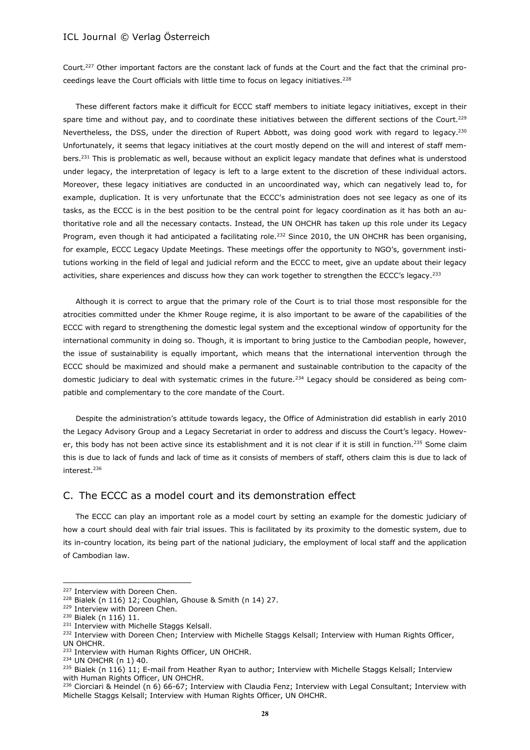Court.<sup>227</sup> Other important factors are the constant lack of funds at the Court and the fact that the criminal proceedings leave the Court officials with little time to focus on legacy initiatives.<sup>228</sup>

These different factors make it difficult for ECCC staff members to initiate legacy initiatives, except in their spare time and without pay, and to coordinate these initiatives between the different sections of the Court.<sup>229</sup> Nevertheless, the DSS, under the direction of Rupert Abbott, was doing good work with regard to legacy.<sup>230</sup> Unfortunately, it seems that legacy initiatives at the court mostly depend on the will and interest of staff members.<sup>231</sup> This is problematic as well, because without an explicit legacy mandate that defines what is understood under legacy, the interpretation of legacy is left to a large extent to the discretion of these individual actors. Moreover, these legacy initiatives are conducted in an uncoordinated way, which can negatively lead to, for example, duplication. It is very unfortunate that the ECCC's administration does not see legacy as one of its tasks, as the ECCC is in the best position to be the central point for legacy coordination as it has both an authoritative role and all the necessary contacts. Instead, the UN OHCHR has taken up this role under its Legacy Program, even though it had anticipated a facilitating role.<sup>232</sup> Since 2010, the UN OHCHR has been organising, for example, ECCC Legacy Update Meetings. These meetings offer the opportunity to NGO's, government institutions working in the field of legal and judicial reform and the ECCC to meet, give an update about their legacy activities, share experiences and discuss how they can work together to strengthen the ECCC's legacy.<sup>233</sup>

Although it is correct to argue that the primary role of the Court is to trial those most responsible for the atrocities committed under the Khmer Rouge regime, it is also important to be aware of the capabilities of the ECCC with regard to strengthening the domestic legal system and the exceptional window of opportunity for the international community in doing so. Though, it is important to bring justice to the Cambodian people, however, the issue of sustainability is equally important, which means that the international intervention through the ECCC should be maximized and should make a permanent and sustainable contribution to the capacity of the domestic judiciary to deal with systematic crimes in the future.<sup>234</sup> Legacy should be considered as being compatible and complementary to the core mandate of the Court.

Despite the administration's attitude towards legacy, the Office of Administration did establish in early 2010 the Legacy Advisory Group and a Legacy Secretariat in order to address and discuss the Court's legacy. However, this body has not been active since its establishment and it is not clear if it is still in function.<sup>235</sup> Some claim this is due to lack of funds and lack of time as it consists of members of staff, others claim this is due to lack of interest.<sup>236</sup>

## C. The ECCC as a model court and its demonstration effect

The ECCC can play an important role as a model court by setting an example for the domestic judiciary of how a court should deal with fair trial issues. This is facilitated by its proximity to the domestic system, due to its in-country location, its being part of the national judiciary, the employment of local staff and the application of Cambodian law.

<sup>&</sup>lt;sup>227</sup> Interview with Doreen Chen.

<sup>228</sup> Bialek (n 116) 12; Coughlan, Ghouse & Smith (n 14) 27.

<sup>229</sup> Interview with Doreen Chen.

<sup>230</sup> Bialek (n 116) 11.

<sup>231</sup> Interview with Michelle Staggs Kelsall.

<sup>&</sup>lt;sup>232</sup> Interview with Doreen Chen; Interview with Michelle Staggs Kelsall; Interview with Human Rights Officer, UN OHCHR.

<sup>&</sup>lt;sup>233</sup> Interview with Human Rights Officer, UN OHCHR.

<sup>234</sup> UN OHCHR (n 1) 40.

 $235$  Bialek (n 116) 11; E-mail from Heather Ryan to author; Interview with Michelle Staggs Kelsall; Interview with Human Rights Officer, UN OHCHR.

<sup>&</sup>lt;sup>236</sup> Ciorciari & Heindel (n 6) 66-67; Interview with Claudia Fenz; Interview with Legal Consultant; Interview with Michelle Staggs Kelsall; Interview with Human Rights Officer, UN OHCHR.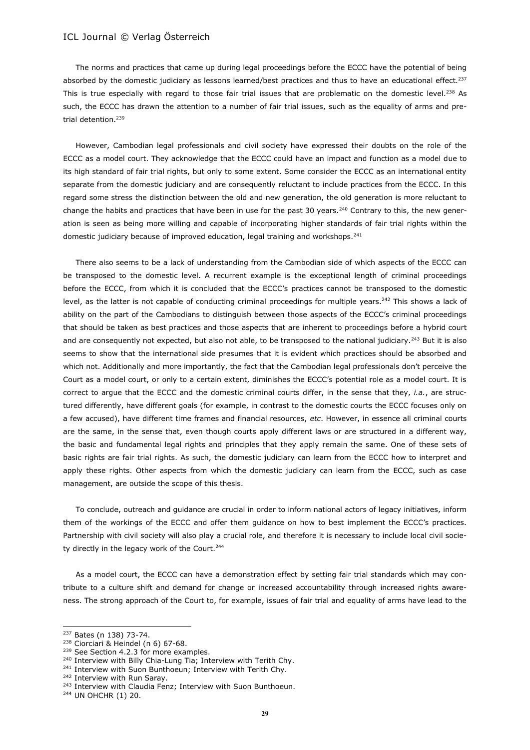The norms and practices that came up during legal proceedings before the ECCC have the potential of being absorbed by the domestic judiciary as lessons learned/best practices and thus to have an educational effect.<sup>237</sup> This is true especially with regard to those fair trial issues that are problematic on the domestic level.<sup>238</sup> As such, the ECCC has drawn the attention to a number of fair trial issues, such as the equality of arms and pretrial detention.<sup>239</sup>

However, Cambodian legal professionals and civil society have expressed their doubts on the role of the ECCC as a model court. They acknowledge that the ECCC could have an impact and function as a model due to its high standard of fair trial rights, but only to some extent. Some consider the ECCC as an international entity separate from the domestic judiciary and are consequently reluctant to include practices from the ECCC. In this regard some stress the distinction between the old and new generation, the old generation is more reluctant to change the habits and practices that have been in use for the past 30 years.<sup>240</sup> Contrary to this, the new generation is seen as being more willing and capable of incorporating higher standards of fair trial rights within the domestic judiciary because of improved education, legal training and workshops.<sup>241</sup>

There also seems to be a lack of understanding from the Cambodian side of which aspects of the ECCC can be transposed to the domestic level. A recurrent example is the exceptional length of criminal proceedings before the ECCC, from which it is concluded that the ECCC's practices cannot be transposed to the domestic level, as the latter is not capable of conducting criminal proceedings for multiple years.<sup>242</sup> This shows a lack of ability on the part of the Cambodians to distinguish between those aspects of the ECCC's criminal proceedings that should be taken as best practices and those aspects that are inherent to proceedings before a hybrid court and are consequently not expected, but also not able, to be transposed to the national judiciary.<sup>243</sup> But it is also seems to show that the international side presumes that it is evident which practices should be absorbed and which not. Additionally and more importantly, the fact that the Cambodian legal professionals don't perceive the Court as a model court, or only to a certain extent, diminishes the ECCC's potential role as a model court. It is correct to argue that the ECCC and the domestic criminal courts differ, in the sense that they, *i.a.*, are structured differently, have different goals (for example, in contrast to the domestic courts the ECCC focuses only on a few accused), have different time frames and financial resources, *etc*. However, in essence all criminal courts are the same, in the sense that, even though courts apply different laws or are structured in a different way, the basic and fundamental legal rights and principles that they apply remain the same. One of these sets of basic rights are fair trial rights. As such, the domestic judiciary can learn from the ECCC how to interpret and apply these rights. Other aspects from which the domestic judiciary can learn from the ECCC, such as case management, are outside the scope of this thesis.

To conclude, outreach and guidance are crucial in order to inform national actors of legacy initiatives, inform them of the workings of the ECCC and offer them guidance on how to best implement the ECCC's practices. Partnership with civil society will also play a crucial role, and therefore it is necessary to include local civil society directly in the legacy work of the Court.<sup>244</sup>

As a model court, the ECCC can have a demonstration effect by setting fair trial standards which may contribute to a culture shift and demand for change or increased accountability through increased rights awareness. The strong approach of the Court to, for example, issues of fair trial and equality of arms have lead to the

<sup>237</sup> Bates (n 138) 73-74.

<sup>238</sup> Ciorciari & Heindel (n 6) 67-68.

<sup>&</sup>lt;sup>239</sup> See Section 4.2.3 for more examples.

<sup>&</sup>lt;sup>240</sup> Interview with Billy Chia-Lung Tia; Interview with Terith Chy.

<sup>&</sup>lt;sup>241</sup> Interview with Suon Bunthoeun; Interview with Terith Chy.

<sup>&</sup>lt;sup>242</sup> Interview with Run Saray.

<sup>&</sup>lt;sup>243</sup> Interview with Claudia Fenz; Interview with Suon Bunthoeun.

<sup>244</sup> UN OHCHR (1) 20.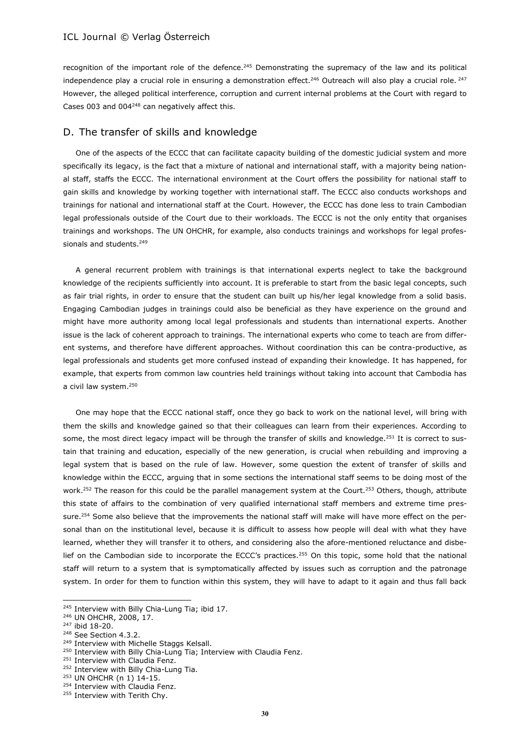recognition of the important role of the defence.<sup>245</sup> Demonstrating the supremacy of the law and its political independence play a crucial role in ensuring a demonstration effect.<sup>246</sup> Outreach will also play a crucial role.<sup>247</sup> However, the alleged political interference, corruption and current internal problems at the Court with regard to Cases 003 and 004<sup>248</sup> can negatively affect this.

## D. The transfer of skills and knowledge

One of the aspects of the ECCC that can facilitate capacity building of the domestic judicial system and more specifically its legacy, is the fact that a mixture of national and international staff, with a majority being national staff, staffs the ECCC. The international environment at the Court offers the possibility for national staff to gain skills and knowledge by working together with international staff. The ECCC also conducts workshops and trainings for national and international staff at the Court. However, the ECCC has done less to train Cambodian legal professionals outside of the Court due to their workloads. The ECCC is not the only entity that organises trainings and workshops. The UN OHCHR, for example, also conducts trainings and workshops for legal professionals and students.<sup>249</sup>

A general recurrent problem with trainings is that international experts neglect to take the background knowledge of the recipients sufficiently into account. It is preferable to start from the basic legal concepts, such as fair trial rights, in order to ensure that the student can built up his/her legal knowledge from a solid basis. Engaging Cambodian judges in trainings could also be beneficial as they have experience on the ground and might have more authority among local legal professionals and students than international experts. Another issue is the lack of coherent approach to trainings. The international experts who come to teach are from different systems, and therefore have different approaches. Without coordination this can be contra-productive, as legal professionals and students get more confused instead of expanding their knowledge. It has happened, for example, that experts from common law countries held trainings without taking into account that Cambodia has a civil law system.<sup>250</sup>

One may hope that the ECCC national staff, once they go back to work on the national level, will bring with them the skills and knowledge gained so that their colleagues can learn from their experiences. According to some, the most direct legacy impact will be through the transfer of skills and knowledge.<sup>251</sup> It is correct to sustain that training and education, especially of the new generation, is crucial when rebuilding and improving a legal system that is based on the rule of law. However, some question the extent of transfer of skills and knowledge within the ECCC, arguing that in some sections the international staff seems to be doing most of the work.<sup>252</sup> The reason for this could be the parallel management system at the Court.<sup>253</sup> Others, though, attribute this state of affairs to the combination of very qualified international staff members and extreme time pressure.<sup>254</sup> Some also believe that the improvements the national staff will make will have more effect on the personal than on the institutional level, because it is difficult to assess how people will deal with what they have learned, whether they will transfer it to others, and considering also the afore-mentioned reluctance and disbelief on the Cambodian side to incorporate the ECCC's practices.<sup>255</sup> On this topic, some hold that the national staff will return to a system that is symptomatically affected by issues such as corruption and the patronage system. In order for them to function within this system, they will have to adapt to it again and thus fall back

<sup>&</sup>lt;sup>245</sup> Interview with Billy Chia-Lung Tia; ibid 17.

<sup>246</sup> UN OHCHR, 2008, 17.

<sup>247</sup> ibid 18-20.

<sup>&</sup>lt;sup>248</sup> See Section 4.3.2.

<sup>&</sup>lt;sup>249</sup> Interview with Michelle Staggs Kelsall.

<sup>&</sup>lt;sup>250</sup> Interview with Billy Chia-Lung Tia; Interview with Claudia Fenz.

<sup>&</sup>lt;sup>251</sup> Interview with Claudia Fenz.

<sup>252</sup> Interview with Billy Chia-Lung Tia.

<sup>253</sup> UN OHCHR (n 1) 14-15.

<sup>&</sup>lt;sup>254</sup> Interview with Claudia Fenz.

<sup>&</sup>lt;sup>255</sup> Interview with Terith Chy.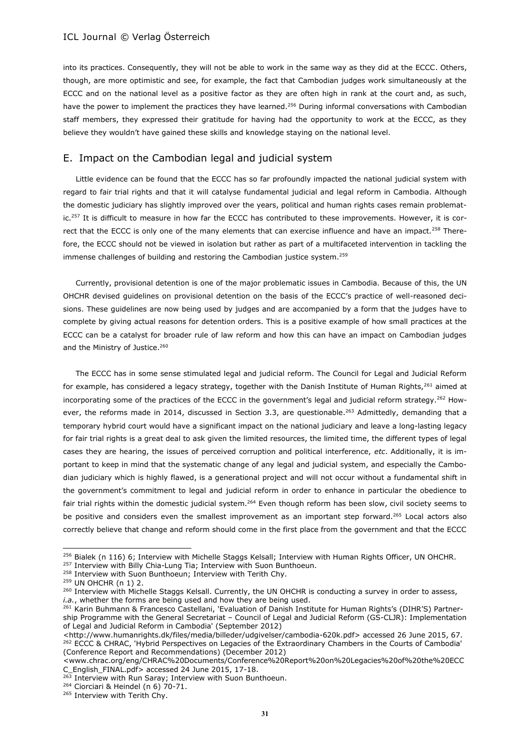into its practices. Consequently, they will not be able to work in the same way as they did at the ECCC. Others, though, are more optimistic and see, for example, the fact that Cambodian judges work simultaneously at the ECCC and on the national level as a positive factor as they are often high in rank at the court and, as such, have the power to implement the practices they have learned.<sup>256</sup> During informal conversations with Cambodian staff members, they expressed their gratitude for having had the opportunity to work at the ECCC, as they believe they wouldn't have gained these skills and knowledge staying on the national level.

# E. Impact on the Cambodian legal and judicial system

Little evidence can be found that the ECCC has so far profoundly impacted the national judicial system with regard to fair trial rights and that it will catalyse fundamental judicial and legal reform in Cambodia. Although the domestic judiciary has slightly improved over the years, political and human rights cases remain problematic.<sup>257</sup> It is difficult to measure in how far the ECCC has contributed to these improvements. However, it is correct that the ECCC is only one of the many elements that can exercise influence and have an impact.<sup>258</sup> Therefore, the ECCC should not be viewed in isolation but rather as part of a multifaceted intervention in tackling the immense challenges of building and restoring the Cambodian justice system.<sup>259</sup>

Currently, provisional detention is one of the major problematic issues in Cambodia. Because of this, the UN OHCHR devised guidelines on provisional detention on the basis of the ECCC's practice of well-reasoned decisions. These guidelines are now being used by judges and are accompanied by a form that the judges have to complete by giving actual reasons for detention orders. This is a positive example of how small practices at the ECCC can be a catalyst for broader rule of law reform and how this can have an impact on Cambodian judges and the Ministry of Justice.<sup>260</sup>

The ECCC has in some sense stimulated legal and judicial reform. The Council for Legal and Judicial Reform for example, has considered a legacy strategy, together with the Danish Institute of Human Rights,<sup>261</sup> aimed at incorporating some of the practices of the ECCC in the government's legal and judicial reform strategy.<sup>262</sup> However, the reforms made in 2014, discussed in Section 3.3, are questionable.<sup>263</sup> Admittedly, demanding that a temporary hybrid court would have a significant impact on the national judiciary and leave a long-lasting legacy for fair trial rights is a great deal to ask given the limited resources, the limited time, the different types of legal cases they are hearing, the issues of perceived corruption and political interference, *etc*. Additionally, it is important to keep in mind that the systematic change of any legal and judicial system, and especially the Cambodian judiciary which is highly flawed, is a generational project and will not occur without a fundamental shift in the government's commitment to legal and judicial reform in order to enhance in particular the obedience to fair trial rights within the domestic judicial system.<sup>264</sup> Even though reform has been slow, civil society seems to be positive and considers even the smallest improvement as an important step forward.<sup>265</sup> Local actors also correctly believe that change and reform should come in the first place from the government and that the ECCC

<sup>&</sup>lt;sup>256</sup> Bialek (n 116) 6; Interview with Michelle Staggs Kelsall; Interview with Human Rights Officer, UN OHCHR.

<sup>&</sup>lt;sup>257</sup> Interview with Billy Chia-Lung Tia; Interview with Suon Bunthoeun.

<sup>&</sup>lt;sup>258</sup> Interview with Suon Bunthoeun; Interview with Terith Chy.

<sup>259</sup> UN OHCHR (n 1) 2.

<sup>&</sup>lt;sup>260</sup> Interview with Michelle Staggs Kelsall. Currently, the UN OHCHR is conducting a survey in order to assess, *i.a.*, whether the forms are being used and how they are being used.

<sup>&</sup>lt;sup>261</sup> Karin Buhmann & Francesco Castellani, 'Evaluation of Danish Institute for Human Rights's (DIHR'S) Partnership Programme with the General Secretariat – Council of Legal and Judicial Reform (GS-CLJR): Implementation of Legal and Judicial Reform in Cambodia' (September 2012)

[<sup>&</sup>lt;http://www.humanrights.dk/files/media/billeder/udgivelser/cambodia-620k.pdf>](http://www.humanrights.dk/files/media/billeder/udgivelser/cambodia-620k.pdf) accessed 26 June 2015, 67. <sup>262</sup> ECCC & CHRAC, 'Hybrid Perspectives on Legacies of the Extraordinary Chambers in the Courts of Cambodia' (Conference Report and Recommendations) (December 2012)

[<sup>&</sup>lt;www.chrac.org/eng/CHRAC%20Documents/Conference%20Report%20on%20Legacies%20of%20the%20ECC](http://www.chrac.org/eng/CHRAC%20Documents/Conference%20Report%20on%20Legacies%20of%20the%20ECCC_English_FINAL.pdf) [C\\_English\\_FINAL.pdf>](http://www.chrac.org/eng/CHRAC%20Documents/Conference%20Report%20on%20Legacies%20of%20the%20ECCC_English_FINAL.pdf) accessed 24 June 2015, 17-18.

 $263$  Interview with Run Saray; Interview with Suon Bunthoeun.

<sup>264</sup> Ciorciari & Heindel (n 6) 70-71.

<sup>&</sup>lt;sup>265</sup> Interview with Terith Chy.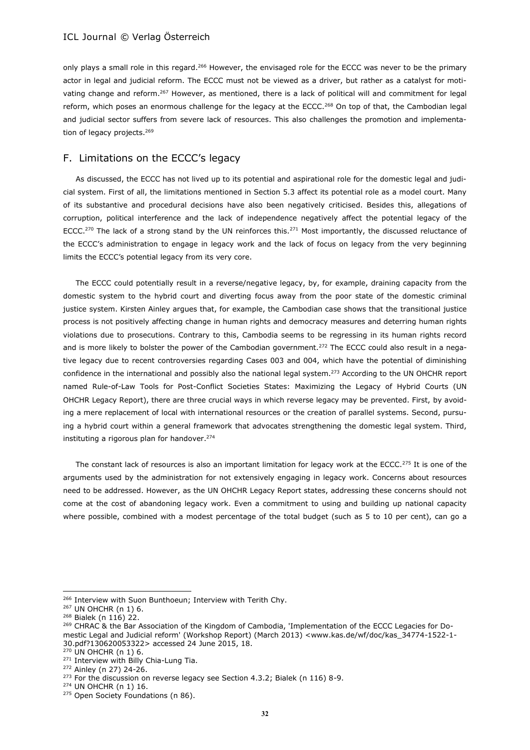only plays a small role in this regard.<sup>266</sup> However, the envisaged role for the ECCC was never to be the primary actor in legal and judicial reform. The ECCC must not be viewed as a driver, but rather as a catalyst for motivating change and reform.<sup>267</sup> However, as mentioned, there is a lack of political will and commitment for legal reform, which poses an enormous challenge for the legacy at the ECCC.<sup>268</sup> On top of that, the Cambodian legal and judicial sector suffers from severe lack of resources. This also challenges the promotion and implementation of legacy projects.<sup>269</sup>

# F. Limitations on the ECCC's legacy

As discussed, the ECCC has not lived up to its potential and aspirational role for the domestic legal and judicial system. First of all, the limitations mentioned in Section 5.3 affect its potential role as a model court. Many of its substantive and procedural decisions have also been negatively criticised. Besides this, allegations of corruption, political interference and the lack of independence negatively affect the potential legacy of the ECCC.<sup>270</sup> The lack of a strong stand by the UN reinforces this.<sup>271</sup> Most importantly, the discussed reluctance of the ECCC's administration to engage in legacy work and the lack of focus on legacy from the very beginning limits the ECCC's potential legacy from its very core.

The ECCC could potentially result in a reverse/negative legacy, by, for example, draining capacity from the domestic system to the hybrid court and diverting focus away from the poor state of the domestic criminal justice system. Kirsten Ainley argues that, for example, the Cambodian case shows that the transitional justice process is not positively affecting change in human rights and democracy measures and deterring human rights violations due to prosecutions. Contrary to this, Cambodia seems to be regressing in its human rights record and is more likely to bolster the power of the Cambodian government.<sup>272</sup> The ECCC could also result in a negative legacy due to recent controversies regarding Cases 003 and 004, which have the potential of diminishing confidence in the international and possibly also the national legal system.<sup>273</sup> According to the UN OHCHR report named Rule-of-Law Tools for Post-Conflict Societies States: Maximizing the Legacy of Hybrid Courts (UN OHCHR Legacy Report), there are three crucial ways in which reverse legacy may be prevented. First, by avoiding a mere replacement of local with international resources or the creation of parallel systems. Second, pursuing a hybrid court within a general framework that advocates strengthening the domestic legal system. Third, instituting a rigorous plan for handover.<sup>274</sup>

The constant lack of resources is also an important limitation for legacy work at the ECCC.<sup>275</sup> It is one of the arguments used by the administration for not extensively engaging in legacy work. Concerns about resources need to be addressed. However, as the UN OHCHR Legacy Report states, addressing these concerns should not come at the cost of abandoning legacy work. Even a commitment to using and building up national capacity where possible, combined with a modest percentage of the total budget (such as 5 to 10 per cent), can go a

 $\overline{a}$ 

<sup>270</sup> UN OHCHR (n 1) 6.

<sup>&</sup>lt;sup>266</sup> Interview with Suon Bunthoeun; Interview with Terith Chy.

<sup>267</sup> UN OHCHR (n 1) 6.

<sup>268</sup> Bialek (n 116) 22.

<sup>&</sup>lt;sup>269</sup> CHRAC & the Bar Association of the Kingdom of Cambodia, 'Implementation of the ECCC Legacies for Domestic Legal and Judicial reform' (Workshop Report) (March 2013) [<www.kas.de/wf/doc/kas\\_34774-1522-1-](http://www.kas.de/wf/doc/kas_34774-1522-1-30.pdf?130620053322) [30.pdf?130620053322>](http://www.kas.de/wf/doc/kas_34774-1522-1-30.pdf?130620053322) accessed 24 June 2015, 18.

<sup>&</sup>lt;sup>271</sup> Interview with Billy Chia-Lung Tia.

<sup>272</sup> Ainley (n 27) 24-26.

 $273$  For the discussion on reverse legacy see Section 4.3.2; Bialek (n 116) 8-9.

<sup>274</sup> UN OHCHR (n 1) 16.

<sup>&</sup>lt;sup>275</sup> Open Society Foundations (n 86).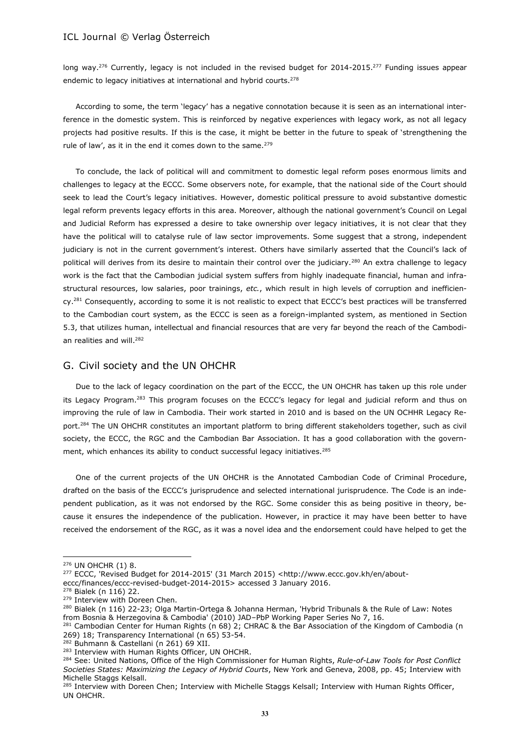long way.<sup>276</sup> Currently, legacy is not included in the revised budget for 2014-2015.<sup>277</sup> Funding issues appear endemic to legacy initiatives at international and hybrid courts.<sup>278</sup>

According to some, the term 'legacy' has a negative connotation because it is seen as an international interference in the domestic system. This is reinforced by negative experiences with legacy work, as not all legacy projects had positive results. If this is the case, it might be better in the future to speak of 'strengthening the rule of law', as it in the end it comes down to the same.<sup>279</sup>

To conclude, the lack of political will and commitment to domestic legal reform poses enormous limits and challenges to legacy at the ECCC. Some observers note, for example, that the national side of the Court should seek to lead the Court's legacy initiatives. However, domestic political pressure to avoid substantive domestic legal reform prevents legacy efforts in this area. Moreover, although the national government's Council on Legal and Judicial Reform has expressed a desire to take ownership over legacy initiatives, it is not clear that they have the political will to catalyse rule of law sector improvements. Some suggest that a strong, independent judiciary is not in the current government's interest. Others have similarly asserted that the Council's lack of political will derives from its desire to maintain their control over the judiciary.<sup>280</sup> An extra challenge to legacy work is the fact that the Cambodian judicial system suffers from highly inadequate financial, human and infrastructural resources, low salaries, poor trainings, *etc.*, which result in high levels of corruption and inefficiency.<sup>281</sup> Consequently, according to some it is not realistic to expect that ECCC's best practices will be transferred to the Cambodian court system, as the ECCC is seen as a foreign-implanted system, as mentioned in Section 5.3, that utilizes human, intellectual and financial resources that are very far beyond the reach of the Cambodian realities and will.<sup>282</sup>

## G. Civil society and the UN OHCHR

Due to the lack of legacy coordination on the part of the ECCC, the UN OHCHR has taken up this role under its Legacy Program.<sup>283</sup> This program focuses on the ECCC's legacy for legal and judicial reform and thus on improving the rule of law in Cambodia. Their work started in 2010 and is based on the UN OCHHR Legacy Report.<sup>284</sup> The UN OHCHR constitutes an important platform to bring different stakeholders together, such as civil society, the ECCC, the RGC and the Cambodian Bar Association. It has a good collaboration with the government, which enhances its ability to conduct successful legacy initiatives.<sup>285</sup>

One of the current projects of the UN OHCHR is the Annotated Cambodian Code of Criminal Procedure, drafted on the basis of the ECCC's jurisprudence and selected international jurisprudence. The Code is an independent publication, as it was not endorsed by the RGC. Some consider this as being positive in theory, because it ensures the independence of the publication. However, in practice it may have been better to have received the endorsement of the RGC, as it was a novel idea and the endorsement could have helped to get the

 $\overline{a}$ 

<sup>282</sup> Buhmann & Castellani (n 261) 69 XII.

<sup>276</sup> UN OHCHR (1) 8.

<sup>277</sup> ECCC, 'Revised Budget for 2014-2015' (31 March 2015) <http://www.eccc.gov.kh/en/about-

eccc/finances/eccc-revised-budget-2014-2015> accessed 3 January 2016.

<sup>278</sup> Bialek (n 116) 22.

<sup>&</sup>lt;sup>279</sup> Interview with Doreen Chen.

<sup>&</sup>lt;sup>280</sup> Bialek (n 116) 22-23; Olga Martin-Ortega & Johanna Herman, 'Hybrid Tribunals & the Rule of Law: Notes from Bosnia & Herzegovina & Cambodia' (2010) JAD–PbP Working Paper Series No 7, 16.

<sup>&</sup>lt;sup>281</sup> Cambodian Center for Human Rights (n 68) 2; CHRAC & the Bar Association of the Kingdom of Cambodia (n 269) 18; Transparency International (n 65) 53-54.

<sup>&</sup>lt;sup>283</sup> Interview with Human Rights Officer, UN OHCHR.

<sup>284</sup> See: United Nations, Office of the High Commissioner for Human Rights, *Rule-of-Law Tools for Post Conflict Societies States: Maximizing the Legacy of Hybrid Courts*, New York and Geneva, 2008, pp. 45; Interview with Michelle Staggs Kelsall.

<sup>&</sup>lt;sup>285</sup> Interview with Doreen Chen; Interview with Michelle Staggs Kelsall; Interview with Human Rights Officer, UN OHCHR.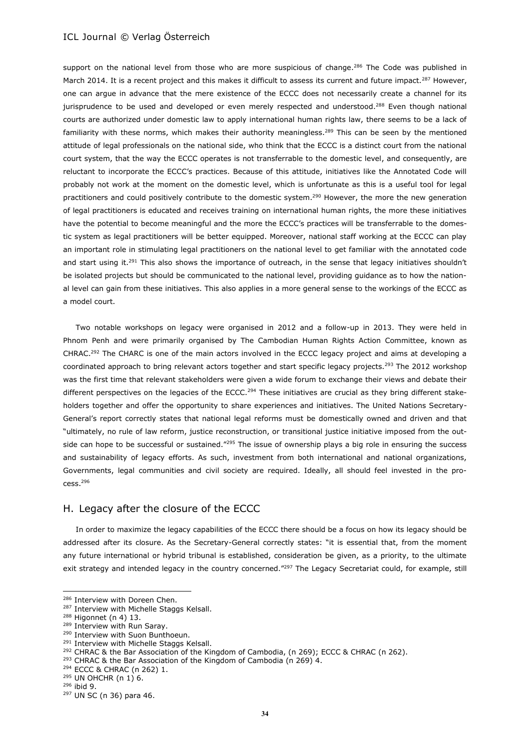support on the national level from those who are more suspicious of change.<sup>286</sup> The Code was published in March 2014. It is a recent project and this makes it difficult to assess its current and future impact.<sup>287</sup> However, one can argue in advance that the mere existence of the ECCC does not necessarily create a channel for its jurisprudence to be used and developed or even merely respected and understood.<sup>288</sup> Even though national courts are authorized under domestic law to apply international human rights law, there seems to be a lack of familiarity with these norms, which makes their authority meaningless.<sup>289</sup> This can be seen by the mentioned attitude of legal professionals on the national side, who think that the ECCC is a distinct court from the national court system, that the way the ECCC operates is not transferrable to the domestic level, and consequently, are reluctant to incorporate the ECCC's practices. Because of this attitude, initiatives like the Annotated Code will probably not work at the moment on the domestic level, which is unfortunate as this is a useful tool for legal practitioners and could positively contribute to the domestic system.<sup>290</sup> However, the more the new generation of legal practitioners is educated and receives training on international human rights, the more these initiatives have the potential to become meaningful and the more the ECCC's practices will be transferrable to the domestic system as legal practitioners will be better equipped. Moreover, national staff working at the ECCC can play an important role in stimulating legal practitioners on the national level to get familiar with the annotated code and start using it.<sup>291</sup> This also shows the importance of outreach, in the sense that legacy initiatives shouldn't be isolated projects but should be communicated to the national level, providing guidance as to how the national level can gain from these initiatives. This also applies in a more general sense to the workings of the ECCC as a model court.

Two notable workshops on legacy were organised in 2012 and a follow-up in 2013. They were held in Phnom Penh and were primarily organised by The Cambodian Human Rights Action Committee, known as CHRAC.<sup>292</sup> The CHARC is one of the main actors involved in the ECCC legacy project and aims at developing a coordinated approach to bring relevant actors together and start specific legacy projects.<sup>293</sup> The 2012 workshop was the first time that relevant stakeholders were given a wide forum to exchange their views and debate their different perspectives on the legacies of the ECCC.<sup>294</sup> These initiatives are crucial as they bring different stakeholders together and offer the opportunity to share experiences and initiatives. The United Nations Secretary-General's report correctly states that national legal reforms must be domestically owned and driven and that "ultimately, no rule of law reform, justice reconstruction, or transitional justice initiative imposed from the outside can hope to be successful or sustained."<sup>295</sup> The issue of ownership plays a big role in ensuring the success and sustainability of legacy efforts. As such, investment from both international and national organizations, Governments, legal communities and civil society are required. Ideally, all should feel invested in the pro $cess.<sup>296</sup>$ 

## H. Legacy after the closure of the ECCC

In order to maximize the legacy capabilities of the ECCC there should be a focus on how its legacy should be addressed after its closure. As the Secretary-General correctly states: "it is essential that, from the moment any future international or hybrid tribunal is established, consideration be given, as a priority, to the ultimate exit strategy and intended legacy in the country concerned."<sup>297</sup> The Legacy Secretariat could, for example, still

<sup>293</sup> CHRAC & the Bar Association of the Kingdom of Cambodia (n 269) 4.

<sup>286</sup> Interview with Doreen Chen.

<sup>287</sup> Interview with Michelle Staggs Kelsall.

<sup>288</sup> Higonnet (n 4) 13.

<sup>289</sup> Interview with Run Saray.

<sup>&</sup>lt;sup>290</sup> Interview with Suon Bunthoeun.

<sup>291</sup> Interview with Michelle Staggs Kelsall.

<sup>&</sup>lt;sup>292</sup> CHRAC & the Bar Association of the Kingdom of Cambodia, (n 269); ECCC & CHRAC (n 262).

<sup>294</sup> ECCC & CHRAC (n 262) 1.

 $295$  UN OHCHR (n 1) 6.

<sup>296</sup> ibid 9.

<sup>297</sup> UN SC (n 36) para 46.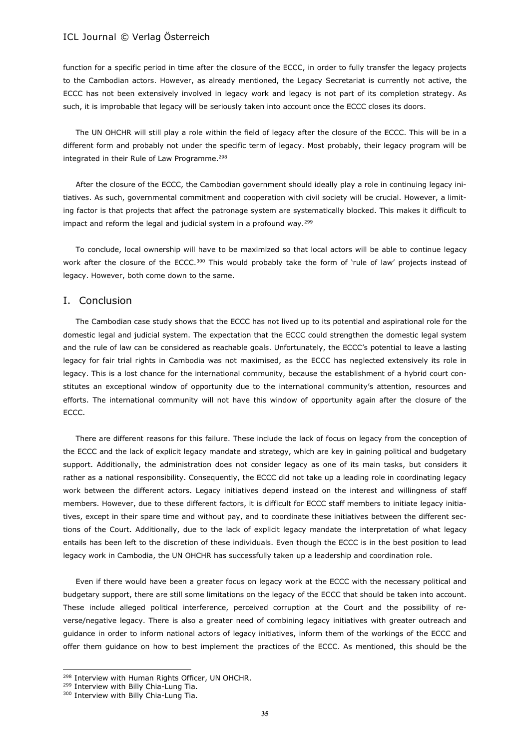function for a specific period in time after the closure of the ECCC, in order to fully transfer the legacy projects to the Cambodian actors. However, as already mentioned, the Legacy Secretariat is currently not active, the ECCC has not been extensively involved in legacy work and legacy is not part of its completion strategy. As such, it is improbable that legacy will be seriously taken into account once the ECCC closes its doors.

The UN OHCHR will still play a role within the field of legacy after the closure of the ECCC. This will be in a different form and probably not under the specific term of legacy. Most probably, their legacy program will be integrated in their Rule of Law Programme.<sup>298</sup>

After the closure of the ECCC, the Cambodian government should ideally play a role in continuing legacy initiatives. As such, governmental commitment and cooperation with civil society will be crucial. However, a limiting factor is that projects that affect the patronage system are systematically blocked. This makes it difficult to impact and reform the legal and judicial system in a profound way.<sup>299</sup>

To conclude, local ownership will have to be maximized so that local actors will be able to continue legacy work after the closure of the ECCC.<sup>300</sup> This would probably take the form of 'rule of law' projects instead of legacy. However, both come down to the same.

### I. Conclusion

The Cambodian case study shows that the ECCC has not lived up to its potential and aspirational role for the domestic legal and judicial system. The expectation that the ECCC could strengthen the domestic legal system and the rule of law can be considered as reachable goals. Unfortunately, the ECCC's potential to leave a lasting legacy for fair trial rights in Cambodia was not maximised, as the ECCC has neglected extensively its role in legacy. This is a lost chance for the international community, because the establishment of a hybrid court constitutes an exceptional window of opportunity due to the international community's attention, resources and efforts. The international community will not have this window of opportunity again after the closure of the ECCC.

There are different reasons for this failure. These include the lack of focus on legacy from the conception of the ECCC and the lack of explicit legacy mandate and strategy, which are key in gaining political and budgetary support. Additionally, the administration does not consider legacy as one of its main tasks, but considers it rather as a national responsibility. Consequently, the ECCC did not take up a leading role in coordinating legacy work between the different actors. Legacy initiatives depend instead on the interest and willingness of staff members. However, due to these different factors, it is difficult for ECCC staff members to initiate legacy initiatives, except in their spare time and without pay, and to coordinate these initiatives between the different sections of the Court. Additionally, due to the lack of explicit legacy mandate the interpretation of what legacy entails has been left to the discretion of these individuals. Even though the ECCC is in the best position to lead legacy work in Cambodia, the UN OHCHR has successfully taken up a leadership and coordination role.

Even if there would have been a greater focus on legacy work at the ECCC with the necessary political and budgetary support, there are still some limitations on the legacy of the ECCC that should be taken into account. These include alleged political interference, perceived corruption at the Court and the possibility of reverse/negative legacy. There is also a greater need of combining legacy initiatives with greater outreach and guidance in order to inform national actors of legacy initiatives, inform them of the workings of the ECCC and offer them guidance on how to best implement the practices of the ECCC. As mentioned, this should be the

l

<sup>&</sup>lt;sup>298</sup> Interview with Human Rights Officer, UN OHCHR.

<sup>299</sup> Interview with Billy Chia-Lung Tia.

<sup>300</sup> Interview with Billy Chia-Lung Tia.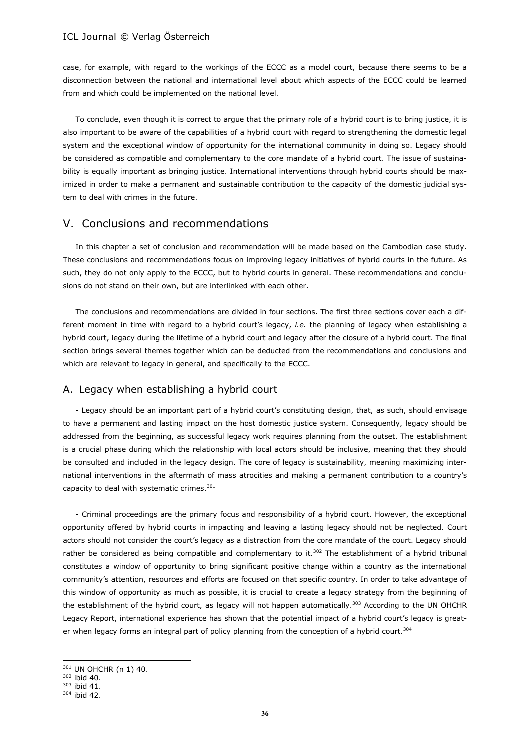case, for example, with regard to the workings of the ECCC as a model court, because there seems to be a disconnection between the national and international level about which aspects of the ECCC could be learned from and which could be implemented on the national level.

To conclude, even though it is correct to argue that the primary role of a hybrid court is to bring justice, it is also important to be aware of the capabilities of a hybrid court with regard to strengthening the domestic legal system and the exceptional window of opportunity for the international community in doing so. Legacy should be considered as compatible and complementary to the core mandate of a hybrid court. The issue of sustainability is equally important as bringing justice. International interventions through hybrid courts should be maximized in order to make a permanent and sustainable contribution to the capacity of the domestic judicial system to deal with crimes in the future.

# V. Conclusions and recommendations

In this chapter a set of conclusion and recommendation will be made based on the Cambodian case study. These conclusions and recommendations focus on improving legacy initiatives of hybrid courts in the future. As such, they do not only apply to the ECCC, but to hybrid courts in general. These recommendations and conclusions do not stand on their own, but are interlinked with each other.

The conclusions and recommendations are divided in four sections. The first three sections cover each a different moment in time with regard to a hybrid court's legacy, *i.e.* the planning of legacy when establishing a hybrid court, legacy during the lifetime of a hybrid court and legacy after the closure of a hybrid court. The final section brings several themes together which can be deducted from the recommendations and conclusions and which are relevant to legacy in general, and specifically to the ECCC.

## A. Legacy when establishing a hybrid court

- Legacy should be an important part of a hybrid court's constituting design, that, as such, should envisage to have a permanent and lasting impact on the host domestic justice system. Consequently, legacy should be addressed from the beginning, as successful legacy work requires planning from the outset. The establishment is a crucial phase during which the relationship with local actors should be inclusive, meaning that they should be consulted and included in the legacy design. The core of legacy is sustainability, meaning maximizing international interventions in the aftermath of mass atrocities and making a permanent contribution to a country's capacity to deal with systematic crimes.<sup>301</sup>

- Criminal proceedings are the primary focus and responsibility of a hybrid court. However, the exceptional opportunity offered by hybrid courts in impacting and leaving a lasting legacy should not be neglected. Court actors should not consider the court's legacy as a distraction from the core mandate of the court. Legacy should rather be considered as being compatible and complementary to it.<sup>302</sup> The establishment of a hybrid tribunal constitutes a window of opportunity to bring significant positive change within a country as the international community's attention, resources and efforts are focused on that specific country. In order to take advantage of this window of opportunity as much as possible, it is crucial to create a legacy strategy from the beginning of the establishment of the hybrid court, as legacy will not happen automatically.<sup>303</sup> According to the UN OHCHR Legacy Report, international experience has shown that the potential impact of a hybrid court's legacy is greater when legacy forms an integral part of policy planning from the conception of a hybrid court.<sup>304</sup>

l

<sup>301</sup> UN OHCHR (n 1) 40.

<sup>302</sup> ibid 40.

<sup>303</sup> ibid 41.

<sup>304</sup> ibid 42.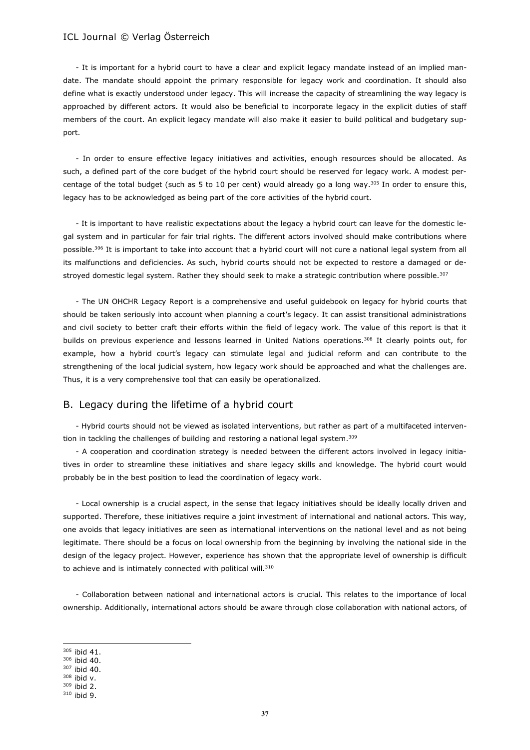- It is important for a hybrid court to have a clear and explicit legacy mandate instead of an implied mandate. The mandate should appoint the primary responsible for legacy work and coordination. It should also define what is exactly understood under legacy. This will increase the capacity of streamlining the way legacy is approached by different actors. It would also be beneficial to incorporate legacy in the explicit duties of staff members of the court. An explicit legacy mandate will also make it easier to build political and budgetary support.

- In order to ensure effective legacy initiatives and activities, enough resources should be allocated. As such, a defined part of the core budget of the hybrid court should be reserved for legacy work. A modest percentage of the total budget (such as 5 to 10 per cent) would already go a long way.<sup>305</sup> In order to ensure this, legacy has to be acknowledged as being part of the core activities of the hybrid court.

- It is important to have realistic expectations about the legacy a hybrid court can leave for the domestic legal system and in particular for fair trial rights. The different actors involved should make contributions where possible.<sup>306</sup> It is important to take into account that a hybrid court will not cure a national legal system from all its malfunctions and deficiencies. As such, hybrid courts should not be expected to restore a damaged or destroyed domestic legal system. Rather they should seek to make a strategic contribution where possible.<sup>307</sup>

- The UN OHCHR Legacy Report is a comprehensive and useful guidebook on legacy for hybrid courts that should be taken seriously into account when planning a court's legacy. It can assist transitional administrations and civil society to better craft their efforts within the field of legacy work. The value of this report is that it builds on previous experience and lessons learned in United Nations operations.<sup>308</sup> It clearly points out, for example, how a hybrid court's legacy can stimulate legal and judicial reform and can contribute to the strengthening of the local judicial system, how legacy work should be approached and what the challenges are. Thus, it is a very comprehensive tool that can easily be operationalized.

## B. Legacy during the lifetime of a hybrid court

- Hybrid courts should not be viewed as isolated interventions, but rather as part of a multifaceted intervention in tackling the challenges of building and restoring a national legal system.<sup>309</sup>

- A cooperation and coordination strategy is needed between the different actors involved in legacy initiatives in order to streamline these initiatives and share legacy skills and knowledge. The hybrid court would probably be in the best position to lead the coordination of legacy work.

- Local ownership is a crucial aspect, in the sense that legacy initiatives should be ideally locally driven and supported. Therefore, these initiatives require a joint investment of international and national actors. This way, one avoids that legacy initiatives are seen as international interventions on the national level and as not being legitimate. There should be a focus on local ownership from the beginning by involving the national side in the design of the legacy project. However, experience has shown that the appropriate level of ownership is difficult to achieve and is intimately connected with political will.<sup>310</sup>

- Collaboration between national and international actors is crucial. This relates to the importance of local ownership. Additionally, international actors should be aware through close collaboration with national actors, of

<sup>305</sup> ibid 41.

<sup>306</sup> ibid 40.

<sup>307</sup> ibid 40.

<sup>308</sup> ibid v. <sup>309</sup> ibid 2.

<sup>310</sup> ibid 9.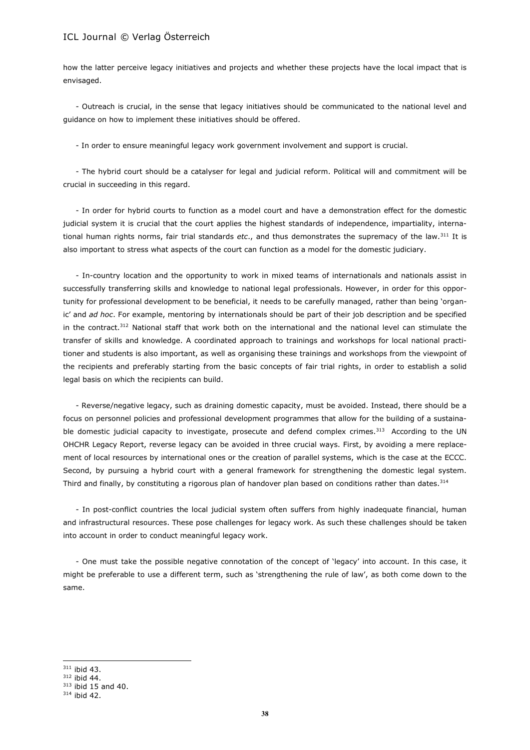how the latter perceive legacy initiatives and projects and whether these projects have the local impact that is envisaged.

- Outreach is crucial, in the sense that legacy initiatives should be communicated to the national level and guidance on how to implement these initiatives should be offered.

- In order to ensure meaningful legacy work government involvement and support is crucial.

- The hybrid court should be a catalyser for legal and judicial reform. Political will and commitment will be crucial in succeeding in this regard.

- In order for hybrid courts to function as a model court and have a demonstration effect for the domestic judicial system it is crucial that the court applies the highest standards of independence, impartiality, international human rights norms, fair trial standards *etc*., and thus demonstrates the supremacy of the law.<sup>311</sup> It is also important to stress what aspects of the court can function as a model for the domestic judiciary.

- In-country location and the opportunity to work in mixed teams of internationals and nationals assist in successfully transferring skills and knowledge to national legal professionals. However, in order for this opportunity for professional development to be beneficial, it needs to be carefully managed, rather than being 'organic' and *ad hoc*. For example, mentoring by internationals should be part of their job description and be specified in the contract.<sup>312</sup> National staff that work both on the international and the national level can stimulate the transfer of skills and knowledge. A coordinated approach to trainings and workshops for local national practitioner and students is also important, as well as organising these trainings and workshops from the viewpoint of the recipients and preferably starting from the basic concepts of fair trial rights, in order to establish a solid legal basis on which the recipients can build.

- Reverse/negative legacy, such as draining domestic capacity, must be avoided. Instead, there should be a focus on personnel policies and professional development programmes that allow for the building of a sustainable domestic judicial capacity to investigate, prosecute and defend complex crimes.<sup>313</sup> According to the UN OHCHR Legacy Report, reverse legacy can be avoided in three crucial ways. First, by avoiding a mere replacement of local resources by international ones or the creation of parallel systems, which is the case at the ECCC. Second, by pursuing a hybrid court with a general framework for strengthening the domestic legal system. Third and finally, by constituting a rigorous plan of handover plan based on conditions rather than dates.<sup>314</sup>

- In post-conflict countries the local judicial system often suffers from highly inadequate financial, human and infrastructural resources. These pose challenges for legacy work. As such these challenges should be taken into account in order to conduct meaningful legacy work.

- One must take the possible negative connotation of the concept of 'legacy' into account. In this case, it might be preferable to use a different term, such as 'strengthening the rule of law', as both come down to the same.

 $311$  ibid 43.

l

<sup>312</sup> ibid 44.

 $313$  ibid 15 and 40.

<sup>314</sup> ibid 42.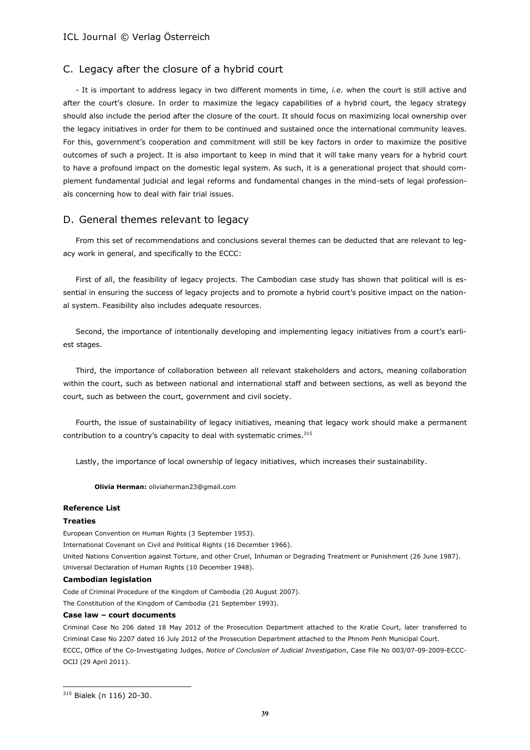## C. Legacy after the closure of a hybrid court

- It is important to address legacy in two different moments in time, *i.e.* when the court is still active and after the court's closure. In order to maximize the legacy capabilities of a hybrid court, the legacy strategy should also include the period after the closure of the court. It should focus on maximizing local ownership over the legacy initiatives in order for them to be continued and sustained once the international community leaves. For this, government's cooperation and commitment will still be key factors in order to maximize the positive outcomes of such a project. It is also important to keep in mind that it will take many years for a hybrid court to have a profound impact on the domestic legal system. As such, it is a generational project that should complement fundamental judicial and legal reforms and fundamental changes in the mind-sets of legal professionals concerning how to deal with fair trial issues.

### D. General themes relevant to legacy

From this set of recommendations and conclusions several themes can be deducted that are relevant to legacy work in general, and specifically to the ECCC:

First of all, the feasibility of legacy projects. The Cambodian case study has shown that political will is essential in ensuring the success of legacy projects and to promote a hybrid court's positive impact on the national system. Feasibility also includes adequate resources.

Second, the importance of intentionally developing and implementing legacy initiatives from a court's earliest stages.

Third, the importance of collaboration between all relevant stakeholders and actors, meaning collaboration within the court, such as between national and international staff and between sections, as well as beyond the court, such as between the court, government and civil society.

Fourth, the issue of sustainability of legacy initiatives, meaning that legacy work should make a permanent contribution to a country's capacity to deal with systematic crimes.<sup>315</sup>

Lastly, the importance of local ownership of legacy initiatives, which increases their sustainability.

**Olivia Herman:** oliviaherman23@gmail.com

### **Reference List**

### **Treaties**

European Convention on Human Rights (3 September 1953).

International Covenant on Civil and Political Rights (16 December 1966).

United Nations Convention against Torture, and other Cruel, Inhuman or Degrading Treatment or Punishment (26 June 1987). Universal Declaration of Human Rights (10 December 1948).

### **Cambodian legislation**

Code of Criminal Procedure of the Kingdom of Cambodia (20 August 2007). The Constitution of the Kingdom of Cambodia (21 September 1993).

### **Case law – court documents**

Criminal Case No 206 dated 18 May 2012 of the Prosecution Department attached to the Kratie Court, later transferred to Criminal Case No 2207 dated 16 July 2012 of the Prosecution Department attached to the Phnom Penh Municipal Court. ECCC, Office of the Co-Investigating Judges, *Notice of Conclusion of Judicial Investigation*, Case File No 003/07-09-2009-ECCC-OCIJ (29 April 2011).

<sup>315</sup> Bialek (n 116) 20-30.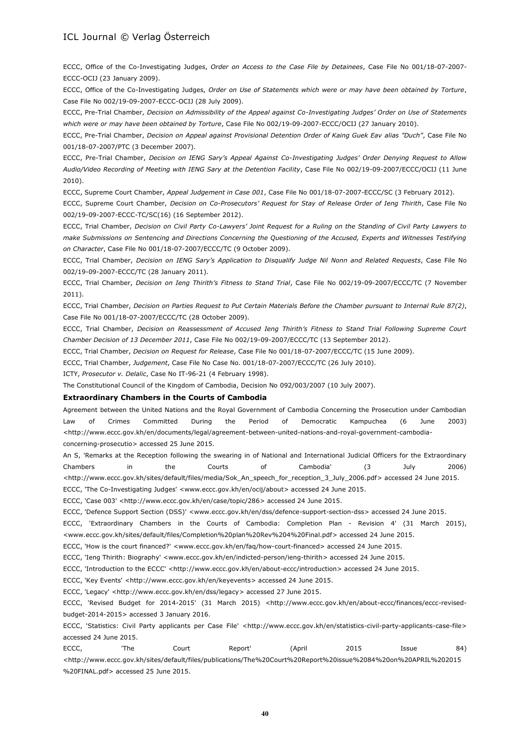ECCC, Office of the Co-Investigating Judges, *Order on Access to the Case File by Detainees*, Case File No 001/18-07-2007- ECCC-OCIJ (23 January 2009).

ECCC, Office of the Co-Investigating Judges, *Order on Use of Statements which were or may have been obtained by Torture*, Case File No 002/19-09-2007-ECCC-OCIJ (28 July 2009).

ECCC, Pre-Trial Chamber, *Decision on Admissibility of the Appeal against Co-Investigating Judges' Order on Use of Statements which were or may have been obtained by Torture*, Case File No 002/19-09-2007-ECCC/OCIJ (27 January 2010).

ECCC, Pre-Trial Chamber, *Decision on Appeal against Provisional Detention Order of Kaing Guek Eav alias "Duch"*, Case File No 001/18-07-2007/PTC (3 December 2007).

ECCC, Pre-Trial Chamber, *Decision on IENG Sary's Appeal Against Co-Investigating Judges' Order Denying Request to Allow Audio/Video Recording of Meeting with IENG Sary at the Detention Facility*, Case File No 002/19-09-2007/ECCC/OCIJ (11 June 2010).

ECCC, Supreme Court Chamber, *Appeal Judgement in Case 001*, Case File No 001/18-07-2007-ECCC/SC (3 February 2012).

ECCC, Supreme Court Chamber, *Decision on Co-Prosecutors' Request for Stay of Release Order of Ieng Thirith*, Case File No 002/19-09-2007-ECCC-TC/SC(16) (16 September 2012).

ECCC, Trial Chamber, *Decision on Civil Party Co-Lawyers' Joint Request for a Ruling on the Standing of Civil Party Lawyers to make Submissions on Sentencing and Directions Concerning the Questioning of the Accused, Experts and Witnesses Testifying on Character*, Case File No 001/18-07-2007/ECCC/TC (9 October 2009).

ECCC, Trial Chamber, *Decision on IENG Sary's Application to Disqualify Judge Nil Nonn and Related Requests*, Case File No 002/19-09-2007-ECCC/TC (28 January 2011).

ECCC, Trial Chamber, *Decision on Ieng Thirith's Fitness to Stand Trial*, Case File No 002/19-09-2007/ECCC/TC (7 November 2011).

ECCC, Trial Chamber, *Decision on Parties Request to Put Certain Materials Before the Chamber pursuant to Internal Rule 87(2)*, Case File No 001/18-07-2007/ECCC/TC (28 October 2009).

ECCC, Trial Chamber, *Decision on Reassessment of Accused Ieng Thirith's Fitness to Stand Trial Following Supreme Court Chamber Decision of 13 December 2011*, Case File No 002/19-09-2007/ECCC/TC (13 September 2012).

ECCC, Trial Chamber, *Decision on Request for Release*, Case File No 001/18-07-2007/ECCC/TC (15 June 2009).

ECCC, Trial Chamber, *Judgement*, Case File No Case No. 001/18-07-2007/ECCC/TC (26 July 2010).

ICTY, *Prosecutor v. Delalic*, Case No IT-96-21 (4 February 1998).

The Constitutional Council of the Kingdom of Cambodia, Decision No 092/003/2007 (10 July 2007).

### **Extraordinary Chambers in the Courts of Cambodia**

Agreement between the United Nations and the Royal Government of Cambodia Concerning the Prosecution under Cambodian Law of Crimes Committed During the Period of Democratic Kampuchea (6 June 2003) [<http://www.eccc.gov.kh/en/documents/legal/agreement-between-united-nations-and-royal-government-cambodia](http://www.eccc.gov.kh/en/documents/legal/agreement-between-united-nations-and-royal-government-cambodia-concerning-prosecutio)[concerning-prosecutio>](http://www.eccc.gov.kh/en/documents/legal/agreement-between-united-nations-and-royal-government-cambodia-concerning-prosecutio) accessed 25 June 2015.

An S, 'Remarks at the Reception following the swearing in of National and International Judicial Officers for the Extraordinary Chambers in the Courts of Cambodia' (3 July 2006) [<http://www.eccc.gov.kh/sites/default/files/media/Sok\\_An\\_speech\\_for\\_reception\\_3\\_July\\_2006.pdf>](http://www.eccc.gov.kh/sites/default/files/media/Sok_An_speech_for_reception_3_July_2006.pdf) accessed 24 June 2015.

ECCC, 'The Co-Investigating Judges' [<www.eccc.gov.kh/en/ocij/about>](http://www.eccc.gov.kh/en/ocij/about) accessed 24 June 2015.

ECCC, 'Case 003' [<http://www.eccc.gov.kh/en/case/topic/286>](http://www.eccc.gov.kh/en/case/topic/286) accessed 24 June 2015.

ECCC, 'Defence Support Section (DSS)' [<www.eccc.gov.kh/en/dss/defence-support-section-dss>](http://www.eccc.gov.kh/en/dss/defence-support-section-dss) accessed 24 June 2015.

ECCC, 'Extraordinary Chambers in the Courts of Cambodia: Completion Plan - Revision 4' (31 March 2015), [<www.eccc.gov.kh/sites/default/files/Completion%20plan%20Rev%204%20Final.pdf>](http://www.eccc.gov.kh/sites/default/files/Completion%20plan%20Rev%204%20Final.pdf) accessed 24 June 2015.

ECCC, 'How is the court financed?' [<www.eccc.gov.kh/en/faq/how-court-financed>](http://www.eccc.gov.kh/en/faq/how-court-financed) accessed 24 June 2015.

ECCC, 'Ieng Thirith: Biography' [<www.eccc.gov.kh/en/indicted-person/ieng-thirith>](http://www.eccc.gov.kh/en/indicted-person/ieng-thirith) accessed 24 June 2015.

ECCC, 'Introduction to the ECCC' [<http://www.eccc.gov.kh/en/about-eccc/introduction>](http://www.eccc.gov.kh/en/about-eccc/introduction) accessed 24 June 2015.

ECCC, 'Key Events' [<http://www.eccc.gov.kh/en/keyevents>](http://www.eccc.gov.kh/en/keyevents) accessed 24 June 2015.

ECCC, 'Legacy' [<http://www.eccc.gov.kh/en/dss/legacy>](http://www.eccc.gov.kh/en/dss/legacy) accessed 27 June 2015.

ECCC, 'Revised Budget for 2014-2015' (31 March 2015) <http://www.eccc.gov.kh/en/about-eccc/finances/eccc-revisedbudget-2014-2015> accessed 3 January 2016.

ECCC, 'Statistics: Civil Party applicants per Case File' [<http://www.eccc.gov.kh/en/statistics-civil-party-applicants-case-file>](http://www.eccc.gov.kh/en/statistics-civil-party-applicants-case-file) accessed 24 June 2015.

| ECCC, | 'The | Court | Report' | (April | 2015 | Issue | 84) |
|-------|------|-------|---------|--------|------|-------|-----|
|       |      |       |         |        |      |       |     |

[<http://www.eccc.gov.kh/sites/default/files/publications/The%20Court%20Report%20issue%2084%20on%20APRIL%202015](http://www.eccc.gov.kh/sites/default/files/publications/The%20Court%20Report%20issue%2084%20on%20APRIL%202015%20FINAL.pdf) [%20FINAL.pdf>](http://www.eccc.gov.kh/sites/default/files/publications/The%20Court%20Report%20issue%2084%20on%20APRIL%202015%20FINAL.pdf) accessed 25 June 2015.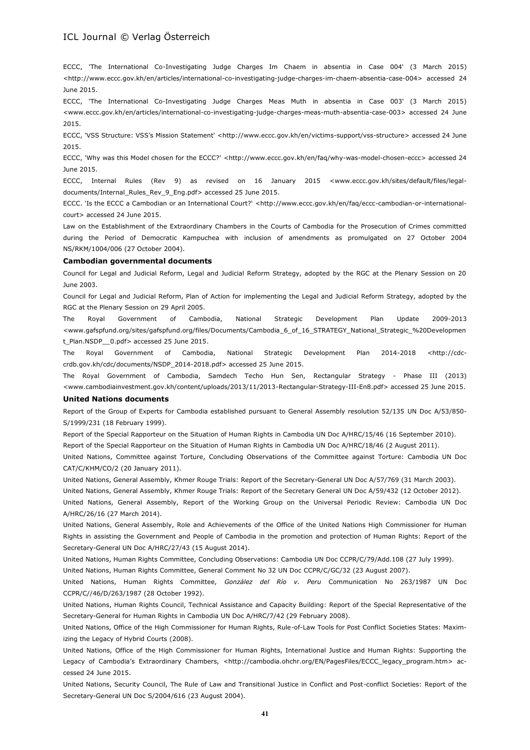ECCC, 'The International Co-Investigating Judge Charges Im Chaem in absentia in Case 004' (3 March 2015) [<http://www.eccc.gov.kh/en/articles/international-co-investigating-judge-charges-im-chaem-absentia-case-004>](http://www.eccc.gov.kh/en/articles/international-co-investigating-judge-charges-im-chaem-absentia-case-004) accessed 24 June 2015.

ECCC, 'The International Co-Investigating Judge Charges Meas Muth in absentia in Case 003' (3 March 2015) [<www.eccc.gov.kh/en/articles/international-co-investigating-judge-charges-meas-muth-absentia-case-003>](http://www.eccc.gov.kh/en/articles/international-co-investigating-judge-charges-meas-muth-absentia-case-003) accessed 24 June 2015.

ECCC, 'VSS Structure: VSS's Mission Statement' <[http://www.eccc.gov.kh/en/victims-support/vss-structure>](http://www.eccc.gov.kh/en/victims-support/vss-structure) accessed 24 June 2015.

ECCC, 'Why was this Model chosen for the ECCC?' [<http://www.eccc.gov.kh/en/faq/why-was-model-chosen-eccc>](http://www.eccc.gov.kh/en/faq/why-was-model-chosen-eccc) accessed 24 June 2015.

ECCC, Internal Rules (Rev 9) as revised on 16 January 2015 [<www.eccc.gov.kh/sites/default/files/legal](http://www.eccc.gov.kh/sites/default/files/legal-documents/Internal_Rules_Rev_9_Eng.pdf)[documents/Internal\\_Rules\\_Rev\\_9\\_Eng.pdf>](http://www.eccc.gov.kh/sites/default/files/legal-documents/Internal_Rules_Rev_9_Eng.pdf) accessed 25 June 2015.

ECCC. 'Is the ECCC a Cambodian or an International Court?' [<http://www.eccc.gov.kh/en/faq/eccc-cambodian-or-international](http://www.eccc.gov.kh/en/faq/eccc-cambodian-or-international-court)[court>](http://www.eccc.gov.kh/en/faq/eccc-cambodian-or-international-court) accessed 24 June 2015.

Law on the Establishment of the Extraordinary Chambers in the Courts of Cambodia for the Prosecution of Crimes committed during the Period of Democratic Kampuchea with inclusion of amendments as promulgated on 27 October 2004 NS/RKM/1004/006 (27 October 2004).

### **Cambodian governmental documents**

Council for Legal and Judicial Reform, Legal and Judicial Reform Strategy, adopted by the RGC at the Plenary Session on 20 June 2003.

Council for Legal and Judicial Reform, Plan of Action for implementing the Legal and Judicial Reform Strategy, adopted by the RGC at the Plenary Session on 29 April 2005.

The Royal Government of Cambodia, National Strategic Development Plan Update 2009-2013 [<www.gafspfund.org/sites/gafspfund.org/files/Documents/Cambodia\\_6\\_of\\_16\\_STRATEGY\\_National\\_Strategic\\_%20Developmen](http://www.gafspfund.org/sites/gafspfund.org/files/Documents/Cambodia_6_of_16_STRATEGY_National_Strategic_%20Development_Plan.NSDP__0.pdf) [t\\_Plan.NSDP\\_\\_0.pdf>](http://www.gafspfund.org/sites/gafspfund.org/files/Documents/Cambodia_6_of_16_STRATEGY_National_Strategic_%20Development_Plan.NSDP__0.pdf) accessed 25 June 2015.

The Royal Government of Cambodia, National Strategic Development Plan 2014-2018 [<http://cdc](http://cdc-crdb.gov.kh/cdc/documents/NSDP_2014-2018.pdf)[crdb.gov.kh/cdc/documents/NSDP\\_2014-2018.pdf>](http://cdc-crdb.gov.kh/cdc/documents/NSDP_2014-2018.pdf) accessed 25 June 2015.

The Royal Government of Cambodia, Samdech Techo Hun Sen, Rectangular Strategy - Phase III (2013) [<www.cambodiainvestment.gov.kh/content/uploads/2013/11/2013-Rectangular-Strategy-III-En8.pdf>](http://www.cambodiainvestment.gov.kh/content/uploads/2013/11/2013-Rectangular-Strategy-III-En8.pdf) accessed 25 June 2015.

### **United Nations documents**

Report of the Group of Experts for Cambodia established pursuant to General Assembly resolution 52/135 UN Doc A/53/850- S/1999/231 (18 February 1999).

Report of the Special Rapporteur on the Situation of Human Rights in Cambodia UN Doc A/HRC/15/46 (16 September 2010).

Report of the Special Rapporteur on the Situation of Human Rights in Cambodia UN Doc A/HRC/18/46 (2 August 2011).

United Nations, Committee against Torture, Concluding Observations of the Committee against Torture: Cambodia UN Doc CAT/C/KHM/CO/2 (20 January 2011).

United Nations, General Assembly, Khmer Rouge Trials: Report of the Secretary-General UN Doc A/57/769 (31 March 2003).

United Nations, General Assembly, Khmer Rouge Trials: Report of the Secretary General UN Doc A/59/432 (12 October 2012).

United Nations, General Assembly, Report of the Working Group on the Universal Periodic Review: Cambodia UN Doc A/HRC/26/16 (27 March 2014).

United Nations, General Assembly, Role and Achievements of the Office of the United Nations High Commissioner for Human Rights in assisting the Government and People of Cambodia in the promotion and protection of Human Rights: Report of the Secretary-General UN Doc A/HRC/27/43 (15 August 2014).

United Nations, Human Rights Committee, Concluding Observations: Cambodia UN Doc CCPR/C/79/Add.108 (27 July 1999).

United Nations, Human Rights Committee, General Comment No 32 UN Doc CCPR/C/GC/32 (23 August 2007).

United Nations, Human Rights Committee, *González del Río v. Peru* Communication No 263/1987 UN Doc CCPR/C//46/D/263/1987 (28 October 1992).

United Nations, Human Rights Council, Technical Assistance and Capacity Building: Report of the Special Representative of the Secretary-General for Human Rights in Cambodia UN Doc A/HRC/7/42 (29 February 2008).

United Nations, Office of the High Commissioner for Human Rights, Rule-of-Law Tools for Post Conflict Societies States: Maximizing the Legacy of Hybrid Courts (2008).

United Nations, Office of the High Commissioner for Human Rights, International Justice and Human Rights: Supporting the Legacy of Cambodia's Extraordinary Chambers, [<http://cambodia.ohchr.org/EN/PagesFiles/ECCC\\_legacy\\_program.htm>](http://cambodia.ohchr.org/EN/PagesFiles/ECCC_legacy_program.htm) accessed 24 June 2015.

United Nations, Security Council, The Rule of Law and Transitional Justice in Conflict and Post-conflict Societies: Report of the Secretary-General UN Doc S/2004/616 (23 August 2004).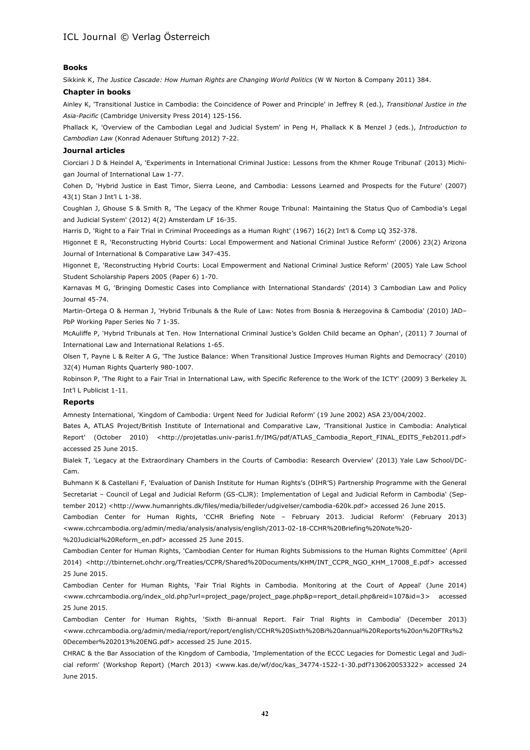### **Books**

Sikkink K, *The Justice Cascade: How Human Rights are Changing World Politics* (W W Norton & Company 2011) 384.

### **Chapter in books**

Ainley K, 'Transitional Justice in Cambodia: the Coincidence of Power and Principle' in Jeffrey R (ed.), *Transitional Justice in the Asia-Pacific* (Cambridge University Press 2014) 125-156.

Phallack K, 'Overview of the Cambodian Legal and Judicial System' in Peng H, Phallack K & Menzel J (eds.), *Introduction to Cambodian Law* (Konrad Adenauer Stiftung 2012) 7-22.

### **Journal articles**

Ciorciari J D & Heindel A, 'Experiments in International Criminal Justice: Lessons from the Khmer Rouge Tribunal' (2013) Michigan Journal of International Law 1-77.

Cohen D, 'Hybrid Justice in East Timor, Sierra Leone, and Cambodia: Lessons Learned and Prospects for the Future' (2007) 43(1) Stan J Int'l L 1-38.

Coughlan J, Ghouse S & Smith R, 'The Legacy of the Khmer Rouge Tribunal: Maintaining the Status Quo of Cambodia's Legal and Judicial System' (2012) 4(2) Amsterdam LF 16-35.

Harris D, 'Right to a Fair Trial in Criminal Proceedings as a Human Right' (1967) 16(2) Int'l & Comp LQ 352-378.

Higonnet E R, 'Reconstructing Hybrid Courts: Local Empowerment and National Criminal Justice Reform' (2006) 23(2) Arizona Journal of International & Comparative Law 347-435.

Higonnet E, 'Reconstructing Hybrid Courts: Local Empowerment and National Criminal Justice Reform' (2005) Yale Law School Student Scholarship Papers 2005 (Paper 6) 1-70.

Karnavas M G, 'Bringing Domestic Cases into Compliance with International Standards' (2014) 3 Cambodian Law and Policy Journal 45-74.

Martin-Ortega O & Herman J, 'Hybrid Tribunals & the Rule of Law: Notes from Bosnia & Herzegovina & Cambodia' (2010) JAD– PbP Working Paper Series No 7 1-35.

McAuliffe P, 'Hybrid Tribunals at Ten. How International Criminal Justice's Golden Child became an Ophan', (2011) 7 Journal of International Law and International Relations 1-65.

Olsen T, Payne L & Reiter A G, 'The Justice Balance: When Transitional Justice Improves Human Rights and Democracy' (2010) 32(4) Human Rights Quarterly 980-1007.

Robinson P, 'The Right to a Fair Trial in International Law, with Specific Reference to the Work of the ICTY' (2009) 3 Berkeley JL Int'l L Publicist 1-11.

### **Reports**

Amnesty International, 'Kingdom of Cambodia: Urgent Need for Judicial Reform' (19 June 2002) ASA 23/004/2002.

Bates A, ATLAS Project/British Institute of International and Comparative Law, 'Transitional Justice in Cambodia: Analytical Report' (October 2010) [<http://projetatlas.univ-paris1.fr/IMG/pdf/ATLAS\\_Cambodia\\_Report\\_FINAL\\_EDITS\\_Feb2011.pdf>](http://projetatlas.univ-paris1.fr/IMG/pdf/ATLAS_Cambodia_Report_FINAL_EDITS_Feb2011.pdf) accessed 25 June 2015.

Bialek T, 'Legacy at the Extraordinary Chambers in the Courts of Cambodia: Research Overview' (2013) Yale Law School/DC-Cam.

Buhmann K & Castellani F, 'Evaluation of Danish Institute for Human Rights's (DIHR'S) Partnership Programme with the General Secretariat – Council of Legal and Judicial Reform (GS-CLJR): Implementation of Legal and Judicial Reform in Cambodia' (Sep-tember 2012) [<http://www.humanrights.dk/files/media/billeder/udgivelser/cambodia-620k.pdf>](http://www.humanrights.dk/files/media/billeder/udgivelser/cambodia-620k.pdf) accessed 26 June 2015.

Cambodian Center for Human Rights, 'CCHR Briefing Note – February 2013. Judicial Reform' (February 2013) [<www.cchrcambodia.org/admin/media/analysis/analysis/english/2013-02-18-CCHR%20Briefing%20Note%20-](http://www.cchrcambodia.org/admin/media/analysis/analysis/english/2013-02-18-CCHR%20Briefing%20Note%20-%20Judicial%20Reform_en.pdf) [%20Judicial%20Reform\\_en.pdf>](http://www.cchrcambodia.org/admin/media/analysis/analysis/english/2013-02-18-CCHR%20Briefing%20Note%20-%20Judicial%20Reform_en.pdf) accessed 25 June 2015.

Cambodian Center for Human Rights, 'Cambodian Center for Human Rights Submissions to the Human Rights Committee' (April 2014) [<http://tbinternet.ohchr.org/Treaties/CCPR/Shared%20Documents/KHM/INT\\_CCPR\\_NGO\\_KHM\\_17008\\_E.pdf>](http://tbinternet.ohchr.org/Treaties/CCPR/Shared%20Documents/KHM/INT_CCPR_NGO_KHM_17008_E.pdf) accessed 25 June 2015.

Cambodian Center for Human Rights, 'Fair Trial Rights in Cambodia. Monitoring at the Court of Appeal' (June 2014) [<www.cchrcambodia.org/index\\_old.php?url=project\\_page/project\\_page.php&p=report\\_detail.php&reid=107&id=3>](http://www.cchrcambodia.org/index_old.php?url=project_page/project_page.php&p=report_detail.php&reid=107&id=3) accessed 25 June 2015.

Cambodian Center for Human Rights, 'Sixth Bi-annual Report. Fair Trial Rights in Cambodia' (December 2013) [<www.cchrcambodia.org/admin/media/report/report/english/CCHR%20Sixth%20Bi%20annual%20Reports%20on%20FTRs%2](http://www.cchrcambodia.org/admin/media/report/report/english/CCHR%20Sixth%20Bi%20annual%20Reports%20on%20FTRs%20December%202013%20ENG.pdf) [0December%202013%20ENG.pdf>](http://www.cchrcambodia.org/admin/media/report/report/english/CCHR%20Sixth%20Bi%20annual%20Reports%20on%20FTRs%20December%202013%20ENG.pdf) accessed 25 June 2015.

CHRAC & the Bar Association of the Kingdom of Cambodia, 'Implementation of the ECCC Legacies for Domestic Legal and Judicial reform' (Workshop Report) (March 2013) [<www.kas.de/wf/doc/kas\\_34774-1522-1-30.pdf?130620053322>](http://www.kas.de/wf/doc/kas_34774-1522-1-30.pdf?130620053322) accessed 24 June 2015.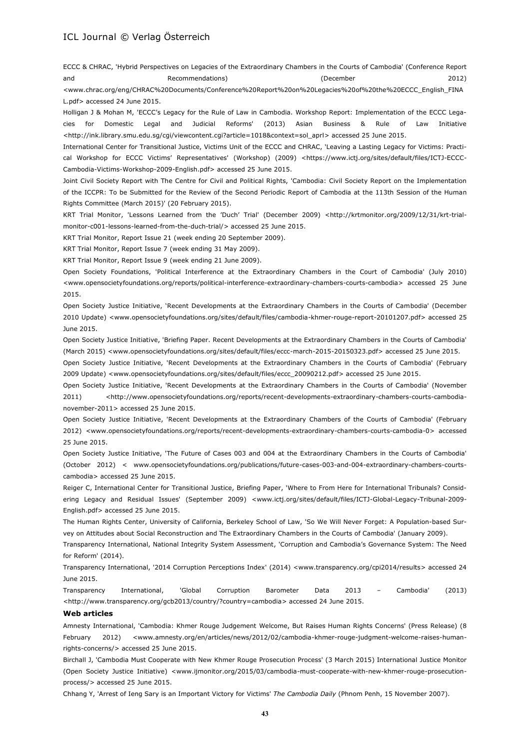ECCC & CHRAC, 'Hybrid Perspectives on Legacies of the Extraordinary Chambers in the Courts of Cambodia' (Conference Report and Recommendations) (December 2012)

[<www.chrac.org/eng/CHRAC%20Documents/Conference%20Report%20on%20Legacies%20of%20the%20ECCC\\_English\\_FINA](http://www.chrac.org/eng/CHRAC%20Documents/Conference%20Report%20on%20Legacies%20of%20the%20ECCC_English_FINAL.pdf) [L.pdf>](http://www.chrac.org/eng/CHRAC%20Documents/Conference%20Report%20on%20Legacies%20of%20the%20ECCC_English_FINAL.pdf) accessed 24 June 2015.

Holligan J & Mohan M, 'ECCC's Legacy for the Rule of Law in Cambodia. Workshop Report: Implementation of the ECCC Legacies for Domestic Legal and Judicial Reforms' (2013) Asian Business & Rule of Law Initiative [<http://ink.library.smu.edu.sg/cgi/viewcontent.cgi?article=1018&context=sol\\_aprl>](http://ink.library.smu.edu.sg/cgi/viewcontent.cgi?article=1018&context=sol_aprl) accessed 25 June 2015.

International Center for Transitional Justice, Victims Unit of the ECCC and CHRAC, 'Leaving a Lasting Legacy for Victims: Practical Workshop for ECCC Victims' Representatives' (Workshop) (2009) [<https://www.ictj.org/sites/default/files/ICTJ-ECCC-](https://www.ictj.org/sites/default/files/ICTJ-ECCC-Cambodia-Victims-Workshop-2009-English.pdf)[Cambodia-Victims-Workshop-2009-English.pdf>](https://www.ictj.org/sites/default/files/ICTJ-ECCC-Cambodia-Victims-Workshop-2009-English.pdf) accessed 25 June 2015.

Joint Civil Society Report with The Centre for Civil and Political Rights, 'Cambodia: Civil Society Report on the Implementation of the ICCPR: To be Submitted for the Review of the Second Periodic Report of Cambodia at the 113th Session of the Human Rights Committee (March 2015)' (20 February 2015).

KRT Trial Monitor, 'Lessons Learned from the 'Duch' Trial' (December 2009) [<http://krtmonitor.org/2009/12/31/krt-trial](http://krtmonitor.org/2009/12/31/krt-trial-monitor-c001-lessons-learned-from-the-duch-trial/)[monitor-c001-lessons-learned-from-the-duch-trial/>](http://krtmonitor.org/2009/12/31/krt-trial-monitor-c001-lessons-learned-from-the-duch-trial/) accessed 25 June 2015.

KRT Trial Monitor, Report Issue 21 (week ending 20 September 2009).

KRT Trial Monitor, Report Issue 7 (week ending 31 May 2009).

KRT Trial Monitor, Report Issue 9 (week ending 21 June 2009).

Open Society Foundations, 'Political Interference at the Extraordinary Chambers in the Court of Cambodia' (July 2010) [<www.opensocietyfoundations.org/reports/political-interference-extraordinary-chambers-courts-cambodia>](http://www.opensocietyfoundations.org/reports/political-interference-extraordinary-chambers-courts-cambodia) accessed 25 June 2015.

Open Society Justice Initiative, 'Recent Developments at the Extraordinary Chambers in the Courts of Cambodia' (December 2010 Update) [<www.opensocietyfoundations.org/sites/default/files/cambodia-khmer-rouge-report-20101207.pdf>](http://www.opensocietyfoundations.org/sites/default/files/cambodia-khmer-rouge-report-20101207.pdf) accessed 25 June 2015.

Open Society Justice Initiative, 'Briefing Paper. Recent Developments at the Extraordinary Chambers in the Courts of Cambodia' (March 2015) [<www.opensocietyfoundations.org/sites/default/files/eccc-march-2015-20150323.pdf>](http://www.opensocietyfoundations.org/sites/default/files/eccc-march-2015-20150323.pdf) accessed 25 June 2015.

Open Society Justice Initiative, 'Recent Developments at the Extraordinary Chambers in the Courts of Cambodia' (February 2009 Update) [<www.opensocietyfoundations.org/sites/default/files/eccc\\_20090212.pdf>](http://www.opensocietyfoundations.org/sites/default/files/eccc_20090212.pdf) accessed 25 June 2015.

Open Society Justice Initiative, 'Recent Developments at the Extraordinary Chambers in the Courts of Cambodia' (November 2011) [<http://www.opensocietyfoundations.org/reports/recent-developments-extraordinary-chambers-courts-cambodia](http://www.opensocietyfoundations.org/reports/recent-developments-extraordinary-chambers-courts-cambodia-november-2011)[november-2011>](http://www.opensocietyfoundations.org/reports/recent-developments-extraordinary-chambers-courts-cambodia-november-2011) accessed 25 June 2015.

Open Society Justice Initiative, 'Recent Developments at the Extraordinary Chambers of the Courts of Cambodia' (February 2012) [<www.opensocietyfoundations.org/reports/recent-developments-extraordinary-chambers-courts-cambodia-0>](http://www.opensocietyfoundations.org/reports/recent-developments-extraordinary-chambers-courts-cambodia-0) accessed 25 June 2015.

Open Society Justice Initiative, 'The Future of Cases 003 and 004 at the Extraordinary Chambers in the Courts of Cambodia' (October 2012) < [www.opensocietyfoundations.org/publications/future-cases-003-and-004-extraordinary-chambers-courts](http://www.opensocietyfoundations.org/publications/future-cases-003-and-004-extraordinary-chambers-courts-cambodia)[cambodia>](http://www.opensocietyfoundations.org/publications/future-cases-003-and-004-extraordinary-chambers-courts-cambodia) accessed 25 June 2015.

Reiger C, International Center for Transitional Justice, Briefing Paper, 'Where to From Here for International Tribunals? Considering Legacy and Residual Issues' (September 2009) [<www.ictj.org/sites/default/files/ICTJ-Global-Legacy-Tribunal-2009-](http://www.ictj.org/sites/default/files/ICTJ-Global-Legacy-Tribunal-2009-English.pdf) [English.pdf>](http://www.ictj.org/sites/default/files/ICTJ-Global-Legacy-Tribunal-2009-English.pdf) accessed 25 June 2015.

The Human Rights Center, University of California, Berkeley School of Law, 'So We Will Never Forget: A Population-based Survey on Attitudes about Social Reconstruction and The Extraordinary Chambers in the Courts of Cambodia' (January 2009).

Transparency International, National Integrity System Assessment, 'Corruption and Cambodia's Governance System: The Need for Reform' (2014).

Transparency International, '2014 Corruption Perceptions Index' (2014) [<www.transparency.org/cpi2014/results>](http://www.transparency.org/cpi2014/results) accessed 24 June 2015.

Transparency International, 'Global Corruption Barometer Data 2013 – Cambodia' (2013) [<http://www.transparency.org/gcb2013/country/?country=cambodia>](http://www.transparency.org/gcb2013/country/?country=cambodia) accessed 24 June 2015.

### **Web articles**

Amnesty International, 'Cambodia: Khmer Rouge Judgement Welcome, But Raises Human Rights Concerns' (Press Release) (8 February 2012) [<www.amnesty.org/en/articles/news/2012/02/cambodia-khmer-rouge-judgment-welcome-raises-human](http://www.amnesty.org/en/articles/news/2012/02/cambodia-khmer-rouge-judgment-welcome-raises-human-rights-concerns/)[rights-concerns/>](http://www.amnesty.org/en/articles/news/2012/02/cambodia-khmer-rouge-judgment-welcome-raises-human-rights-concerns/) accessed 25 June 2015.

Birchall J, 'Cambodia Must Cooperate with New Khmer Rouge Prosecution Process' (3 March 2015) International Justice Monitor (Open Society Justice Initiative) [<www.ijmonitor.org/2015/03/cambodia-must-cooperate-with-new-khmer-rouge-prosecution](http://www.ijmonitor.org/2015/03/cambodia-must-cooperate-with-new-khmer-rouge-prosecution-process/)[process/>](http://www.ijmonitor.org/2015/03/cambodia-must-cooperate-with-new-khmer-rouge-prosecution-process/) accessed 25 June 2015.

Chhang Y, 'Arrest of Ieng Sary is an Important Victory for Victims' *The Cambodia Daily* (Phnom Penh, 15 November 2007).